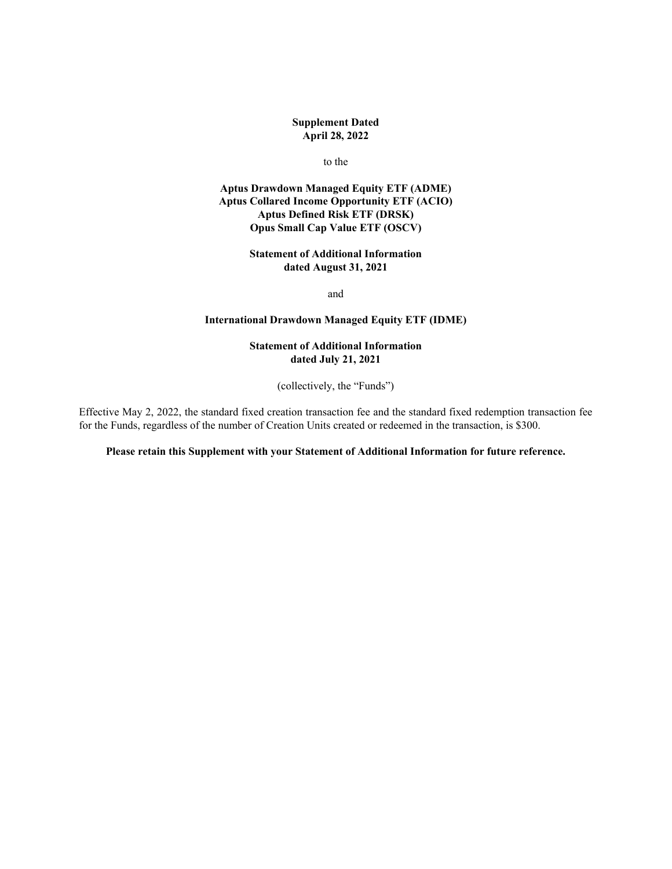## **Supplement Dated April 28, 2022**

#### to the

## **Aptus Drawdown Managed Equity ETF (ADME) Aptus Collared Income Opportunity ETF (ACIO) Aptus Defined Risk ETF (DRSK) Opus Small Cap Value ETF (OSCV)**

## **Statement of Additional Information dated August 31, 2021**

and

# **International Drawdown Managed Equity ETF (IDME)**

# **Statement of Additional Information dated July 21, 2021**

(collectively, the "Funds")

Effective May 2, 2022, the standard fixed creation transaction fee and the standard fixed redemption transaction fee for the Funds, regardless of the number of Creation Units created or redeemed in the transaction, is \$300.

#### **Please retain this Supplement with your Statement of Additional Information for future reference.**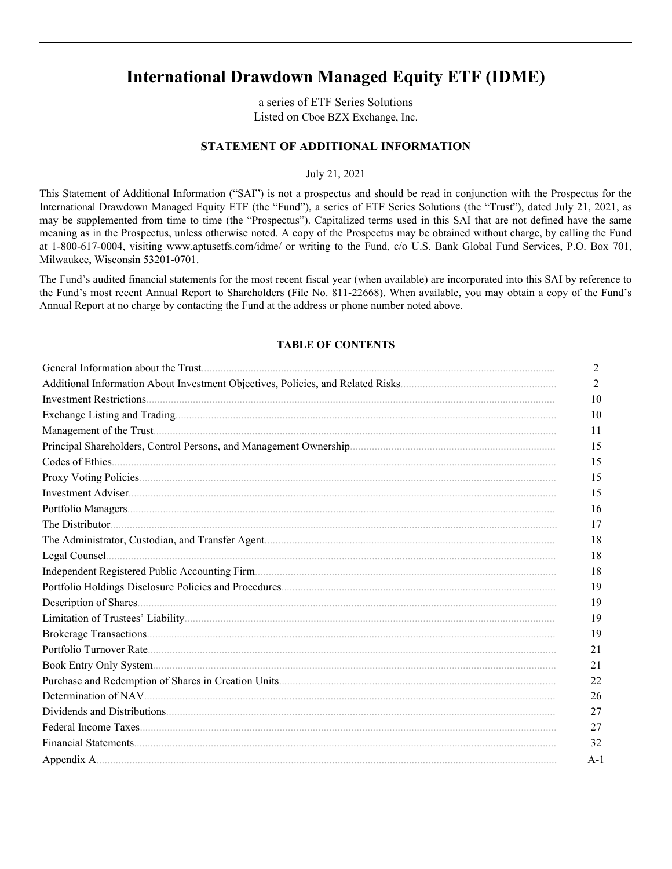# **International Drawdown Managed Equity ETF (IDME)**

a series of ETF Series Solutions Listed on Cboe BZX Exchange, Inc.

# **STATEMENT OF ADDITIONAL INFORMATION**

July 21, 2021

This Statement of Additional Information ("SAI") is not a prospectus and should be read in conjunction with the Prospectus for the International Drawdown Managed Equity ETF (the "Fund"), a series of ETF Series Solutions (the "Trust"), dated July 21, 2021, as may be supplemented from time to time (the "Prospectus"). Capitalized terms used in this SAI that are not defined have the same meaning as in the Prospectus, unless otherwise noted. A copy of the Prospectus may be obtained without charge, by calling the Fund at 1-800-617-0004, visiting www.aptusetfs.com/idme/ or writing to the Fund, c/o U.S. Bank Global Fund Services, P.O. Box 701, Milwaukee, Wisconsin 53201-0701.

The Fund's audited financial statements for the most recent fiscal year (when available) are incorporated into this SAI by reference to the Fund's most recent Annual Report to Shareholders (File No. 811-22668). When available, you may obtain a copy of the Fund's Annual Report at no charge by contacting the Fund at the address or phone number noted above.

#### **TABLE OF CONTENTS**

| $\overline{2}$ |
|----------------|
| $\overline{2}$ |
| 10             |
| 10             |
| 11             |
| 15             |
| 15             |
| 15             |
| 15             |
| 16             |
| 17             |
| 18             |
| 18             |
| 18             |
| 19             |
| 19             |
| 19             |
| 19             |
| 21             |
| 21             |
| 22             |
| 26             |
| 27             |
| 27             |
| 32             |
| $A-1$          |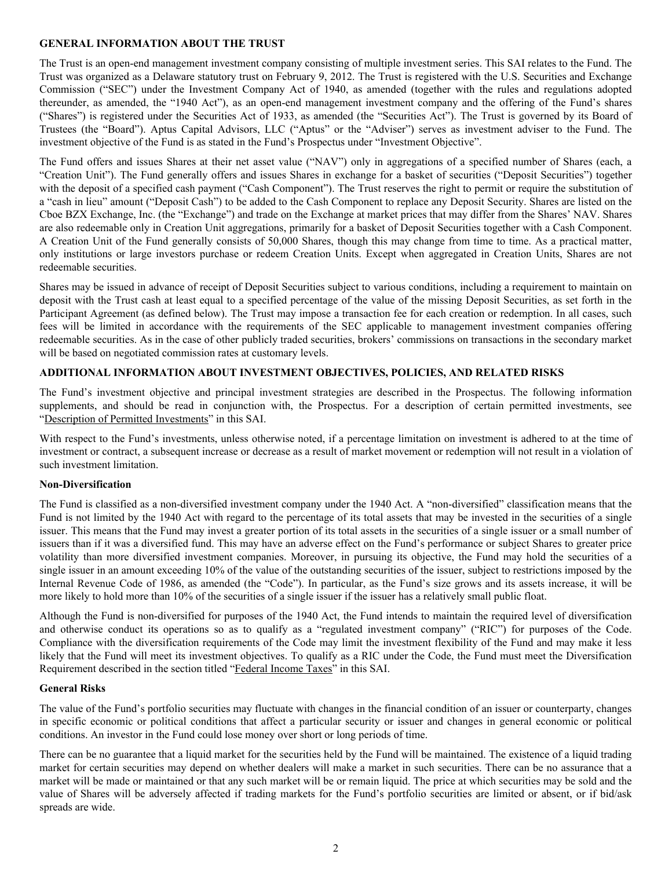## <span id="page-2-0"></span>**GENERAL INFORMATION ABOUT THE TRUST**

The Trust is an open-end management investment company consisting of multiple investment series. This SAI relates to the Fund. The Trust was organized as a Delaware statutory trust on February 9, 2012. The Trust is registered with the U.S. Securities and Exchange Commission ("SEC") under the Investment Company Act of 1940, as amended (together with the rules and regulations adopted thereunder, as amended, the "1940 Act"), as an open-end management investment company and the offering of the Fund's shares ("Shares") is registered under the Securities Act of 1933, as amended (the "Securities Act"). The Trust is governed by its Board of Trustees (the "Board"). Aptus Capital Advisors, LLC ("Aptus" or the "Adviser") serves as investment adviser to the Fund. The investment objective of the Fund is as stated in the Fund's Prospectus under "Investment Objective".

The Fund offers and issues Shares at their net asset value ("NAV") only in aggregations of a specified number of Shares (each, a "Creation Unit"). The Fund generally offers and issues Shares in exchange for a basket of securities ("Deposit Securities") together with the deposit of a specified cash payment ("Cash Component"). The Trust reserves the right to permit or require the substitution of a "cash in lieu" amount ("Deposit Cash") to be added to the Cash Component to replace any Deposit Security. Shares are listed on the Cboe BZX Exchange, Inc. (the "Exchange") and trade on the Exchange at market prices that may differ from the Shares' NAV. Shares are also redeemable only in Creation Unit aggregations, primarily for a basket of Deposit Securities together with a Cash Component. A Creation Unit of the Fund generally consists of 50,000 Shares, though this may change from time to time. As a practical matter, only institutions or large investors purchase or redeem Creation Units. Except when aggregated in Creation Units, Shares are not redeemable securities.

Shares may be issued in advance of receipt of Deposit Securities subject to various conditions, including a requirement to maintain on deposit with the Trust cash at least equal to a specified percentage of the value of the missing Deposit Securities, as set forth in the Participant Agreement (as defined below). The Trust may impose a transaction fee for each creation or redemption. In all cases, such fees will be limited in accordance with the requirements of the SEC applicable to management investment companies offering redeemable securities. As in the case of other publicly traded securities, brokers' commissions on transactions in the secondary market will be based on negotiated commission rates at customary levels.

## **ADDITIONAL INFORMATION ABOUT INVESTMENT OBJECTIVES, POLICIES, AND RELATED RISKS**

The Fund's investment objective and principal investment strategies are described in the Prospectus. The following information supplements, and should be read in conjunction with, the Prospectus. For a description of certain permitted investments, see "Description of Permitted Investments" in this SAI.

With respect to the Fund's investments, unless otherwise noted, if a percentage limitation on investment is adhered to at the time of investment or contract, a subsequent increase or decrease as a result of market movement or redemption will not result in a violation of such investment limitation.

#### **Non-Diversification**

The Fund is classified as a non-diversified investment company under the 1940 Act. A "non-diversified" classification means that the Fund is not limited by the 1940 Act with regard to the percentage of its total assets that may be invested in the securities of a single issuer. This means that the Fund may invest a greater portion of its total assets in the securities of a single issuer or a small number of issuers than if it was a diversified fund. This may have an adverse effect on the Fund's performance or subject Shares to greater price volatility than more diversified investment companies. Moreover, in pursuing its objective, the Fund may hold the securities of a single issuer in an amount exceeding 10% of the value of the outstanding securities of the issuer, subject to restrictions imposed by the Internal Revenue Code of 1986, as amended (the "Code"). In particular, as the Fund's size grows and its assets increase, it will be more likely to hold more than 10% of the securities of a single issuer if the issuer has a relatively small public float.

Although the Fund is non-diversified for purposes of the 1940 Act, the Fund intends to maintain the required level of diversification and otherwise conduct its operations so as to qualify as a "regulated investment company" ("RIC") for purposes of the Code. Compliance with the diversification requirements of the Code may limit the investment flexibility of the Fund and may make it less likely that the Fund will meet its investment objectives. To qualify as a RIC under the Code, the Fund must meet the Diversification Requirement described in the section titled "Federal Income Taxes" in this SAI.

## **General Risks**

The value of the Fund's portfolio securities may fluctuate with changes in the financial condition of an issuer or counterparty, changes in specific economic or political conditions that affect a particular security or issuer and changes in general economic or political conditions. An investor in the Fund could lose money over short or long periods of time.

There can be no guarantee that a liquid market for the securities held by the Fund will be maintained. The existence of a liquid trading market for certain securities may depend on whether dealers will make a market in such securities. There can be no assurance that a market will be made or maintained or that any such market will be or remain liquid. The price at which securities may be sold and the value of Shares will be adversely affected if trading markets for the Fund's portfolio securities are limited or absent, or if bid/ask spreads are wide.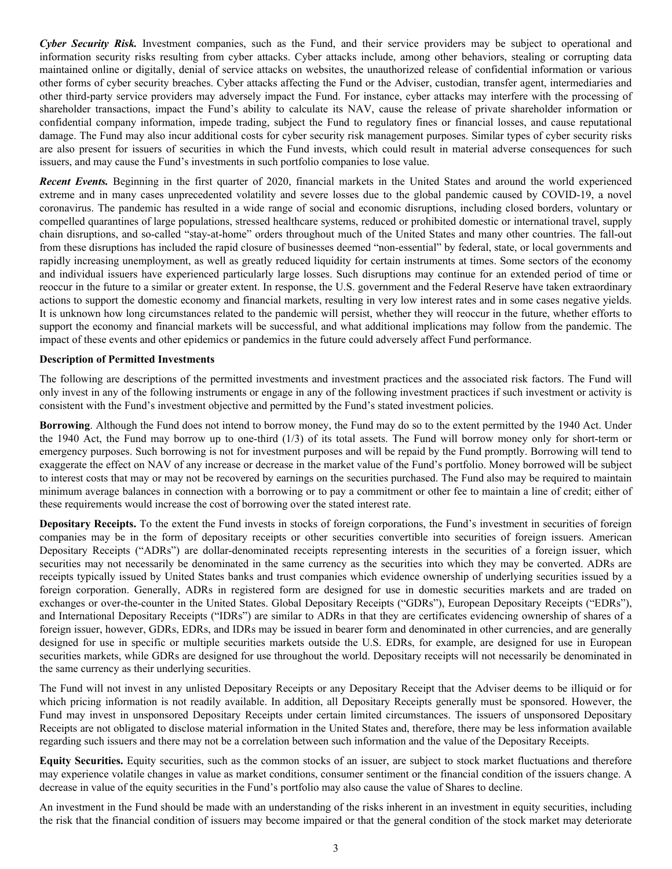*Cyber Security Risk.* Investment companies, such as the Fund, and their service providers may be subject to operational and information security risks resulting from cyber attacks. Cyber attacks include, among other behaviors, stealing or corrupting data maintained online or digitally, denial of service attacks on websites, the unauthorized release of confidential information or various other forms of cyber security breaches. Cyber attacks affecting the Fund or the Adviser, custodian, transfer agent, intermediaries and other third-party service providers may adversely impact the Fund. For instance, cyber attacks may interfere with the processing of shareholder transactions, impact the Fund's ability to calculate its NAV, cause the release of private shareholder information or confidential company information, impede trading, subject the Fund to regulatory fines or financial losses, and cause reputational damage. The Fund may also incur additional costs for cyber security risk management purposes. Similar types of cyber security risks are also present for issuers of securities in which the Fund invests, which could result in material adverse consequences for such issuers, and may cause the Fund's investments in such portfolio companies to lose value.

*Recent Events.* Beginning in the first quarter of 2020, financial markets in the United States and around the world experienced extreme and in many cases unprecedented volatility and severe losses due to the global pandemic caused by COVID-19, a novel coronavirus. The pandemic has resulted in a wide range of social and economic disruptions, including closed borders, voluntary or compelled quarantines of large populations, stressed healthcare systems, reduced or prohibited domestic or international travel, supply chain disruptions, and so-called "stay-at-home" orders throughout much of the United States and many other countries. The fall-out from these disruptions has included the rapid closure of businesses deemed "non-essential" by federal, state, or local governments and rapidly increasing unemployment, as well as greatly reduced liquidity for certain instruments at times. Some sectors of the economy and individual issuers have experienced particularly large losses. Such disruptions may continue for an extended period of time or reoccur in the future to a similar or greater extent. In response, the U.S. government and the Federal Reserve have taken extraordinary actions to support the domestic economy and financial markets, resulting in very low interest rates and in some cases negative yields. It is unknown how long circumstances related to the pandemic will persist, whether they will reoccur in the future, whether efforts to support the economy and financial markets will be successful, and what additional implications may follow from the pandemic. The impact of these events and other epidemics or pandemics in the future could adversely affect Fund performance.

#### **Description of Permitted Investments**

The following are descriptions of the permitted investments and investment practices and the associated risk factors. The Fund will only invest in any of the following instruments or engage in any of the following investment practices if such investment or activity is consistent with the Fund's investment objective and permitted by the Fund's stated investment policies.

**Borrowing**. Although the Fund does not intend to borrow money, the Fund may do so to the extent permitted by the 1940 Act. Under the 1940 Act, the Fund may borrow up to one-third (1/3) of its total assets. The Fund will borrow money only for short-term or emergency purposes. Such borrowing is not for investment purposes and will be repaid by the Fund promptly. Borrowing will tend to exaggerate the effect on NAV of any increase or decrease in the market value of the Fund's portfolio. Money borrowed will be subject to interest costs that may or may not be recovered by earnings on the securities purchased. The Fund also may be required to maintain minimum average balances in connection with a borrowing or to pay a commitment or other fee to maintain a line of credit; either of these requirements would increase the cost of borrowing over the stated interest rate.

**Depositary Receipts.** To the extent the Fund invests in stocks of foreign corporations, the Fund's investment in securities of foreign companies may be in the form of depositary receipts or other securities convertible into securities of foreign issuers. American Depositary Receipts ("ADRs") are dollar-denominated receipts representing interests in the securities of a foreign issuer, which securities may not necessarily be denominated in the same currency as the securities into which they may be converted. ADRs are receipts typically issued by United States banks and trust companies which evidence ownership of underlying securities issued by a foreign corporation. Generally, ADRs in registered form are designed for use in domestic securities markets and are traded on exchanges or over-the-counter in the United States. Global Depositary Receipts ("GDRs"), European Depositary Receipts ("EDRs"), and International Depositary Receipts ("IDRs") are similar to ADRs in that they are certificates evidencing ownership of shares of a foreign issuer, however, GDRs, EDRs, and IDRs may be issued in bearer form and denominated in other currencies, and are generally designed for use in specific or multiple securities markets outside the U.S. EDRs, for example, are designed for use in European securities markets, while GDRs are designed for use throughout the world. Depositary receipts will not necessarily be denominated in the same currency as their underlying securities.

The Fund will not invest in any unlisted Depositary Receipts or any Depositary Receipt that the Adviser deems to be illiquid or for which pricing information is not readily available. In addition, all Depositary Receipts generally must be sponsored. However, the Fund may invest in unsponsored Depositary Receipts under certain limited circumstances. The issuers of unsponsored Depositary Receipts are not obligated to disclose material information in the United States and, therefore, there may be less information available regarding such issuers and there may not be a correlation between such information and the value of the Depositary Receipts.

**Equity Securities.** Equity securities, such as the common stocks of an issuer, are subject to stock market fluctuations and therefore may experience volatile changes in value as market conditions, consumer sentiment or the financial condition of the issuers change. A decrease in value of the equity securities in the Fund's portfolio may also cause the value of Shares to decline.

An investment in the Fund should be made with an understanding of the risks inherent in an investment in equity securities, including the risk that the financial condition of issuers may become impaired or that the general condition of the stock market may deteriorate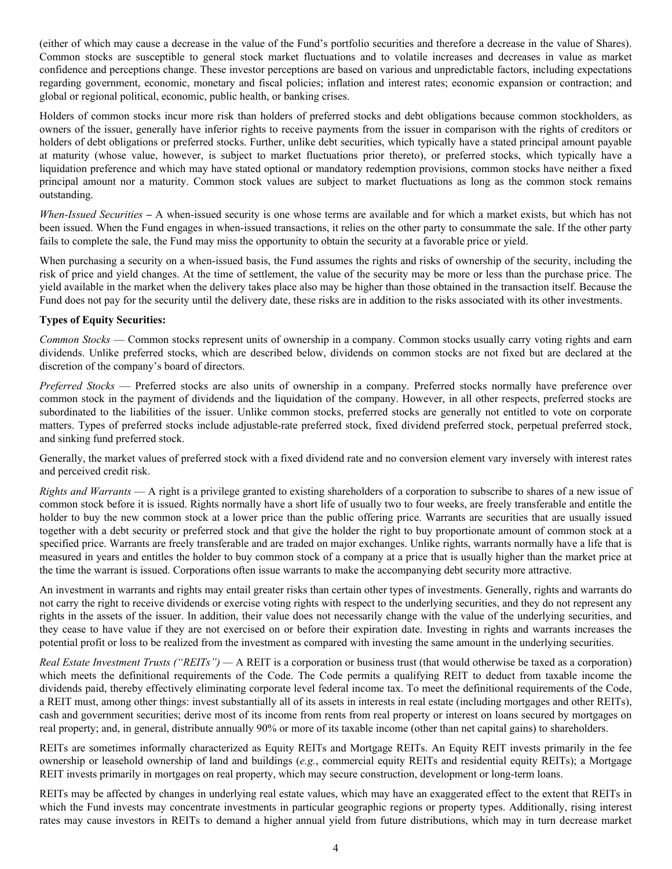(either of which may cause a decrease in the value of the Fund's portfolio securities and therefore a decrease in the value of Shares). Common stocks are susceptible to general stock market fluctuations and to volatile increases and decreases in value as market confidence and perceptions change. These investor perceptions are based on various and unpredictable factors, including expectations regarding government, economic, monetary and fiscal policies; inflation and interest rates; economic expansion or contraction; and global or regional political, economic, public health, or banking crises.

Holders of common stocks incur more risk than holders of preferred stocks and debt obligations because common stockholders, as owners of the issuer, generally have inferior rights to receive payments from the issuer in comparison with the rights of creditors or holders of debt obligations or preferred stocks. Further, unlike debt securities, which typically have a stated principal amount payable at maturity (whose value, however, is subject to market fluctuations prior thereto), or preferred stocks, which typically have a liquidation preference and which may have stated optional or mandatory redemption provisions, common stocks have neither a fixed principal amount nor a maturity. Common stock values are subject to market fluctuations as long as the common stock remains outstanding.

*When-Issued Securities* **–** A when-issued security is one whose terms are available and for which a market exists, but which has not been issued. When the Fund engages in when-issued transactions, it relies on the other party to consummate the sale. If the other party fails to complete the sale, the Fund may miss the opportunity to obtain the security at a favorable price or yield.

When purchasing a security on a when-issued basis, the Fund assumes the rights and risks of ownership of the security, including the risk of price and yield changes. At the time of settlement, the value of the security may be more or less than the purchase price. The yield available in the market when the delivery takes place also may be higher than those obtained in the transaction itself. Because the Fund does not pay for the security until the delivery date, these risks are in addition to the risks associated with its other investments.

# **Types of Equity Securities:**

*Common Stocks* — Common stocks represent units of ownership in a company. Common stocks usually carry voting rights and earn dividends. Unlike preferred stocks, which are described below, dividends on common stocks are not fixed but are declared at the discretion of the company's board of directors.

*Preferred Stocks* — Preferred stocks are also units of ownership in a company. Preferred stocks normally have preference over common stock in the payment of dividends and the liquidation of the company. However, in all other respects, preferred stocks are subordinated to the liabilities of the issuer. Unlike common stocks, preferred stocks are generally not entitled to vote on corporate matters. Types of preferred stocks include adjustable-rate preferred stock, fixed dividend preferred stock, perpetual preferred stock, and sinking fund preferred stock.

Generally, the market values of preferred stock with a fixed dividend rate and no conversion element vary inversely with interest rates and perceived credit risk.

*Rights and Warrants* — A right is a privilege granted to existing shareholders of a corporation to subscribe to shares of a new issue of common stock before it is issued. Rights normally have a short life of usually two to four weeks, are freely transferable and entitle the holder to buy the new common stock at a lower price than the public offering price. Warrants are securities that are usually issued together with a debt security or preferred stock and that give the holder the right to buy proportionate amount of common stock at a specified price. Warrants are freely transferable and are traded on major exchanges. Unlike rights, warrants normally have a life that is measured in years and entitles the holder to buy common stock of a company at a price that is usually higher than the market price at the time the warrant is issued. Corporations often issue warrants to make the accompanying debt security more attractive.

An investment in warrants and rights may entail greater risks than certain other types of investments. Generally, rights and warrants do not carry the right to receive dividends or exercise voting rights with respect to the underlying securities, and they do not represent any rights in the assets of the issuer. In addition, their value does not necessarily change with the value of the underlying securities, and they cease to have value if they are not exercised on or before their expiration date. Investing in rights and warrants increases the potential profit or loss to be realized from the investment as compared with investing the same amount in the underlying securities.

*Real Estate Investment Trusts ("REITs") —* A REIT is a corporation or business trust (that would otherwise be taxed as a corporation) which meets the definitional requirements of the Code. The Code permits a qualifying REIT to deduct from taxable income the dividends paid, thereby effectively eliminating corporate level federal income tax. To meet the definitional requirements of the Code, a REIT must, among other things: invest substantially all of its assets in interests in real estate (including mortgages and other REITs), cash and government securities; derive most of its income from rents from real property or interest on loans secured by mortgages on real property; and, in general, distribute annually 90% or more of its taxable income (other than net capital gains) to shareholders.

REITs are sometimes informally characterized as Equity REITs and Mortgage REITs. An Equity REIT invests primarily in the fee ownership or leasehold ownership of land and buildings (*e.g.*, commercial equity REITs and residential equity REITs); a Mortgage REIT invests primarily in mortgages on real property, which may secure construction, development or long-term loans.

REITs may be affected by changes in underlying real estate values, which may have an exaggerated effect to the extent that REITs in which the Fund invests may concentrate investments in particular geographic regions or property types. Additionally, rising interest rates may cause investors in REITs to demand a higher annual yield from future distributions, which may in turn decrease market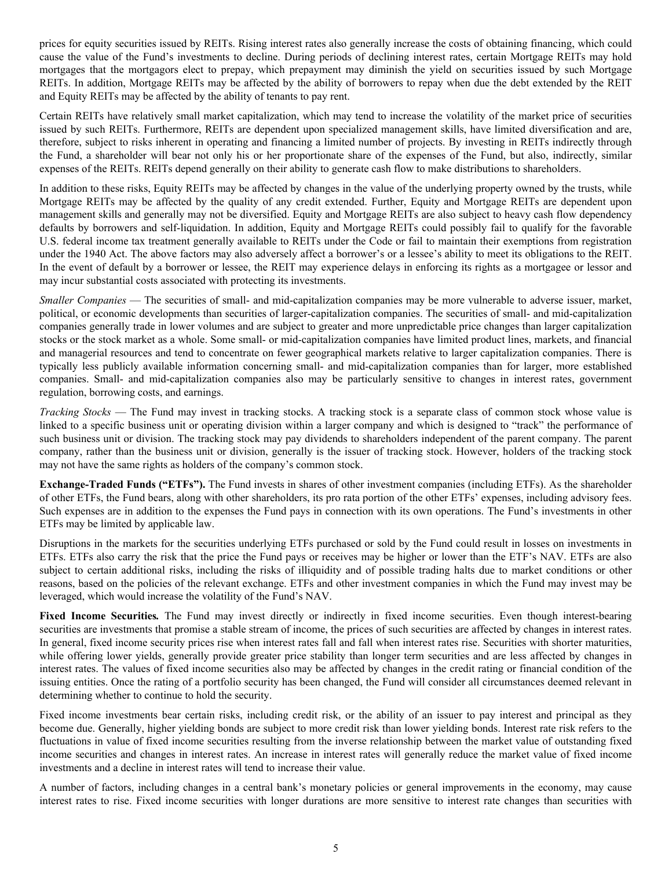prices for equity securities issued by REITs. Rising interest rates also generally increase the costs of obtaining financing, which could cause the value of the Fund's investments to decline. During periods of declining interest rates, certain Mortgage REITs may hold mortgages that the mortgagors elect to prepay, which prepayment may diminish the yield on securities issued by such Mortgage REITs. In addition, Mortgage REITs may be affected by the ability of borrowers to repay when due the debt extended by the REIT and Equity REITs may be affected by the ability of tenants to pay rent.

Certain REITs have relatively small market capitalization, which may tend to increase the volatility of the market price of securities issued by such REITs. Furthermore, REITs are dependent upon specialized management skills, have limited diversification and are, therefore, subject to risks inherent in operating and financing a limited number of projects. By investing in REITs indirectly through the Fund, a shareholder will bear not only his or her proportionate share of the expenses of the Fund, but also, indirectly, similar expenses of the REITs. REITs depend generally on their ability to generate cash flow to make distributions to shareholders.

In addition to these risks, Equity REITs may be affected by changes in the value of the underlying property owned by the trusts, while Mortgage REITs may be affected by the quality of any credit extended. Further, Equity and Mortgage REITs are dependent upon management skills and generally may not be diversified. Equity and Mortgage REITs are also subject to heavy cash flow dependency defaults by borrowers and self-liquidation. In addition, Equity and Mortgage REITs could possibly fail to qualify for the favorable U.S. federal income tax treatment generally available to REITs under the Code or fail to maintain their exemptions from registration under the 1940 Act. The above factors may also adversely affect a borrower's or a lessee's ability to meet its obligations to the REIT. In the event of default by a borrower or lessee, the REIT may experience delays in enforcing its rights as a mortgagee or lessor and may incur substantial costs associated with protecting its investments.

*Smaller Companies* — The securities of small- and mid-capitalization companies may be more vulnerable to adverse issuer, market, political, or economic developments than securities of larger-capitalization companies. The securities of small- and mid-capitalization companies generally trade in lower volumes and are subject to greater and more unpredictable price changes than larger capitalization stocks or the stock market as a whole. Some small- or mid-capitalization companies have limited product lines, markets, and financial and managerial resources and tend to concentrate on fewer geographical markets relative to larger capitalization companies. There is typically less publicly available information concerning small- and mid-capitalization companies than for larger, more established companies. Small- and mid-capitalization companies also may be particularly sensitive to changes in interest rates, government regulation, borrowing costs, and earnings.

*Tracking Stocks* — The Fund may invest in tracking stocks. A tracking stock is a separate class of common stock whose value is linked to a specific business unit or operating division within a larger company and which is designed to "track" the performance of such business unit or division. The tracking stock may pay dividends to shareholders independent of the parent company. The parent company, rather than the business unit or division, generally is the issuer of tracking stock. However, holders of the tracking stock may not have the same rights as holders of the company's common stock.

**Exchange-Traded Funds ("ETFs").** The Fund invests in shares of other investment companies (including ETFs). As the shareholder of other ETFs, the Fund bears, along with other shareholders, its pro rata portion of the other ETFs' expenses, including advisory fees. Such expenses are in addition to the expenses the Fund pays in connection with its own operations. The Fund's investments in other ETFs may be limited by applicable law.

Disruptions in the markets for the securities underlying ETFs purchased or sold by the Fund could result in losses on investments in ETFs. ETFs also carry the risk that the price the Fund pays or receives may be higher or lower than the ETF's NAV. ETFs are also subject to certain additional risks, including the risks of illiquidity and of possible trading halts due to market conditions or other reasons, based on the policies of the relevant exchange. ETFs and other investment companies in which the Fund may invest may be leveraged, which would increase the volatility of the Fund's NAV.

**Fixed Income Securities***.* The Fund may invest directly or indirectly in fixed income securities. Even though interest-bearing securities are investments that promise a stable stream of income, the prices of such securities are affected by changes in interest rates. In general, fixed income security prices rise when interest rates fall and fall when interest rates rise. Securities with shorter maturities, while offering lower yields, generally provide greater price stability than longer term securities and are less affected by changes in interest rates. The values of fixed income securities also may be affected by changes in the credit rating or financial condition of the issuing entities. Once the rating of a portfolio security has been changed, the Fund will consider all circumstances deemed relevant in determining whether to continue to hold the security.

Fixed income investments bear certain risks, including credit risk, or the ability of an issuer to pay interest and principal as they become due. Generally, higher yielding bonds are subject to more credit risk than lower yielding bonds. Interest rate risk refers to the fluctuations in value of fixed income securities resulting from the inverse relationship between the market value of outstanding fixed income securities and changes in interest rates. An increase in interest rates will generally reduce the market value of fixed income investments and a decline in interest rates will tend to increase their value.

A number of factors, including changes in a central bank's monetary policies or general improvements in the economy, may cause interest rates to rise. Fixed income securities with longer durations are more sensitive to interest rate changes than securities with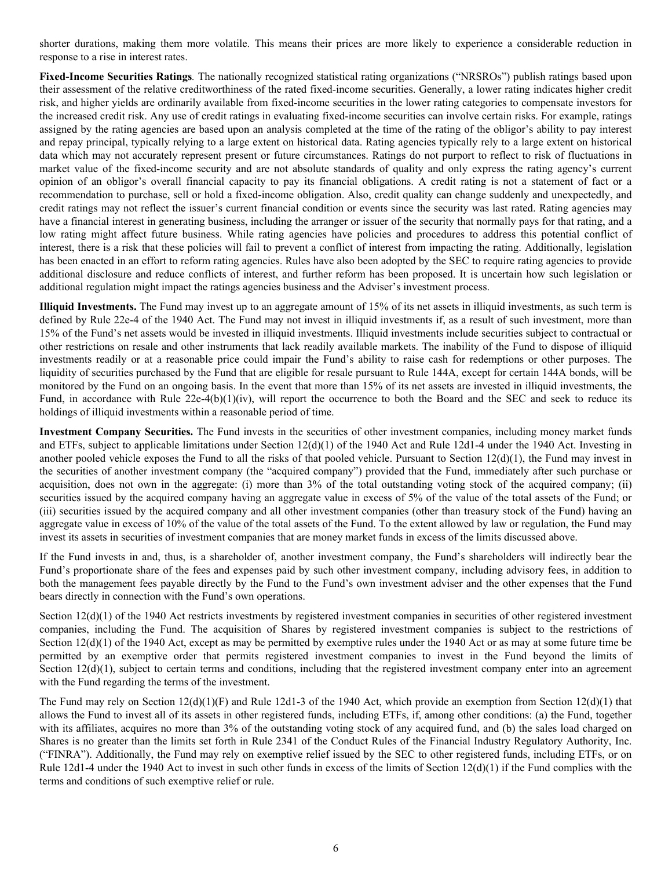shorter durations, making them more volatile. This means their prices are more likely to experience a considerable reduction in response to a rise in interest rates.

**Fixed-Income Securities Ratings***.* The nationally recognized statistical rating organizations ("NRSROs") publish ratings based upon their assessment of the relative creditworthiness of the rated fixed-income securities. Generally, a lower rating indicates higher credit risk, and higher yields are ordinarily available from fixed-income securities in the lower rating categories to compensate investors for the increased credit risk. Any use of credit ratings in evaluating fixed-income securities can involve certain risks. For example, ratings assigned by the rating agencies are based upon an analysis completed at the time of the rating of the obligor's ability to pay interest and repay principal, typically relying to a large extent on historical data. Rating agencies typically rely to a large extent on historical data which may not accurately represent present or future circumstances. Ratings do not purport to reflect to risk of fluctuations in market value of the fixed-income security and are not absolute standards of quality and only express the rating agency's current opinion of an obligor's overall financial capacity to pay its financial obligations. A credit rating is not a statement of fact or a recommendation to purchase, sell or hold a fixed-income obligation. Also, credit quality can change suddenly and unexpectedly, and credit ratings may not reflect the issuer's current financial condition or events since the security was last rated. Rating agencies may have a financial interest in generating business, including the arranger or issuer of the security that normally pays for that rating, and a low rating might affect future business. While rating agencies have policies and procedures to address this potential conflict of interest, there is a risk that these policies will fail to prevent a conflict of interest from impacting the rating. Additionally, legislation has been enacted in an effort to reform rating agencies. Rules have also been adopted by the SEC to require rating agencies to provide additional disclosure and reduce conflicts of interest, and further reform has been proposed. It is uncertain how such legislation or additional regulation might impact the ratings agencies business and the Adviser's investment process.

**Illiquid Investments.** The Fund may invest up to an aggregate amount of 15% of its net assets in illiquid investments, as such term is defined by Rule 22e-4 of the 1940 Act. The Fund may not invest in illiquid investments if, as a result of such investment, more than 15% of the Fund's net assets would be invested in illiquid investments. Illiquid investments include securities subject to contractual or other restrictions on resale and other instruments that lack readily available markets. The inability of the Fund to dispose of illiquid investments readily or at a reasonable price could impair the Fund's ability to raise cash for redemptions or other purposes. The liquidity of securities purchased by the Fund that are eligible for resale pursuant to Rule 144A, except for certain 144A bonds, will be monitored by the Fund on an ongoing basis. In the event that more than 15% of its net assets are invested in illiquid investments, the Fund, in accordance with Rule  $22e-4(b)(1)(iv)$ , will report the occurrence to both the Board and the SEC and seek to reduce its holdings of illiquid investments within a reasonable period of time.

**Investment Company Securities.** The Fund invests in the securities of other investment companies, including money market funds and ETFs, subject to applicable limitations under Section 12(d)(1) of the 1940 Act and Rule 12d1-4 under the 1940 Act. Investing in another pooled vehicle exposes the Fund to all the risks of that pooled vehicle. Pursuant to Section  $12(d)(1)$ , the Fund may invest in the securities of another investment company (the "acquired company") provided that the Fund, immediately after such purchase or acquisition, does not own in the aggregate: (i) more than 3% of the total outstanding voting stock of the acquired company; (ii) securities issued by the acquired company having an aggregate value in excess of 5% of the value of the total assets of the Fund; or (iii) securities issued by the acquired company and all other investment companies (other than treasury stock of the Fund) having an aggregate value in excess of 10% of the value of the total assets of the Fund. To the extent allowed by law or regulation, the Fund may invest its assets in securities of investment companies that are money market funds in excess of the limits discussed above.

If the Fund invests in and, thus, is a shareholder of, another investment company, the Fund's shareholders will indirectly bear the Fund's proportionate share of the fees and expenses paid by such other investment company, including advisory fees, in addition to both the management fees payable directly by the Fund to the Fund's own investment adviser and the other expenses that the Fund bears directly in connection with the Fund's own operations.

Section 12(d)(1) of the 1940 Act restricts investments by registered investment companies in securities of other registered investment companies, including the Fund. The acquisition of Shares by registered investment companies is subject to the restrictions of Section  $12(d)(1)$  of the 1940 Act, except as may be permitted by exemptive rules under the 1940 Act or as may at some future time be permitted by an exemptive order that permits registered investment companies to invest in the Fund beyond the limits of Section  $12(d)(1)$ , subject to certain terms and conditions, including that the registered investment company enter into an agreement with the Fund regarding the terms of the investment.

The Fund may rely on Section  $12(d)(1)(F)$  and Rule 12d1-3 of the 1940 Act, which provide an exemption from Section  $12(d)(1)$  that allows the Fund to invest all of its assets in other registered funds, including ETFs, if, among other conditions: (a) the Fund, together with its affiliates, acquires no more than 3% of the outstanding voting stock of any acquired fund, and (b) the sales load charged on Shares is no greater than the limits set forth in Rule 2341 of the Conduct Rules of the Financial Industry Regulatory Authority, Inc. ("FINRA"). Additionally, the Fund may rely on exemptive relief issued by the SEC to other registered funds, including ETFs, or on Rule 12d1-4 under the 1940 Act to invest in such other funds in excess of the limits of Section  $12(d)(1)$  if the Fund complies with the terms and conditions of such exemptive relief or rule.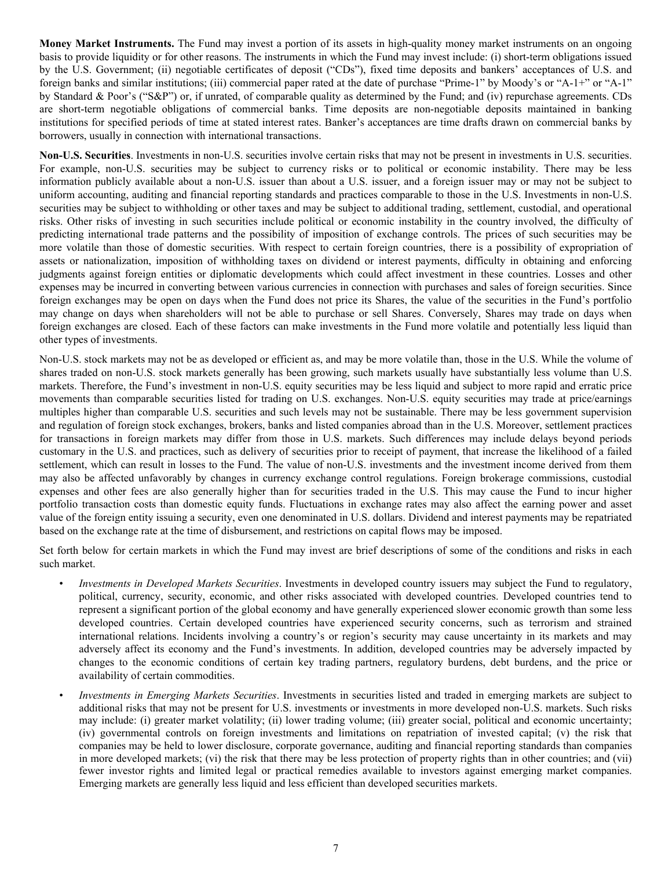**Money Market Instruments.** The Fund may invest a portion of its assets in high-quality money market instruments on an ongoing basis to provide liquidity or for other reasons. The instruments in which the Fund may invest include: (i) short-term obligations issued by the U.S. Government; (ii) negotiable certificates of deposit ("CDs"), fixed time deposits and bankers' acceptances of U.S. and foreign banks and similar institutions; (iii) commercial paper rated at the date of purchase "Prime-1" by Moody's or "A-1+" or "A-1" by Standard & Poor's ("S&P") or, if unrated, of comparable quality as determined by the Fund; and (iv) repurchase agreements. CDs are short-term negotiable obligations of commercial banks. Time deposits are non-negotiable deposits maintained in banking institutions for specified periods of time at stated interest rates. Banker's acceptances are time drafts drawn on commercial banks by borrowers, usually in connection with international transactions.

**Non-U.S. Securities**. Investments in non-U.S. securities involve certain risks that may not be present in investments in U.S. securities. For example, non-U.S. securities may be subject to currency risks or to political or economic instability. There may be less information publicly available about a non-U.S. issuer than about a U.S. issuer, and a foreign issuer may or may not be subject to uniform accounting, auditing and financial reporting standards and practices comparable to those in the U.S. Investments in non-U.S. securities may be subject to withholding or other taxes and may be subject to additional trading, settlement, custodial, and operational risks. Other risks of investing in such securities include political or economic instability in the country involved, the difficulty of predicting international trade patterns and the possibility of imposition of exchange controls. The prices of such securities may be more volatile than those of domestic securities. With respect to certain foreign countries, there is a possibility of expropriation of assets or nationalization, imposition of withholding taxes on dividend or interest payments, difficulty in obtaining and enforcing judgments against foreign entities or diplomatic developments which could affect investment in these countries. Losses and other expenses may be incurred in converting between various currencies in connection with purchases and sales of foreign securities. Since foreign exchanges may be open on days when the Fund does not price its Shares, the value of the securities in the Fund's portfolio may change on days when shareholders will not be able to purchase or sell Shares. Conversely, Shares may trade on days when foreign exchanges are closed. Each of these factors can make investments in the Fund more volatile and potentially less liquid than other types of investments.

Non-U.S. stock markets may not be as developed or efficient as, and may be more volatile than, those in the U.S. While the volume of shares traded on non-U.S. stock markets generally has been growing, such markets usually have substantially less volume than U.S. markets. Therefore, the Fund's investment in non-U.S. equity securities may be less liquid and subject to more rapid and erratic price movements than comparable securities listed for trading on U.S. exchanges. Non-U.S. equity securities may trade at price/earnings multiples higher than comparable U.S. securities and such levels may not be sustainable. There may be less government supervision and regulation of foreign stock exchanges, brokers, banks and listed companies abroad than in the U.S. Moreover, settlement practices for transactions in foreign markets may differ from those in U.S. markets. Such differences may include delays beyond periods customary in the U.S. and practices, such as delivery of securities prior to receipt of payment, that increase the likelihood of a failed settlement, which can result in losses to the Fund. The value of non-U.S. investments and the investment income derived from them may also be affected unfavorably by changes in currency exchange control regulations. Foreign brokerage commissions, custodial expenses and other fees are also generally higher than for securities traded in the U.S. This may cause the Fund to incur higher portfolio transaction costs than domestic equity funds. Fluctuations in exchange rates may also affect the earning power and asset value of the foreign entity issuing a security, even one denominated in U.S. dollars. Dividend and interest payments may be repatriated based on the exchange rate at the time of disbursement, and restrictions on capital flows may be imposed.

Set forth below for certain markets in which the Fund may invest are brief descriptions of some of the conditions and risks in each such market.

- *Investments in Developed Markets Securities*. Investments in developed country issuers may subject the Fund to regulatory, political, currency, security, economic, and other risks associated with developed countries. Developed countries tend to represent a significant portion of the global economy and have generally experienced slower economic growth than some less developed countries. Certain developed countries have experienced security concerns, such as terrorism and strained international relations. Incidents involving a country's or region's security may cause uncertainty in its markets and may adversely affect its economy and the Fund's investments. In addition, developed countries may be adversely impacted by changes to the economic conditions of certain key trading partners, regulatory burdens, debt burdens, and the price or availability of certain commodities.
- *Investments in Emerging Markets Securities*. Investments in securities listed and traded in emerging markets are subject to additional risks that may not be present for U.S. investments or investments in more developed non-U.S. markets. Such risks may include: (i) greater market volatility; (ii) lower trading volume; (iii) greater social, political and economic uncertainty; (iv) governmental controls on foreign investments and limitations on repatriation of invested capital; (v) the risk that companies may be held to lower disclosure, corporate governance, auditing and financial reporting standards than companies in more developed markets; (vi) the risk that there may be less protection of property rights than in other countries; and (vii) fewer investor rights and limited legal or practical remedies available to investors against emerging market companies. Emerging markets are generally less liquid and less efficient than developed securities markets.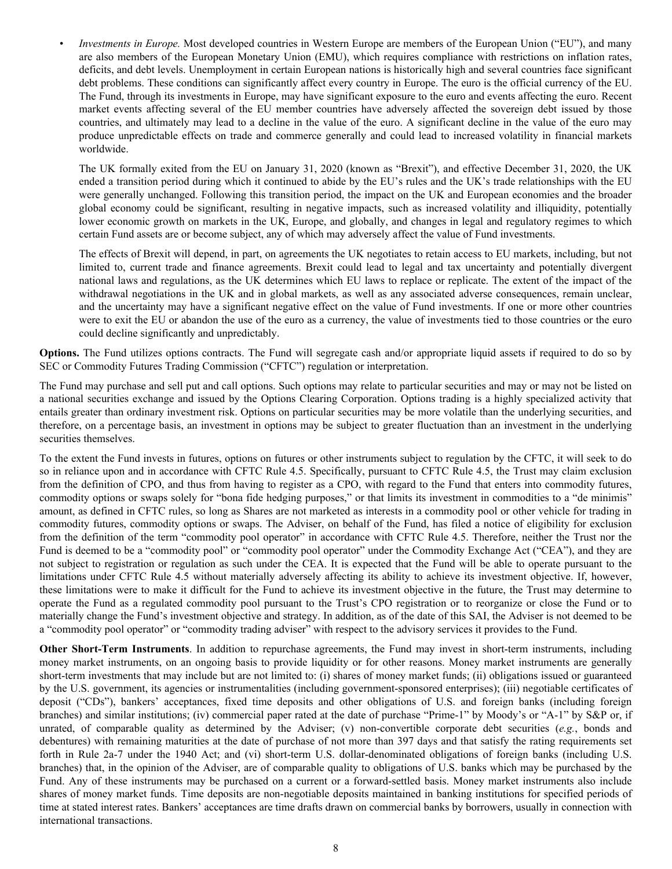*Investments in Europe.* Most developed countries in Western Europe are members of the European Union ("EU"), and many are also members of the European Monetary Union (EMU), which requires compliance with restrictions on inflation rates, deficits, and debt levels. Unemployment in certain European nations is historically high and several countries face significant debt problems. These conditions can significantly affect every country in Europe. The euro is the official currency of the EU. The Fund, through its investments in Europe, may have significant exposure to the euro and events affecting the euro. Recent market events affecting several of the EU member countries have adversely affected the sovereign debt issued by those countries, and ultimately may lead to a decline in the value of the euro. A significant decline in the value of the euro may produce unpredictable effects on trade and commerce generally and could lead to increased volatility in financial markets worldwide.

The UK formally exited from the EU on January 31, 2020 (known as "Brexit"), and effective December 31, 2020, the UK ended a transition period during which it continued to abide by the EU's rules and the UK's trade relationships with the EU were generally unchanged. Following this transition period, the impact on the UK and European economies and the broader global economy could be significant, resulting in negative impacts, such as increased volatility and illiquidity, potentially lower economic growth on markets in the UK, Europe, and globally, and changes in legal and regulatory regimes to which certain Fund assets are or become subject, any of which may adversely affect the value of Fund investments.

The effects of Brexit will depend, in part, on agreements the UK negotiates to retain access to EU markets, including, but not limited to, current trade and finance agreements. Brexit could lead to legal and tax uncertainty and potentially divergent national laws and regulations, as the UK determines which EU laws to replace or replicate. The extent of the impact of the withdrawal negotiations in the UK and in global markets, as well as any associated adverse consequences, remain unclear, and the uncertainty may have a significant negative effect on the value of Fund investments. If one or more other countries were to exit the EU or abandon the use of the euro as a currency, the value of investments tied to those countries or the euro could decline significantly and unpredictably.

**Options.** The Fund utilizes options contracts. The Fund will segregate cash and/or appropriate liquid assets if required to do so by SEC or Commodity Futures Trading Commission ("CFTC") regulation or interpretation.

The Fund may purchase and sell put and call options. Such options may relate to particular securities and may or may not be listed on a national securities exchange and issued by the Options Clearing Corporation. Options trading is a highly specialized activity that entails greater than ordinary investment risk. Options on particular securities may be more volatile than the underlying securities, and therefore, on a percentage basis, an investment in options may be subject to greater fluctuation than an investment in the underlying securities themselves.

To the extent the Fund invests in futures, options on futures or other instruments subject to regulation by the CFTC, it will seek to do so in reliance upon and in accordance with CFTC Rule 4.5. Specifically, pursuant to CFTC Rule 4.5, the Trust may claim exclusion from the definition of CPO, and thus from having to register as a CPO, with regard to the Fund that enters into commodity futures, commodity options or swaps solely for "bona fide hedging purposes," or that limits its investment in commodities to a "de minimis" amount, as defined in CFTC rules, so long as Shares are not marketed as interests in a commodity pool or other vehicle for trading in commodity futures, commodity options or swaps. The Adviser, on behalf of the Fund, has filed a notice of eligibility for exclusion from the definition of the term "commodity pool operator" in accordance with CFTC Rule 4.5. Therefore, neither the Trust nor the Fund is deemed to be a "commodity pool" or "commodity pool operator" under the Commodity Exchange Act ("CEA"), and they are not subject to registration or regulation as such under the CEA. It is expected that the Fund will be able to operate pursuant to the limitations under CFTC Rule 4.5 without materially adversely affecting its ability to achieve its investment objective. If, however, these limitations were to make it difficult for the Fund to achieve its investment objective in the future, the Trust may determine to operate the Fund as a regulated commodity pool pursuant to the Trust's CPO registration or to reorganize or close the Fund or to materially change the Fund's investment objective and strategy. In addition, as of the date of this SAI, the Adviser is not deemed to be a "commodity pool operator" or "commodity trading adviser" with respect to the advisory services it provides to the Fund.

**Other Short-Term Instruments**. In addition to repurchase agreements, the Fund may invest in short-term instruments, including money market instruments, on an ongoing basis to provide liquidity or for other reasons. Money market instruments are generally short-term investments that may include but are not limited to: (i) shares of money market funds; (ii) obligations issued or guaranteed by the U.S. government, its agencies or instrumentalities (including government-sponsored enterprises); (iii) negotiable certificates of deposit ("CDs"), bankers' acceptances, fixed time deposits and other obligations of U.S. and foreign banks (including foreign branches) and similar institutions; (iv) commercial paper rated at the date of purchase "Prime-1" by Moody's or "A-1" by S&P or, if unrated, of comparable quality as determined by the Adviser; (v) non-convertible corporate debt securities ( $e.g.,$  bonds and debentures) with remaining maturities at the date of purchase of not more than 397 days and that satisfy the rating requirements set forth in Rule 2a-7 under the 1940 Act; and (vi) short-term U.S. dollar-denominated obligations of foreign banks (including U.S. branches) that, in the opinion of the Adviser, are of comparable quality to obligations of U.S. banks which may be purchased by the Fund. Any of these instruments may be purchased on a current or a forward-settled basis. Money market instruments also include shares of money market funds. Time deposits are non-negotiable deposits maintained in banking institutions for specified periods of time at stated interest rates. Bankers' acceptances are time drafts drawn on commercial banks by borrowers, usually in connection with international transactions.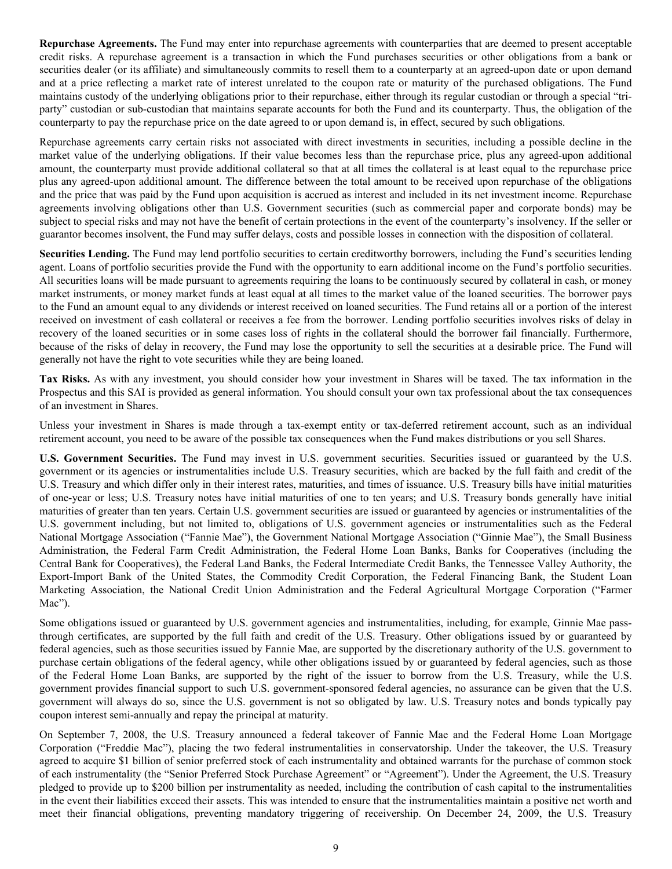**Repurchase Agreements.** The Fund may enter into repurchase agreements with counterparties that are deemed to present acceptable credit risks. A repurchase agreement is a transaction in which the Fund purchases securities or other obligations from a bank or securities dealer (or its affiliate) and simultaneously commits to resell them to a counterparty at an agreed-upon date or upon demand and at a price reflecting a market rate of interest unrelated to the coupon rate or maturity of the purchased obligations. The Fund maintains custody of the underlying obligations prior to their repurchase, either through its regular custodian or through a special "triparty" custodian or sub-custodian that maintains separate accounts for both the Fund and its counterparty. Thus, the obligation of the counterparty to pay the repurchase price on the date agreed to or upon demand is, in effect, secured by such obligations.

Repurchase agreements carry certain risks not associated with direct investments in securities, including a possible decline in the market value of the underlying obligations. If their value becomes less than the repurchase price, plus any agreed-upon additional amount, the counterparty must provide additional collateral so that at all times the collateral is at least equal to the repurchase price plus any agreed-upon additional amount. The difference between the total amount to be received upon repurchase of the obligations and the price that was paid by the Fund upon acquisition is accrued as interest and included in its net investment income. Repurchase agreements involving obligations other than U.S. Government securities (such as commercial paper and corporate bonds) may be subject to special risks and may not have the benefit of certain protections in the event of the counterparty's insolvency. If the seller or guarantor becomes insolvent, the Fund may suffer delays, costs and possible losses in connection with the disposition of collateral.

**Securities Lending.** The Fund may lend portfolio securities to certain creditworthy borrowers, including the Fund's securities lending agent. Loans of portfolio securities provide the Fund with the opportunity to earn additional income on the Fund's portfolio securities. All securities loans will be made pursuant to agreements requiring the loans to be continuously secured by collateral in cash, or money market instruments, or money market funds at least equal at all times to the market value of the loaned securities. The borrower pays to the Fund an amount equal to any dividends or interest received on loaned securities. The Fund retains all or a portion of the interest received on investment of cash collateral or receives a fee from the borrower. Lending portfolio securities involves risks of delay in recovery of the loaned securities or in some cases loss of rights in the collateral should the borrower fail financially. Furthermore, because of the risks of delay in recovery, the Fund may lose the opportunity to sell the securities at a desirable price. The Fund will generally not have the right to vote securities while they are being loaned.

**Tax Risks.** As with any investment, you should consider how your investment in Shares will be taxed. The tax information in the Prospectus and this SAI is provided as general information. You should consult your own tax professional about the tax consequences of an investment in Shares.

Unless your investment in Shares is made through a tax-exempt entity or tax-deferred retirement account, such as an individual retirement account, you need to be aware of the possible tax consequences when the Fund makes distributions or you sell Shares.

**U.S. Government Securities.** The Fund may invest in U.S. government securities. Securities issued or guaranteed by the U.S. government or its agencies or instrumentalities include U.S. Treasury securities, which are backed by the full faith and credit of the U.S. Treasury and which differ only in their interest rates, maturities, and times of issuance. U.S. Treasury bills have initial maturities of one-year or less; U.S. Treasury notes have initial maturities of one to ten years; and U.S. Treasury bonds generally have initial maturities of greater than ten years. Certain U.S. government securities are issued or guaranteed by agencies or instrumentalities of the U.S. government including, but not limited to, obligations of U.S. government agencies or instrumentalities such as the Federal National Mortgage Association ("Fannie Mae"), the Government National Mortgage Association ("Ginnie Mae"), the Small Business Administration, the Federal Farm Credit Administration, the Federal Home Loan Banks, Banks for Cooperatives (including the Central Bank for Cooperatives), the Federal Land Banks, the Federal Intermediate Credit Banks, the Tennessee Valley Authority, the Export-Import Bank of the United States, the Commodity Credit Corporation, the Federal Financing Bank, the Student Loan Marketing Association, the National Credit Union Administration and the Federal Agricultural Mortgage Corporation ("Farmer Mac").

Some obligations issued or guaranteed by U.S. government agencies and instrumentalities, including, for example, Ginnie Mae passthrough certificates, are supported by the full faith and credit of the U.S. Treasury. Other obligations issued by or guaranteed by federal agencies, such as those securities issued by Fannie Mae, are supported by the discretionary authority of the U.S. government to purchase certain obligations of the federal agency, while other obligations issued by or guaranteed by federal agencies, such as those of the Federal Home Loan Banks, are supported by the right of the issuer to borrow from the U.S. Treasury, while the U.S. government provides financial support to such U.S. government-sponsored federal agencies, no assurance can be given that the U.S. government will always do so, since the U.S. government is not so obligated by law. U.S. Treasury notes and bonds typically pay coupon interest semi-annually and repay the principal at maturity.

On September 7, 2008, the U.S. Treasury announced a federal takeover of Fannie Mae and the Federal Home Loan Mortgage Corporation ("Freddie Mac"), placing the two federal instrumentalities in conservatorship. Under the takeover, the U.S. Treasury agreed to acquire \$1 billion of senior preferred stock of each instrumentality and obtained warrants for the purchase of common stock of each instrumentality (the "Senior Preferred Stock Purchase Agreement" or "Agreement"). Under the Agreement, the U.S. Treasury pledged to provide up to \$200 billion per instrumentality as needed, including the contribution of cash capital to the instrumentalities in the event their liabilities exceed their assets. This was intended to ensure that the instrumentalities maintain a positive net worth and meet their financial obligations, preventing mandatory triggering of receivership. On December 24, 2009, the U.S. Treasury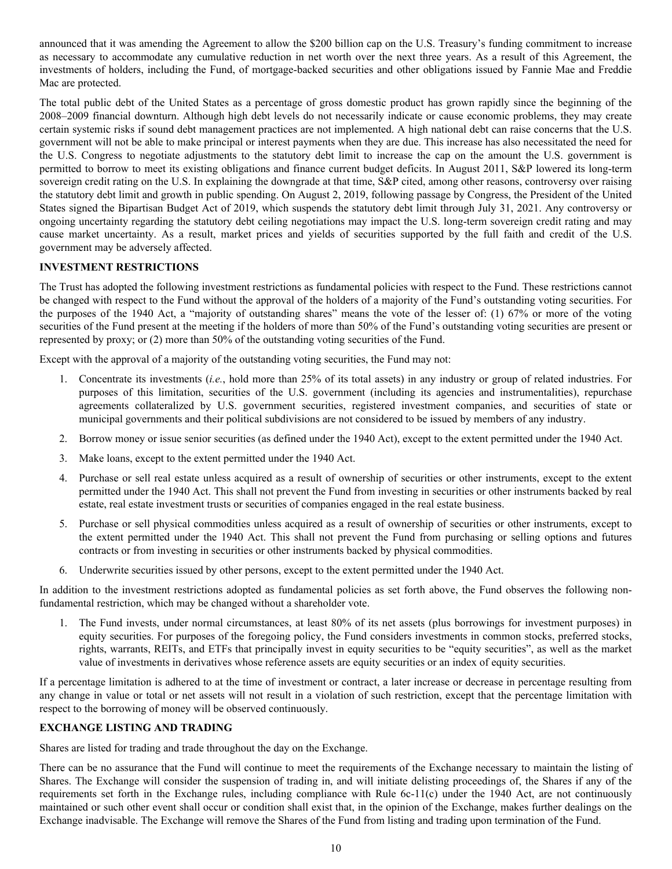<span id="page-10-0"></span>announced that it was amending the Agreement to allow the \$200 billion cap on the U.S. Treasury's funding commitment to increase as necessary to accommodate any cumulative reduction in net worth over the next three years. As a result of this Agreement, the investments of holders, including the Fund, of mortgage-backed securities and other obligations issued by Fannie Mae and Freddie Mac are protected.

The total public debt of the United States as a percentage of gross domestic product has grown rapidly since the beginning of the 2008–2009 financial downturn. Although high debt levels do not necessarily indicate or cause economic problems, they may create certain systemic risks if sound debt management practices are not implemented. A high national debt can raise concerns that the U.S. government will not be able to make principal or interest payments when they are due. This increase has also necessitated the need for the U.S. Congress to negotiate adjustments to the statutory debt limit to increase the cap on the amount the U.S. government is permitted to borrow to meet its existing obligations and finance current budget deficits. In August 2011, S&P lowered its long-term sovereign credit rating on the U.S. In explaining the downgrade at that time, S&P cited, among other reasons, controversy over raising the statutory debt limit and growth in public spending. On August 2, 2019, following passage by Congress, the President of the United States signed the Bipartisan Budget Act of 2019, which suspends the statutory debt limit through July 31, 2021. Any controversy or ongoing uncertainty regarding the statutory debt ceiling negotiations may impact the U.S. long-term sovereign credit rating and may cause market uncertainty. As a result, market prices and yields of securities supported by the full faith and credit of the U.S. government may be adversely affected.

# **INVESTMENT RESTRICTIONS**

The Trust has adopted the following investment restrictions as fundamental policies with respect to the Fund. These restrictions cannot be changed with respect to the Fund without the approval of the holders of a majority of the Fund's outstanding voting securities. For the purposes of the 1940 Act, a "majority of outstanding shares" means the vote of the lesser of: (1) 67% or more of the voting securities of the Fund present at the meeting if the holders of more than 50% of the Fund's outstanding voting securities are present or represented by proxy; or (2) more than 50% of the outstanding voting securities of the Fund.

Except with the approval of a majority of the outstanding voting securities, the Fund may not:

- 1. Concentrate its investments (*i.e.*, hold more than 25% of its total assets) in any industry or group of related industries. For purposes of this limitation, securities of the U.S. government (including its agencies and instrumentalities), repurchase agreements collateralized by U.S. government securities, registered investment companies, and securities of state or municipal governments and their political subdivisions are not considered to be issued by members of any industry.
- 2. Borrow money or issue senior securities (as defined under the 1940 Act), except to the extent permitted under the 1940 Act.
- 3. Make loans, except to the extent permitted under the 1940 Act.
- 4. Purchase or sell real estate unless acquired as a result of ownership of securities or other instruments, except to the extent permitted under the 1940 Act. This shall not prevent the Fund from investing in securities or other instruments backed by real estate, real estate investment trusts or securities of companies engaged in the real estate business.
- 5. Purchase or sell physical commodities unless acquired as a result of ownership of securities or other instruments, except to the extent permitted under the 1940 Act. This shall not prevent the Fund from purchasing or selling options and futures contracts or from investing in securities or other instruments backed by physical commodities.
- 6. Underwrite securities issued by other persons, except to the extent permitted under the 1940 Act.

In addition to the investment restrictions adopted as fundamental policies as set forth above, the Fund observes the following nonfundamental restriction, which may be changed without a shareholder vote.

1. The Fund invests, under normal circumstances, at least 80% of its net assets (plus borrowings for investment purposes) in equity securities. For purposes of the foregoing policy, the Fund considers investments in common stocks, preferred stocks, rights, warrants, REITs, and ETFs that principally invest in equity securities to be "equity securities", as well as the market value of investments in derivatives whose reference assets are equity securities or an index of equity securities.

If a percentage limitation is adhered to at the time of investment or contract, a later increase or decrease in percentage resulting from any change in value or total or net assets will not result in a violation of such restriction, except that the percentage limitation with respect to the borrowing of money will be observed continuously.

# **EXCHANGE LISTING AND TRADING**

Shares are listed for trading and trade throughout the day on the Exchange.

There can be no assurance that the Fund will continue to meet the requirements of the Exchange necessary to maintain the listing of Shares. The Exchange will consider the suspension of trading in, and will initiate delisting proceedings of, the Shares if any of the requirements set forth in the Exchange rules, including compliance with Rule 6c-11(c) under the 1940 Act, are not continuously maintained or such other event shall occur or condition shall exist that, in the opinion of the Exchange, makes further dealings on the Exchange inadvisable. The Exchange will remove the Shares of the Fund from listing and trading upon termination of the Fund.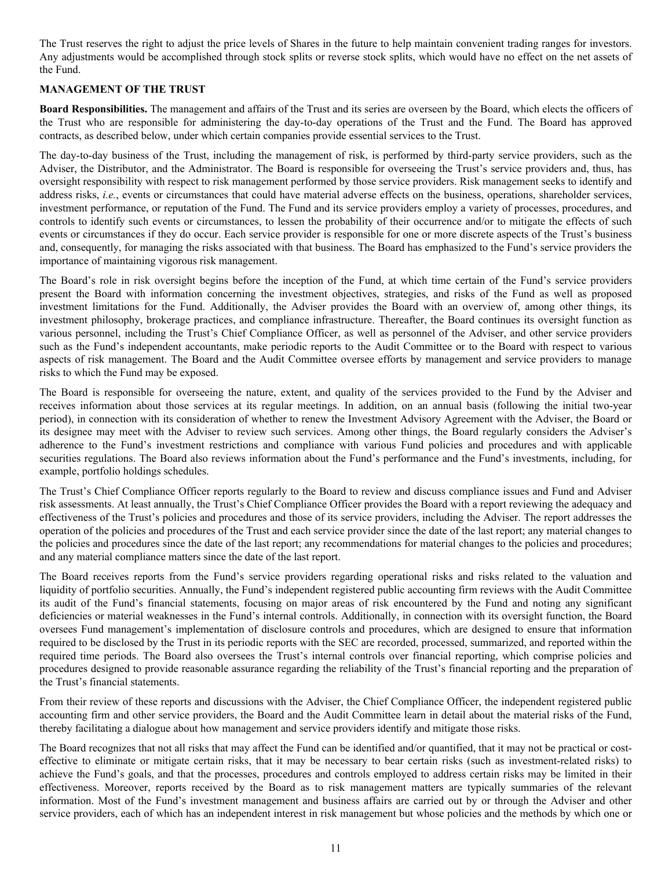<span id="page-11-0"></span>The Trust reserves the right to adjust the price levels of Shares in the future to help maintain convenient trading ranges for investors. Any adjustments would be accomplished through stock splits or reverse stock splits, which would have no effect on the net assets of the Fund.

#### **MANAGEMENT OF THE TRUST**

**Board Responsibilities.** The management and affairs of the Trust and its series are overseen by the Board, which elects the officers of the Trust who are responsible for administering the day-to-day operations of the Trust and the Fund. The Board has approved contracts, as described below, under which certain companies provide essential services to the Trust.

The day-to-day business of the Trust, including the management of risk, is performed by third-party service providers, such as the Adviser, the Distributor, and the Administrator. The Board is responsible for overseeing the Trust's service providers and, thus, has oversight responsibility with respect to risk management performed by those service providers. Risk management seeks to identify and address risks, *i.e.*, events or circumstances that could have material adverse effects on the business, operations, shareholder services, investment performance, or reputation of the Fund. The Fund and its service providers employ a variety of processes, procedures, and controls to identify such events or circumstances, to lessen the probability of their occurrence and/or to mitigate the effects of such events or circumstances if they do occur. Each service provider is responsible for one or more discrete aspects of the Trust's business and, consequently, for managing the risks associated with that business. The Board has emphasized to the Fund's service providers the importance of maintaining vigorous risk management.

The Board's role in risk oversight begins before the inception of the Fund, at which time certain of the Fund's service providers present the Board with information concerning the investment objectives, strategies, and risks of the Fund as well as proposed investment limitations for the Fund. Additionally, the Adviser provides the Board with an overview of, among other things, its investment philosophy, brokerage practices, and compliance infrastructure. Thereafter, the Board continues its oversight function as various personnel, including the Trust's Chief Compliance Officer, as well as personnel of the Adviser, and other service providers such as the Fund's independent accountants, make periodic reports to the Audit Committee or to the Board with respect to various aspects of risk management. The Board and the Audit Committee oversee efforts by management and service providers to manage risks to which the Fund may be exposed.

The Board is responsible for overseeing the nature, extent, and quality of the services provided to the Fund by the Adviser and receives information about those services at its regular meetings. In addition, on an annual basis (following the initial two-year period), in connection with its consideration of whether to renew the Investment Advisory Agreement with the Adviser, the Board or its designee may meet with the Adviser to review such services. Among other things, the Board regularly considers the Adviser's adherence to the Fund's investment restrictions and compliance with various Fund policies and procedures and with applicable securities regulations. The Board also reviews information about the Fund's performance and the Fund's investments, including, for example, portfolio holdings schedules.

The Trust's Chief Compliance Officer reports regularly to the Board to review and discuss compliance issues and Fund and Adviser risk assessments. At least annually, the Trust's Chief Compliance Officer provides the Board with a report reviewing the adequacy and effectiveness of the Trust's policies and procedures and those of its service providers, including the Adviser. The report addresses the operation of the policies and procedures of the Trust and each service provider since the date of the last report; any material changes to the policies and procedures since the date of the last report; any recommendations for material changes to the policies and procedures; and any material compliance matters since the date of the last report.

The Board receives reports from the Fund's service providers regarding operational risks and risks related to the valuation and liquidity of portfolio securities. Annually, the Fund's independent registered public accounting firm reviews with the Audit Committee its audit of the Fund's financial statements, focusing on major areas of risk encountered by the Fund and noting any significant deficiencies or material weaknesses in the Fund's internal controls. Additionally, in connection with its oversight function, the Board oversees Fund management's implementation of disclosure controls and procedures, which are designed to ensure that information required to be disclosed by the Trust in its periodic reports with the SEC are recorded, processed, summarized, and reported within the required time periods. The Board also oversees the Trust's internal controls over financial reporting, which comprise policies and procedures designed to provide reasonable assurance regarding the reliability of the Trust's financial reporting and the preparation of the Trust's financial statements.

From their review of these reports and discussions with the Adviser, the Chief Compliance Officer, the independent registered public accounting firm and other service providers, the Board and the Audit Committee learn in detail about the material risks of the Fund, thereby facilitating a dialogue about how management and service providers identify and mitigate those risks.

The Board recognizes that not all risks that may affect the Fund can be identified and/or quantified, that it may not be practical or costeffective to eliminate or mitigate certain risks, that it may be necessary to bear certain risks (such as investment-related risks) to achieve the Fund's goals, and that the processes, procedures and controls employed to address certain risks may be limited in their effectiveness. Moreover, reports received by the Board as to risk management matters are typically summaries of the relevant information. Most of the Fund's investment management and business affairs are carried out by or through the Adviser and other service providers, each of which has an independent interest in risk management but whose policies and the methods by which one or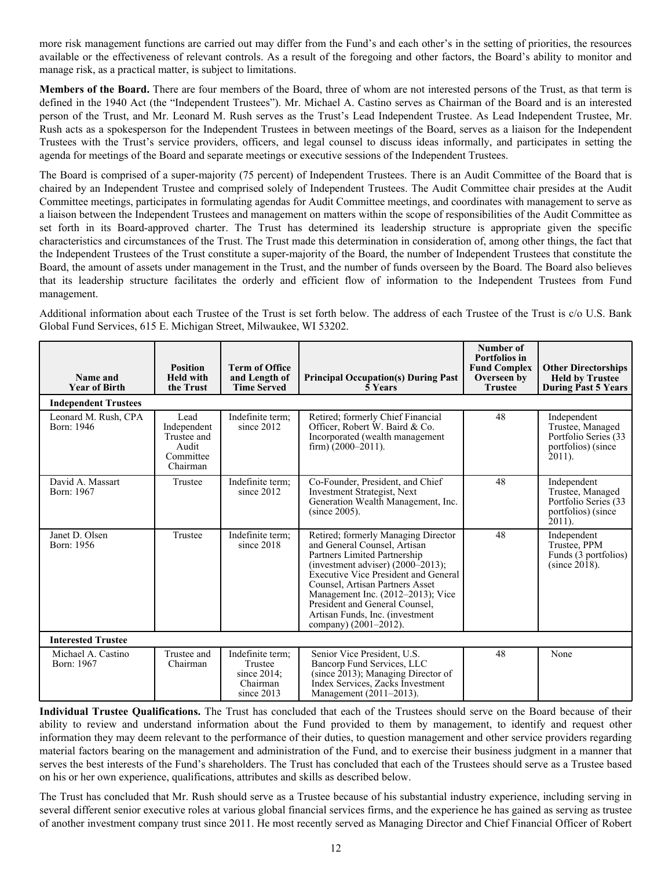more risk management functions are carried out may differ from the Fund's and each other's in the setting of priorities, the resources available or the effectiveness of relevant controls. As a result of the foregoing and other factors, the Board's ability to monitor and manage risk, as a practical matter, is subject to limitations.

**Members of the Board.** There are four members of the Board, three of whom are not interested persons of the Trust, as that term is defined in the 1940 Act (the "Independent Trustees"). Mr. Michael A. Castino serves as Chairman of the Board and is an interested person of the Trust, and Mr. Leonard M. Rush serves as the Trust's Lead Independent Trustee. As Lead Independent Trustee, Mr. Rush acts as a spokesperson for the Independent Trustees in between meetings of the Board, serves as a liaison for the Independent Trustees with the Trust's service providers, officers, and legal counsel to discuss ideas informally, and participates in setting the agenda for meetings of the Board and separate meetings or executive sessions of the Independent Trustees.

The Board is comprised of a super-majority (75 percent) of Independent Trustees. There is an Audit Committee of the Board that is chaired by an Independent Trustee and comprised solely of Independent Trustees. The Audit Committee chair presides at the Audit Committee meetings, participates in formulating agendas for Audit Committee meetings, and coordinates with management to serve as a liaison between the Independent Trustees and management on matters within the scope of responsibilities of the Audit Committee as set forth in its Board-approved charter. The Trust has determined its leadership structure is appropriate given the specific characteristics and circumstances of the Trust. The Trust made this determination in consideration of, among other things, the fact that the Independent Trustees of the Trust constitute a super-majority of the Board, the number of Independent Trustees that constitute the Board, the amount of assets under management in the Trust, and the number of funds overseen by the Board. The Board also believes that its leadership structure facilitates the orderly and efficient flow of information to the Independent Trustees from Fund management.

Additional information about each Trustee of the Trust is set forth below. The address of each Trustee of the Trust is c/o U.S. Bank Global Fund Services, 615 E. Michigan Street, Milwaukee, WI 53202.

| Name and<br><b>Year of Birth</b>   | <b>Position</b><br><b>Held with</b><br>the Trust                     | <b>Term of Office</b><br>and Length of<br><b>Time Served</b>         | <b>Principal Occupation(s) During Past</b><br>5 Years                                                                                                                                                                                                                                                                                                            | Number of<br>Portfolios in<br><b>Fund Complex</b><br>Overseen by<br><b>Trustee</b> | <b>Other Directorships</b><br><b>Held by Trustee</b><br>During Past 5 Years                |  |  |
|------------------------------------|----------------------------------------------------------------------|----------------------------------------------------------------------|------------------------------------------------------------------------------------------------------------------------------------------------------------------------------------------------------------------------------------------------------------------------------------------------------------------------------------------------------------------|------------------------------------------------------------------------------------|--------------------------------------------------------------------------------------------|--|--|
| <b>Independent Trustees</b>        |                                                                      |                                                                      |                                                                                                                                                                                                                                                                                                                                                                  |                                                                                    |                                                                                            |  |  |
| Leonard M. Rush, CPA<br>Born: 1946 | Lead<br>Independent<br>Trustee and<br>Audit<br>Committee<br>Chairman | Indefinite term;<br>since 2012                                       | Retired; formerly Chief Financial<br>Officer, Robert W. Baird & Co.<br>Incorporated (wealth management<br>firm) $(2000-2011)$ .                                                                                                                                                                                                                                  | 48                                                                                 | Independent<br>Trustee, Managed<br>Portfolio Series (33<br>portfolios) (since<br>$2011$ ). |  |  |
| David A. Massart<br>Born: 1967     | Trustee                                                              | Indefinite term;<br>since 2012                                       | Co-Founder, President, and Chief<br>Investment Strategist, Next<br>Generation Wealth Management, Inc.<br>$(since 2005)$ .                                                                                                                                                                                                                                        | 48                                                                                 | Independent<br>Trustee, Managed<br>Portfolio Series (33<br>portfolios) (since<br>$2011$ ). |  |  |
| Janet D. Olsen<br>Born: 1956       | Trustee                                                              | Indefinite term;<br>since $2018$                                     | Retired; formerly Managing Director<br>and General Counsel, Artisan<br>Partners Limited Partnership<br>(investment adviser) $(2000-2013)$ ;<br><b>Executive Vice President and General</b><br>Counsel, Artisan Partners Asset<br>Management Inc. (2012–2013); Vice<br>President and General Counsel.<br>Artisan Funds, Inc. (investment<br>company) (2001-2012). | 48                                                                                 | Independent<br>Trustee, PPM<br>Funds (3 portfolios)<br>$(since 2018)$ .                    |  |  |
| <b>Interested Trustee</b>          |                                                                      |                                                                      |                                                                                                                                                                                                                                                                                                                                                                  |                                                                                    |                                                                                            |  |  |
| Michael A. Castino<br>Born: 1967   | Trustee and<br>Chairman                                              | Indefinite term;<br>Trustee<br>since 2014;<br>Chairman<br>since 2013 | Senior Vice President, U.S.<br>Bancorp Fund Services, LLC<br>(since $2013$ ); Managing Director of<br>Index Services. Zacks Investment<br>Management (2011–2013).                                                                                                                                                                                                | 48                                                                                 | None                                                                                       |  |  |

**Individual Trustee Qualifications.** The Trust has concluded that each of the Trustees should serve on the Board because of their ability to review and understand information about the Fund provided to them by management, to identify and request other information they may deem relevant to the performance of their duties, to question management and other service providers regarding material factors bearing on the management and administration of the Fund, and to exercise their business judgment in a manner that serves the best interests of the Fund's shareholders. The Trust has concluded that each of the Trustees should serve as a Trustee based on his or her own experience, qualifications, attributes and skills as described below.

The Trust has concluded that Mr. Rush should serve as a Trustee because of his substantial industry experience, including serving in several different senior executive roles at various global financial services firms, and the experience he has gained as serving as trustee of another investment company trust since 2011. He most recently served as Managing Director and Chief Financial Officer of Robert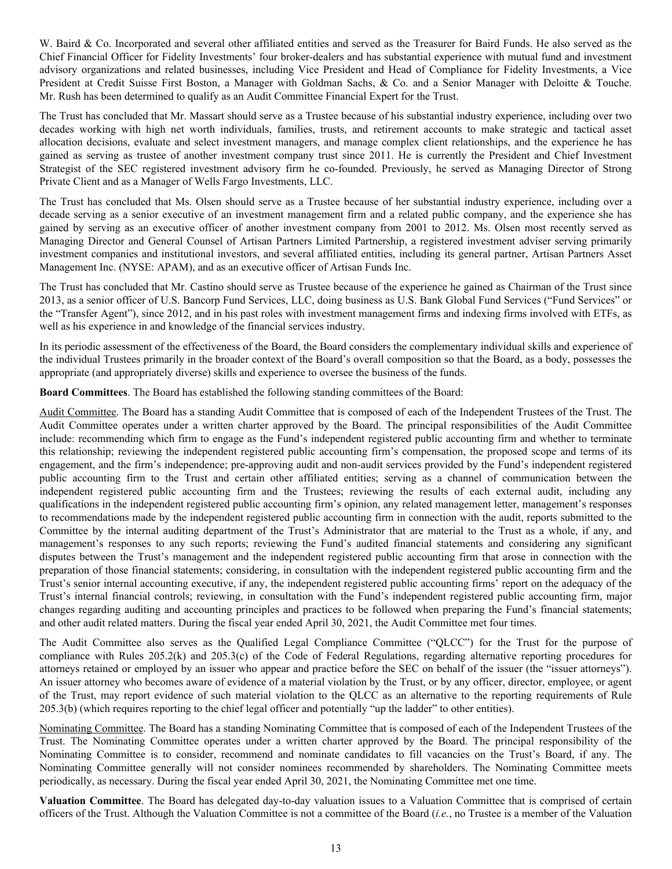W. Baird & Co. Incorporated and several other affiliated entities and served as the Treasurer for Baird Funds. He also served as the Chief Financial Officer for Fidelity Investments' four broker-dealers and has substantial experience with mutual fund and investment advisory organizations and related businesses, including Vice President and Head of Compliance for Fidelity Investments, a Vice President at Credit Suisse First Boston, a Manager with Goldman Sachs, & Co. and a Senior Manager with Deloitte & Touche. Mr. Rush has been determined to qualify as an Audit Committee Financial Expert for the Trust.

The Trust has concluded that Mr. Massart should serve as a Trustee because of his substantial industry experience, including over two decades working with high net worth individuals, families, trusts, and retirement accounts to make strategic and tactical asset allocation decisions, evaluate and select investment managers, and manage complex client relationships, and the experience he has gained as serving as trustee of another investment company trust since 2011. He is currently the President and Chief Investment Strategist of the SEC registered investment advisory firm he co-founded. Previously, he served as Managing Director of Strong Private Client and as a Manager of Wells Fargo Investments, LLC.

The Trust has concluded that Ms. Olsen should serve as a Trustee because of her substantial industry experience, including over a decade serving as a senior executive of an investment management firm and a related public company, and the experience she has gained by serving as an executive officer of another investment company from 2001 to 2012. Ms. Olsen most recently served as Managing Director and General Counsel of Artisan Partners Limited Partnership, a registered investment adviser serving primarily investment companies and institutional investors, and several affiliated entities, including its general partner, Artisan Partners Asset Management Inc. (NYSE: APAM), and as an executive officer of Artisan Funds Inc.

The Trust has concluded that Mr. Castino should serve as Trustee because of the experience he gained as Chairman of the Trust since 2013, as a senior officer of U.S. Bancorp Fund Services, LLC, doing business as U.S. Bank Global Fund Services ("Fund Services" or the "Transfer Agent"), since 2012, and in his past roles with investment management firms and indexing firms involved with ETFs, as well as his experience in and knowledge of the financial services industry.

In its periodic assessment of the effectiveness of the Board, the Board considers the complementary individual skills and experience of the individual Trustees primarily in the broader context of the Board's overall composition so that the Board, as a body, possesses the appropriate (and appropriately diverse) skills and experience to oversee the business of the funds.

**Board Committees**. The Board has established the following standing committees of the Board:

Audit Committee. The Board has a standing Audit Committee that is composed of each of the Independent Trustees of the Trust. The Audit Committee operates under a written charter approved by the Board. The principal responsibilities of the Audit Committee include: recommending which firm to engage as the Fund's independent registered public accounting firm and whether to terminate this relationship; reviewing the independent registered public accounting firm's compensation, the proposed scope and terms of its engagement, and the firm's independence; pre-approving audit and non-audit services provided by the Fund's independent registered public accounting firm to the Trust and certain other affiliated entities; serving as a channel of communication between the independent registered public accounting firm and the Trustees; reviewing the results of each external audit, including any qualifications in the independent registered public accounting firm's opinion, any related management letter, management's responses to recommendations made by the independent registered public accounting firm in connection with the audit, reports submitted to the Committee by the internal auditing department of the Trust's Administrator that are material to the Trust as a whole, if any, and management's responses to any such reports; reviewing the Fund's audited financial statements and considering any significant disputes between the Trust's management and the independent registered public accounting firm that arose in connection with the preparation of those financial statements; considering, in consultation with the independent registered public accounting firm and the Trust's senior internal accounting executive, if any, the independent registered public accounting firms' report on the adequacy of the Trust's internal financial controls; reviewing, in consultation with the Fund's independent registered public accounting firm, major changes regarding auditing and accounting principles and practices to be followed when preparing the Fund's financial statements; and other audit related matters. During the fiscal year ended April 30, 2021, the Audit Committee met four times.

The Audit Committee also serves as the Qualified Legal Compliance Committee ("QLCC") for the Trust for the purpose of compliance with Rules 205.2(k) and 205.3(c) of the Code of Federal Regulations, regarding alternative reporting procedures for attorneys retained or employed by an issuer who appear and practice before the SEC on behalf of the issuer (the "issuer attorneys"). An issuer attorney who becomes aware of evidence of a material violation by the Trust, or by any officer, director, employee, or agent of the Trust, may report evidence of such material violation to the QLCC as an alternative to the reporting requirements of Rule 205.3(b) (which requires reporting to the chief legal officer and potentially "up the ladder" to other entities).

Nominating Committee. The Board has a standing Nominating Committee that is composed of each of the Independent Trustees of the Trust. The Nominating Committee operates under a written charter approved by the Board. The principal responsibility of the Nominating Committee is to consider, recommend and nominate candidates to fill vacancies on the Trust's Board, if any. The Nominating Committee generally will not consider nominees recommended by shareholders. The Nominating Committee meets periodically, as necessary. During the fiscal year ended April 30, 2021, the Nominating Committee met one time.

**Valuation Committee**. The Board has delegated day-to-day valuation issues to a Valuation Committee that is comprised of certain officers of the Trust. Although the Valuation Committee is not a committee of the Board (*i.e.*, no Trustee is a member of the Valuation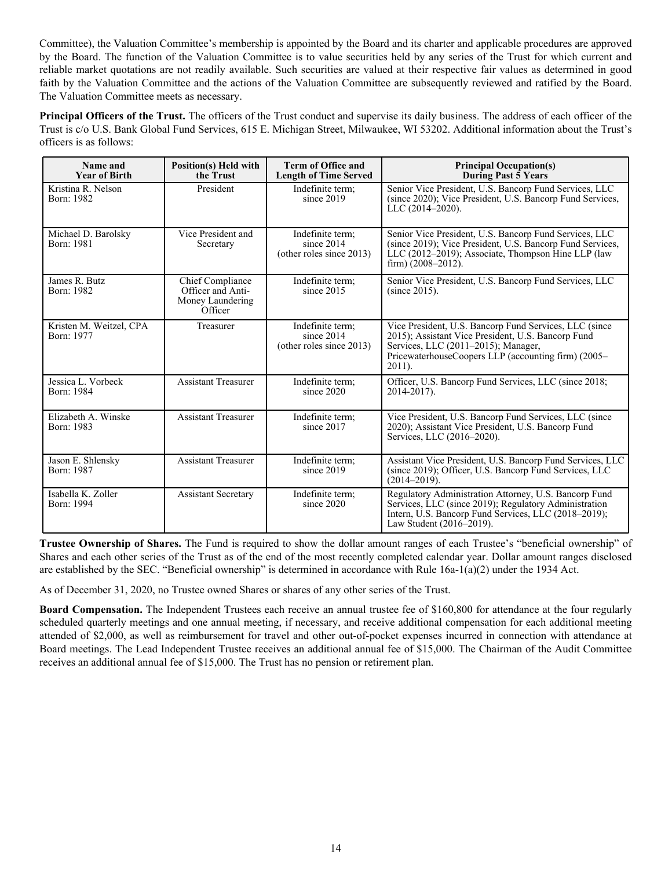Committee), the Valuation Committee's membership is appointed by the Board and its charter and applicable procedures are approved by the Board. The function of the Valuation Committee is to value securities held by any series of the Trust for which current and reliable market quotations are not readily available. Such securities are valued at their respective fair values as determined in good faith by the Valuation Committee and the actions of the Valuation Committee are subsequently reviewed and ratified by the Board. The Valuation Committee meets as necessary.

**Principal Officers of the Trust.** The officers of the Trust conduct and supervise its daily business. The address of each officer of the Trust is c/o U.S. Bank Global Fund Services, 615 E. Michigan Street, Milwaukee, WI 53202. Additional information about the Trust's officers is as follows:

| Name and<br><b>Year of Birth</b>      | <b>Position(s)</b> Held with<br>the Trust                            | <b>Term of Office and</b><br><b>Length of Time Served</b>    | <b>Principal Occupation(s)</b><br>During Past 5 Years                                                                                                                                                                   |  |
|---------------------------------------|----------------------------------------------------------------------|--------------------------------------------------------------|-------------------------------------------------------------------------------------------------------------------------------------------------------------------------------------------------------------------------|--|
| Kristina R. Nelson<br>Born: 1982      | President                                                            | Indefinite term:<br>since 2019                               | Senior Vice President, U.S. Bancorp Fund Services, LLC<br>(since 2020); Vice President, U.S. Bancorp Fund Services,<br>LLC (2014-2020).                                                                                 |  |
| Michael D. Barolsky<br>Born: 1981     | Vice President and<br>Secretary                                      | Indefinite term:<br>since $2014$<br>(other roles since 2013) | Senior Vice President, U.S. Bancorp Fund Services, LLC<br>(since 2019); Vice President, U.S. Bancorp Fund Services,<br>LLC (2012–2019); Associate, Thompson Hine LLP (law<br>firm) $(2008-2012)$ .                      |  |
| James R. Butz<br>Born: 1982           | Chief Compliance<br>Officer and Anti-<br>Money Laundering<br>Officer | Indefinite term:<br>since 2015                               | Senior Vice President, U.S. Bancorp Fund Services, LLC<br>$(since 2015)$ .                                                                                                                                              |  |
| Kristen M. Weitzel, CPA<br>Born: 1977 | Treasurer                                                            | Indefinite term;<br>since 2014<br>(other roles since 2013)   | Vice President, U.S. Bancorp Fund Services, LLC (since<br>2015); Assistant Vice President, U.S. Bancorp Fund<br>Services, LLC (2011–2015); Manager,<br>PricewaterhouseCoopers LLP (accounting firm) (2005-<br>$2011$ ). |  |
| Jessica L. Vorbeck<br>Born: 1984      | <b>Assistant Treasurer</b>                                           | Indefinite term:<br>since $2020$                             | Officer, U.S. Bancorp Fund Services, LLC (since 2018;<br>2014-2017).                                                                                                                                                    |  |
| Elizabeth A. Winske<br>Born: 1983     | <b>Assistant Treasurer</b>                                           | Indefinite term:<br>since 2017                               | Vice President, U.S. Bancorp Fund Services, LLC (since<br>2020); Assistant Vice President, U.S. Bancorp Fund<br>Services, LLC (2016–2020).                                                                              |  |
| Jason E. Shlensky<br>Born: 1987       | <b>Assistant Treasurer</b>                                           | Indefinite term:<br>since 2019                               | Assistant Vice President, U.S. Bancorp Fund Services, LLC<br>(since 2019); Officer, U.S. Bancorp Fund Services, LLC<br>$(2014 - 2019)$ .                                                                                |  |
| Isabella K. Zoller<br>Born: 1994      | <b>Assistant Secretary</b>                                           | Indefinite term:<br>since $2020$                             | Regulatory Administration Attorney, U.S. Bancorp Fund<br>Services, LLC (since 2019); Regulatory Administration<br>Intern, U.S. Bancorp Fund Services, LLC (2018–2019);<br>Law Student (2016–2019).                      |  |

**Trustee Ownership of Shares.** The Fund is required to show the dollar amount ranges of each Trustee's "beneficial ownership" of Shares and each other series of the Trust as of the end of the most recently completed calendar year. Dollar amount ranges disclosed are established by the SEC. "Beneficial ownership" is determined in accordance with Rule 16a-1(a)(2) under the 1934 Act.

As of December 31, 2020, no Trustee owned Shares or shares of any other series of the Trust.

**Board Compensation.** The Independent Trustees each receive an annual trustee fee of \$160,800 for attendance at the four regularly scheduled quarterly meetings and one annual meeting, if necessary, and receive additional compensation for each additional meeting attended of \$2,000, as well as reimbursement for travel and other out-of-pocket expenses incurred in connection with attendance at Board meetings. The Lead Independent Trustee receives an additional annual fee of \$15,000. The Chairman of the Audit Committee receives an additional annual fee of \$15,000. The Trust has no pension or retirement plan.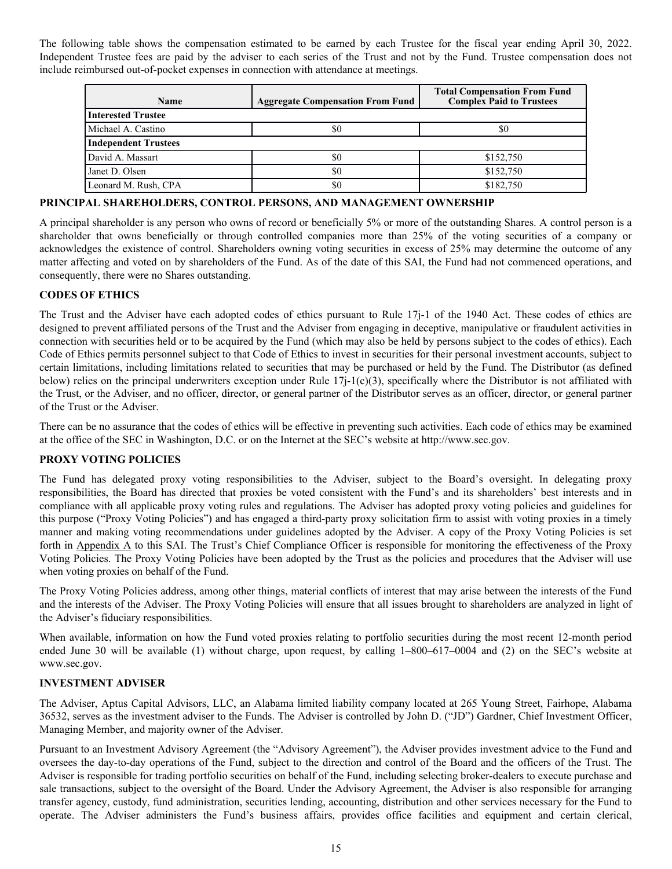<span id="page-15-0"></span>The following table shows the compensation estimated to be earned by each Trustee for the fiscal year ending April 30, 2022. Independent Trustee fees are paid by the adviser to each series of the Trust and not by the Fund. Trustee compensation does not include reimbursed out-of-pocket expenses in connection with attendance at meetings.

| <b>Name</b>                 | <b>Aggregate Compensation From Fund</b> | <b>Total Compensation From Fund</b><br><b>Complex Paid to Trustees</b> |
|-----------------------------|-----------------------------------------|------------------------------------------------------------------------|
| <b>Interested Trustee</b>   |                                         |                                                                        |
| Michael A. Castino          | S0                                      | \$0                                                                    |
| <b>Independent Trustees</b> |                                         |                                                                        |
| David A. Massart            | S0                                      | \$152,750                                                              |
| Janet D. Olsen              | \$0                                     | \$152,750                                                              |
| Leonard M. Rush, CPA        | \$0                                     | \$182,750                                                              |

## **PRINCIPAL SHAREHOLDERS, CONTROL PERSONS, AND MANAGEMENT OWNERSHIP**

A principal shareholder is any person who owns of record or beneficially 5% or more of the outstanding Shares. A control person is a shareholder that owns beneficially or through controlled companies more than 25% of the voting securities of a company or acknowledges the existence of control. Shareholders owning voting securities in excess of 25% may determine the outcome of any matter affecting and voted on by shareholders of the Fund. As of the date of this SAI, the Fund had not commenced operations, and consequently, there were no Shares outstanding.

#### **CODES OF ETHICS**

The Trust and the Adviser have each adopted codes of ethics pursuant to Rule 17j-1 of the 1940 Act. These codes of ethics are designed to prevent affiliated persons of the Trust and the Adviser from engaging in deceptive, manipulative or fraudulent activities in connection with securities held or to be acquired by the Fund (which may also be held by persons subject to the codes of ethics). Each Code of Ethics permits personnel subject to that Code of Ethics to invest in securities for their personal investment accounts, subject to certain limitations, including limitations related to securities that may be purchased or held by the Fund. The Distributor (as defined below) relies on the principal underwriters exception under Rule  $17j-1(c)(3)$ , specifically where the Distributor is not affiliated with the Trust, or the Adviser, and no officer, director, or general partner of the Distributor serves as an officer, director, or general partner of the Trust or the Adviser.

There can be no assurance that the codes of ethics will be effective in preventing such activities. Each code of ethics may be examined at the office of the SEC in Washington, D.C. or on the Internet at the SEC's website at http://www.sec.gov.

#### **PROXY VOTING POLICIES**

The Fund has delegated proxy voting responsibilities to the Adviser, subject to the Board's oversight. In delegating proxy responsibilities, the Board has directed that proxies be voted consistent with the Fund's and its shareholders' best interests and in compliance with all applicable proxy voting rules and regulations. The Adviser has adopted proxy voting policies and guidelines for this purpose ("Proxy Voting Policies") and has engaged a third-party proxy solicitation firm to assist with voting proxies in a timely manner and making voting recommendations under guidelines adopted by the Adviser. A copy of the Proxy Voting Policies is set forth in Appendix A to this SAI. The Trust's Chief Compliance Officer is responsible for monitoring the effectiveness of the Proxy Voting Policies. The Proxy Voting Policies have been adopted by the Trust as the policies and procedures that the Adviser will use when voting proxies on behalf of the Fund.

The Proxy Voting Policies address, among other things, material conflicts of interest that may arise between the interests of the Fund and the interests of the Adviser. The Proxy Voting Policies will ensure that all issues brought to shareholders are analyzed in light of the Adviser's fiduciary responsibilities.

When available, information on how the Fund voted proxies relating to portfolio securities during the most recent 12-month period ended June 30 will be available (1) without charge, upon request, by calling 1–800–617–0004 and (2) on the SEC's website at www.sec.gov.

## **INVESTMENT ADVISER**

The Adviser, Aptus Capital Advisors, LLC, an Alabama limited liability company located at 265 Young Street, Fairhope, Alabama 36532, serves as the investment adviser to the Funds. The Adviser is controlled by John D. ("JD") Gardner, Chief Investment Officer, Managing Member, and majority owner of the Adviser.

Pursuant to an Investment Advisory Agreement (the "Advisory Agreement"), the Adviser provides investment advice to the Fund and oversees the day-to-day operations of the Fund, subject to the direction and control of the Board and the officers of the Trust. The Adviser is responsible for trading portfolio securities on behalf of the Fund, including selecting broker-dealers to execute purchase and sale transactions, subject to the oversight of the Board. Under the Advisory Agreement, the Adviser is also responsible for arranging transfer agency, custody, fund administration, securities lending, accounting, distribution and other services necessary for the Fund to operate. The Adviser administers the Fund's business affairs, provides office facilities and equipment and certain clerical,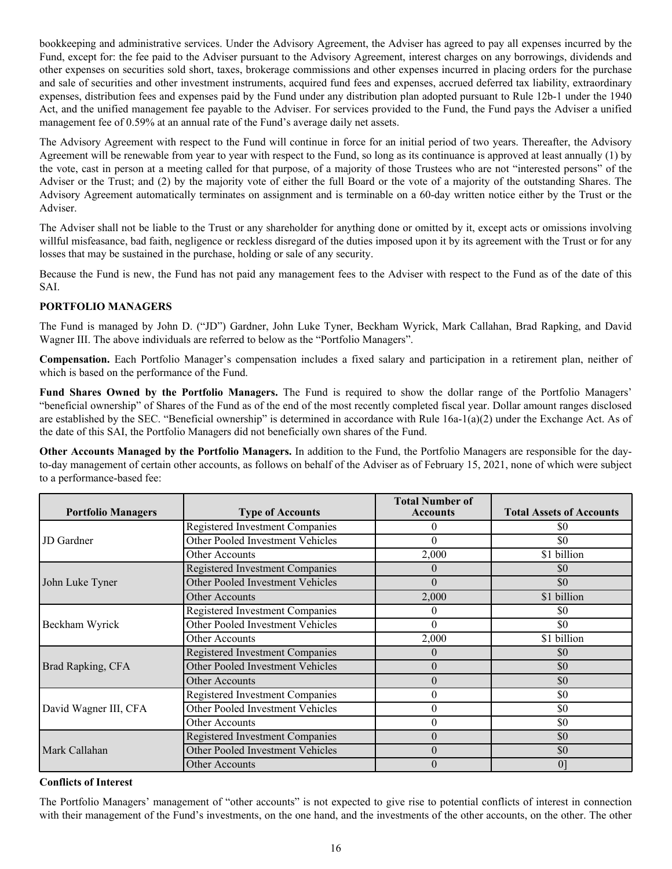<span id="page-16-0"></span>bookkeeping and administrative services. Under the Advisory Agreement, the Adviser has agreed to pay all expenses incurred by the Fund, except for: the fee paid to the Adviser pursuant to the Advisory Agreement, interest charges on any borrowings, dividends and other expenses on securities sold short, taxes, brokerage commissions and other expenses incurred in placing orders for the purchase and sale of securities and other investment instruments, acquired fund fees and expenses, accrued deferred tax liability, extraordinary expenses, distribution fees and expenses paid by the Fund under any distribution plan adopted pursuant to Rule 12b-1 under the 1940 Act, and the unified management fee payable to the Adviser. For services provided to the Fund, the Fund pays the Adviser a unified management fee of 0.59% at an annual rate of the Fund's average daily net assets.

The Advisory Agreement with respect to the Fund will continue in force for an initial period of two years. Thereafter, the Advisory Agreement will be renewable from year to year with respect to the Fund, so long as its continuance is approved at least annually (1) by the vote, cast in person at a meeting called for that purpose, of a majority of those Trustees who are not "interested persons" of the Adviser or the Trust; and (2) by the majority vote of either the full Board or the vote of a majority of the outstanding Shares. The Advisory Agreement automatically terminates on assignment and is terminable on a 60-day written notice either by the Trust or the Adviser.

The Adviser shall not be liable to the Trust or any shareholder for anything done or omitted by it, except acts or omissions involving willful misfeasance, bad faith, negligence or reckless disregard of the duties imposed upon it by its agreement with the Trust or for any losses that may be sustained in the purchase, holding or sale of any security.

Because the Fund is new, the Fund has not paid any management fees to the Adviser with respect to the Fund as of the date of this SAI.

# **PORTFOLIO MANAGERS**

The Fund is managed by John D. ("JD") Gardner, John Luke Tyner, Beckham Wyrick, Mark Callahan, Brad Rapking, and David Wagner III. The above individuals are referred to below as the "Portfolio Managers".

**Compensation.** Each Portfolio Manager's compensation includes a fixed salary and participation in a retirement plan, neither of which is based on the performance of the Fund.

**Fund Shares Owned by the Portfolio Managers.** The Fund is required to show the dollar range of the Portfolio Managers' "beneficial ownership" of Shares of the Fund as of the end of the most recently completed fiscal year. Dollar amount ranges disclosed are established by the SEC. "Beneficial ownership" is determined in accordance with Rule 16a-1(a)(2) under the Exchange Act. As of the date of this SAI, the Portfolio Managers did not beneficially own shares of the Fund.

**Other Accounts Managed by the Portfolio Managers.** In addition to the Fund, the Portfolio Managers are responsible for the dayto-day management of certain other accounts, as follows on behalf of the Adviser as of February 15, 2021, none of which were subject to a performance-based fee:

| <b>Portfolio Managers</b> | <b>Type of Accounts</b>                 | <b>Total Number of</b><br><b>Accounts</b> | <b>Total Assets of Accounts</b> |
|---------------------------|-----------------------------------------|-------------------------------------------|---------------------------------|
|                           | <b>Registered Investment Companies</b>  |                                           | \$0                             |
| <b>JD</b> Gardner         | Other Pooled Investment Vehicles        | $\Omega$                                  | \$0                             |
|                           | Other Accounts                          | 2,000                                     | \$1 billion                     |
|                           | <b>Registered Investment Companies</b>  | $\Omega$                                  | \$0                             |
| John Luke Tyner           | Other Pooled Investment Vehicles        | $\theta$                                  | \$0                             |
|                           | <b>Other Accounts</b>                   | 2,000                                     | \$1 billion                     |
| Beckham Wyrick            | <b>Registered Investment Companies</b>  | $\Omega$                                  | \$0                             |
|                           | Other Pooled Investment Vehicles        | $\Omega$                                  | \$0                             |
|                           | Other Accounts                          | 2,000                                     | \$1 billion                     |
| Brad Rapking, CFA         | <b>Registered Investment Companies</b>  | $\Omega$                                  | \$0                             |
|                           | Other Pooled Investment Vehicles        | $\theta$                                  | \$0                             |
|                           | <b>Other Accounts</b>                   | $\theta$                                  | \$0                             |
| David Wagner III, CFA     | <b>Registered Investment Companies</b>  | $\theta$                                  | \$0                             |
|                           | Other Pooled Investment Vehicles        | $\theta$                                  | \$0                             |
|                           | Other Accounts                          | $\theta$                                  | \$0                             |
| Mark Callahan             | <b>Registered Investment Companies</b>  | $\Omega$                                  | \$0                             |
|                           | <b>Other Pooled Investment Vehicles</b> | $\Omega$                                  | \$0                             |
|                           | <b>Other Accounts</b>                   | $\Omega$                                  | 0 <sup>1</sup>                  |

## **Conflicts of Interest**

The Portfolio Managers' management of "other accounts" is not expected to give rise to potential conflicts of interest in connection with their management of the Fund's investments, on the one hand, and the investments of the other accounts, on the other. The other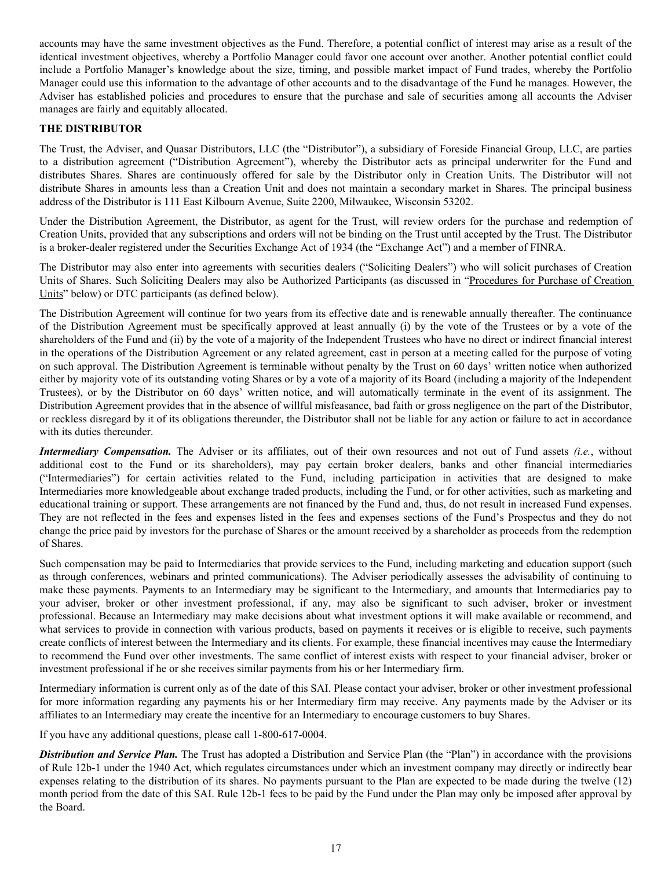<span id="page-17-0"></span>accounts may have the same investment objectives as the Fund. Therefore, a potential conflict of interest may arise as a result of the identical investment objectives, whereby a Portfolio Manager could favor one account over another. Another potential conflict could include a Portfolio Manager's knowledge about the size, timing, and possible market impact of Fund trades, whereby the Portfolio Manager could use this information to the advantage of other accounts and to the disadvantage of the Fund he manages. However, the Adviser has established policies and procedures to ensure that the purchase and sale of securities among all accounts the Adviser manages are fairly and equitably allocated.

## **THE DISTRIBUTOR**

The Trust, the Adviser, and Quasar Distributors, LLC (the "Distributor"), a subsidiary of Foreside Financial Group, LLC, are parties to a distribution agreement ("Distribution Agreement"), whereby the Distributor acts as principal underwriter for the Fund and distributes Shares. Shares are continuously offered for sale by the Distributor only in Creation Units. The Distributor will not distribute Shares in amounts less than a Creation Unit and does not maintain a secondary market in Shares. The principal business address of the Distributor is 111 East Kilbourn Avenue, Suite 2200, Milwaukee, Wisconsin 53202.

Under the Distribution Agreement, the Distributor, as agent for the Trust, will review orders for the purchase and redemption of Creation Units, provided that any subscriptions and orders will not be binding on the Trust until accepted by the Trust. The Distributor is a broker-dealer registered under the Securities Exchange Act of 1934 (the "Exchange Act") and a member of FINRA.

The Distributor may also enter into agreements with securities dealers ("Soliciting Dealers") who will solicit purchases of Creation Units of Shares. Such Soliciting Dealers may also be Authorized Participants (as discussed in "Procedures for Purchase of Creation Units" below) or DTC participants (as defined below).

The Distribution Agreement will continue for two years from its effective date and is renewable annually thereafter. The continuance of the Distribution Agreement must be specifically approved at least annually (i) by the vote of the Trustees or by a vote of the shareholders of the Fund and (ii) by the vote of a majority of the Independent Trustees who have no direct or indirect financial interest in the operations of the Distribution Agreement or any related agreement, cast in person at a meeting called for the purpose of voting on such approval. The Distribution Agreement is terminable without penalty by the Trust on 60 days' written notice when authorized either by majority vote of its outstanding voting Shares or by a vote of a majority of its Board (including a majority of the Independent Trustees), or by the Distributor on 60 days' written notice, and will automatically terminate in the event of its assignment. The Distribution Agreement provides that in the absence of willful misfeasance, bad faith or gross negligence on the part of the Distributor, or reckless disregard by it of its obligations thereunder, the Distributor shall not be liable for any action or failure to act in accordance with its duties thereunder.

*Intermediary Compensation.* The Adviser or its affiliates, out of their own resources and not out of Fund assets *(i.e.*, without additional cost to the Fund or its shareholders), may pay certain broker dealers, banks and other financial intermediaries ("Intermediaries") for certain activities related to the Fund, including participation in activities that are designed to make Intermediaries more knowledgeable about exchange traded products, including the Fund, or for other activities, such as marketing and educational training or support. These arrangements are not financed by the Fund and, thus, do not result in increased Fund expenses. They are not reflected in the fees and expenses listed in the fees and expenses sections of the Fund's Prospectus and they do not change the price paid by investors for the purchase of Shares or the amount received by a shareholder as proceeds from the redemption of Shares.

Such compensation may be paid to Intermediaries that provide services to the Fund, including marketing and education support (such as through conferences, webinars and printed communications). The Adviser periodically assesses the advisability of continuing to make these payments. Payments to an Intermediary may be significant to the Intermediary, and amounts that Intermediaries pay to your adviser, broker or other investment professional, if any, may also be significant to such adviser, broker or investment professional. Because an Intermediary may make decisions about what investment options it will make available or recommend, and what services to provide in connection with various products, based on payments it receives or is eligible to receive, such payments create conflicts of interest between the Intermediary and its clients. For example, these financial incentives may cause the Intermediary to recommend the Fund over other investments. The same conflict of interest exists with respect to your financial adviser, broker or investment professional if he or she receives similar payments from his or her Intermediary firm.

Intermediary information is current only as of the date of this SAI. Please contact your adviser, broker or other investment professional for more information regarding any payments his or her Intermediary firm may receive. Any payments made by the Adviser or its affiliates to an Intermediary may create the incentive for an Intermediary to encourage customers to buy Shares.

If you have any additional questions, please call 1-800-617-0004.

*Distribution and Service Plan.* The Trust has adopted a Distribution and Service Plan (the "Plan") in accordance with the provisions of Rule 12b-1 under the 1940 Act, which regulates circumstances under which an investment company may directly or indirectly bear expenses relating to the distribution of its shares. No payments pursuant to the Plan are expected to be made during the twelve (12) month period from the date of this SAI. Rule 12b-1 fees to be paid by the Fund under the Plan may only be imposed after approval by the Board.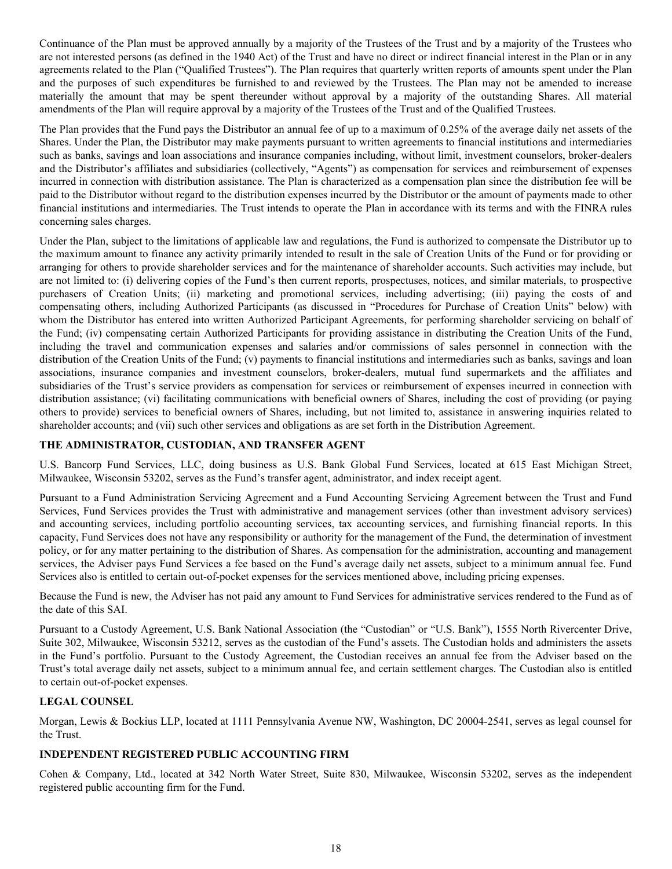<span id="page-18-0"></span>Continuance of the Plan must be approved annually by a majority of the Trustees of the Trust and by a majority of the Trustees who are not interested persons (as defined in the 1940 Act) of the Trust and have no direct or indirect financial interest in the Plan or in any agreements related to the Plan ("Qualified Trustees"). The Plan requires that quarterly written reports of amounts spent under the Plan and the purposes of such expenditures be furnished to and reviewed by the Trustees. The Plan may not be amended to increase materially the amount that may be spent thereunder without approval by a majority of the outstanding Shares. All material amendments of the Plan will require approval by a majority of the Trustees of the Trust and of the Qualified Trustees.

The Plan provides that the Fund pays the Distributor an annual fee of up to a maximum of 0.25% of the average daily net assets of the Shares. Under the Plan, the Distributor may make payments pursuant to written agreements to financial institutions and intermediaries such as banks, savings and loan associations and insurance companies including, without limit, investment counselors, broker-dealers and the Distributor's affiliates and subsidiaries (collectively, "Agents") as compensation for services and reimbursement of expenses incurred in connection with distribution assistance. The Plan is characterized as a compensation plan since the distribution fee will be paid to the Distributor without regard to the distribution expenses incurred by the Distributor or the amount of payments made to other financial institutions and intermediaries. The Trust intends to operate the Plan in accordance with its terms and with the FINRA rules concerning sales charges.

Under the Plan, subject to the limitations of applicable law and regulations, the Fund is authorized to compensate the Distributor up to the maximum amount to finance any activity primarily intended to result in the sale of Creation Units of the Fund or for providing or arranging for others to provide shareholder services and for the maintenance of shareholder accounts. Such activities may include, but are not limited to: (i) delivering copies of the Fund's then current reports, prospectuses, notices, and similar materials, to prospective purchasers of Creation Units; (ii) marketing and promotional services, including advertising; (iii) paying the costs of and compensating others, including Authorized Participants (as discussed in "Procedures for Purchase of Creation Units" below) with whom the Distributor has entered into written Authorized Participant Agreements, for performing shareholder servicing on behalf of the Fund; (iv) compensating certain Authorized Participants for providing assistance in distributing the Creation Units of the Fund, including the travel and communication expenses and salaries and/or commissions of sales personnel in connection with the distribution of the Creation Units of the Fund; (v) payments to financial institutions and intermediaries such as banks, savings and loan associations, insurance companies and investment counselors, broker-dealers, mutual fund supermarkets and the affiliates and subsidiaries of the Trust's service providers as compensation for services or reimbursement of expenses incurred in connection with distribution assistance; (vi) facilitating communications with beneficial owners of Shares, including the cost of providing (or paying others to provide) services to beneficial owners of Shares, including, but not limited to, assistance in answering inquiries related to shareholder accounts; and (vii) such other services and obligations as are set forth in the Distribution Agreement.

## **THE ADMINISTRATOR, CUSTODIAN, AND TRANSFER AGENT**

U.S. Bancorp Fund Services, LLC, doing business as U.S. Bank Global Fund Services, located at 615 East Michigan Street, Milwaukee, Wisconsin 53202, serves as the Fund's transfer agent, administrator, and index receipt agent.

Pursuant to a Fund Administration Servicing Agreement and a Fund Accounting Servicing Agreement between the Trust and Fund Services, Fund Services provides the Trust with administrative and management services (other than investment advisory services) and accounting services, including portfolio accounting services, tax accounting services, and furnishing financial reports. In this capacity, Fund Services does not have any responsibility or authority for the management of the Fund, the determination of investment policy, or for any matter pertaining to the distribution of Shares. As compensation for the administration, accounting and management services, the Adviser pays Fund Services a fee based on the Fund's average daily net assets, subject to a minimum annual fee. Fund Services also is entitled to certain out-of-pocket expenses for the services mentioned above, including pricing expenses.

Because the Fund is new, the Adviser has not paid any amount to Fund Services for administrative services rendered to the Fund as of the date of this SAI.

Pursuant to a Custody Agreement, U.S. Bank National Association (the "Custodian" or "U.S. Bank"), 1555 North Rivercenter Drive, Suite 302, Milwaukee, Wisconsin 53212, serves as the custodian of the Fund's assets. The Custodian holds and administers the assets in the Fund's portfolio. Pursuant to the Custody Agreement, the Custodian receives an annual fee from the Adviser based on the Trust's total average daily net assets, subject to a minimum annual fee, and certain settlement charges. The Custodian also is entitled to certain out-of-pocket expenses.

## **LEGAL COUNSEL**

Morgan, Lewis & Bockius LLP, located at 1111 Pennsylvania Avenue NW, Washington, DC 20004-2541, serves as legal counsel for the Trust.

# **INDEPENDENT REGISTERED PUBLIC ACCOUNTING FIRM**

Cohen & Company, Ltd., located at 342 North Water Street, Suite 830, Milwaukee, Wisconsin 53202, serves as the independent registered public accounting firm for the Fund.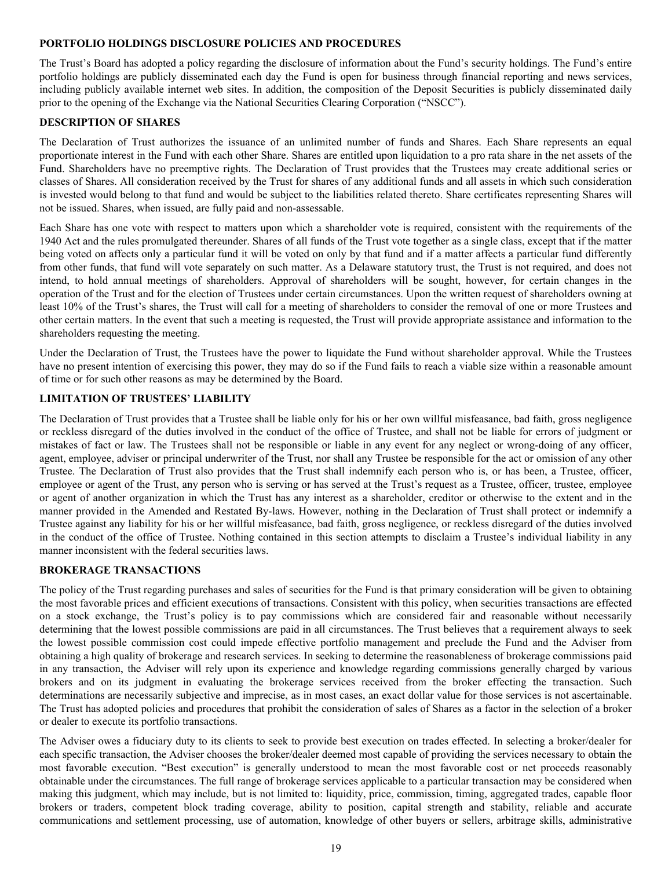## <span id="page-19-0"></span>**PORTFOLIO HOLDINGS DISCLOSURE POLICIES AND PROCEDURES**

The Trust's Board has adopted a policy regarding the disclosure of information about the Fund's security holdings. The Fund's entire portfolio holdings are publicly disseminated each day the Fund is open for business through financial reporting and news services, including publicly available internet web sites. In addition, the composition of the Deposit Securities is publicly disseminated daily prior to the opening of the Exchange via the National Securities Clearing Corporation ("NSCC").

#### **DESCRIPTION OF SHARES**

The Declaration of Trust authorizes the issuance of an unlimited number of funds and Shares. Each Share represents an equal proportionate interest in the Fund with each other Share. Shares are entitled upon liquidation to a pro rata share in the net assets of the Fund. Shareholders have no preemptive rights. The Declaration of Trust provides that the Trustees may create additional series or classes of Shares. All consideration received by the Trust for shares of any additional funds and all assets in which such consideration is invested would belong to that fund and would be subject to the liabilities related thereto. Share certificates representing Shares will not be issued. Shares, when issued, are fully paid and non-assessable.

Each Share has one vote with respect to matters upon which a shareholder vote is required, consistent with the requirements of the 1940 Act and the rules promulgated thereunder. Shares of all funds of the Trust vote together as a single class, except that if the matter being voted on affects only a particular fund it will be voted on only by that fund and if a matter affects a particular fund differently from other funds, that fund will vote separately on such matter. As a Delaware statutory trust, the Trust is not required, and does not intend, to hold annual meetings of shareholders. Approval of shareholders will be sought, however, for certain changes in the operation of the Trust and for the election of Trustees under certain circumstances. Upon the written request of shareholders owning at least 10% of the Trust's shares, the Trust will call for a meeting of shareholders to consider the removal of one or more Trustees and other certain matters. In the event that such a meeting is requested, the Trust will provide appropriate assistance and information to the shareholders requesting the meeting.

Under the Declaration of Trust, the Trustees have the power to liquidate the Fund without shareholder approval. While the Trustees have no present intention of exercising this power, they may do so if the Fund fails to reach a viable size within a reasonable amount of time or for such other reasons as may be determined by the Board.

# **LIMITATION OF TRUSTEES' LIABILITY**

The Declaration of Trust provides that a Trustee shall be liable only for his or her own willful misfeasance, bad faith, gross negligence or reckless disregard of the duties involved in the conduct of the office of Trustee, and shall not be liable for errors of judgment or mistakes of fact or law. The Trustees shall not be responsible or liable in any event for any neglect or wrong-doing of any officer, agent, employee, adviser or principal underwriter of the Trust, nor shall any Trustee be responsible for the act or omission of any other Trustee. The Declaration of Trust also provides that the Trust shall indemnify each person who is, or has been, a Trustee, officer, employee or agent of the Trust, any person who is serving or has served at the Trust's request as a Trustee, officer, trustee, employee or agent of another organization in which the Trust has any interest as a shareholder, creditor or otherwise to the extent and in the manner provided in the Amended and Restated By-laws. However, nothing in the Declaration of Trust shall protect or indemnify a Trustee against any liability for his or her willful misfeasance, bad faith, gross negligence, or reckless disregard of the duties involved in the conduct of the office of Trustee. Nothing contained in this section attempts to disclaim a Trustee's individual liability in any manner inconsistent with the federal securities laws.

## **BROKERAGE TRANSACTIONS**

The policy of the Trust regarding purchases and sales of securities for the Fund is that primary consideration will be given to obtaining the most favorable prices and efficient executions of transactions. Consistent with this policy, when securities transactions are effected on a stock exchange, the Trust's policy is to pay commissions which are considered fair and reasonable without necessarily determining that the lowest possible commissions are paid in all circumstances. The Trust believes that a requirement always to seek the lowest possible commission cost could impede effective portfolio management and preclude the Fund and the Adviser from obtaining a high quality of brokerage and research services. In seeking to determine the reasonableness of brokerage commissions paid in any transaction, the Adviser will rely upon its experience and knowledge regarding commissions generally charged by various brokers and on its judgment in evaluating the brokerage services received from the broker effecting the transaction. Such determinations are necessarily subjective and imprecise, as in most cases, an exact dollar value for those services is not ascertainable. The Trust has adopted policies and procedures that prohibit the consideration of sales of Shares as a factor in the selection of a broker or dealer to execute its portfolio transactions.

The Adviser owes a fiduciary duty to its clients to seek to provide best execution on trades effected. In selecting a broker/dealer for each specific transaction, the Adviser chooses the broker/dealer deemed most capable of providing the services necessary to obtain the most favorable execution. "Best execution" is generally understood to mean the most favorable cost or net proceeds reasonably obtainable under the circumstances. The full range of brokerage services applicable to a particular transaction may be considered when making this judgment, which may include, but is not limited to: liquidity, price, commission, timing, aggregated trades, capable floor brokers or traders, competent block trading coverage, ability to position, capital strength and stability, reliable and accurate communications and settlement processing, use of automation, knowledge of other buyers or sellers, arbitrage skills, administrative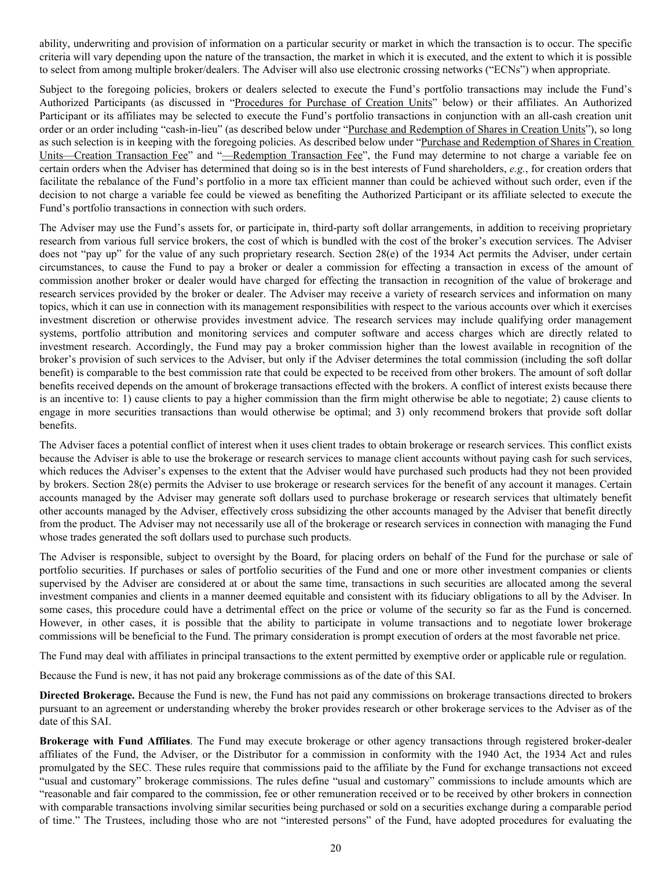ability, underwriting and provision of information on a particular security or market in which the transaction is to occur. The specific criteria will vary depending upon the nature of the transaction, the market in which it is executed, and the extent to which it is possible to select from among multiple broker/dealers. The Adviser will also use electronic crossing networks ("ECNs") when appropriate.

Subject to the foregoing policies, brokers or dealers selected to execute the Fund's portfolio transactions may include the Fund's Authorized Participants (as discussed in "Procedures for Purchase of Creation Units" below) or their affiliates. An Authorized Participant or its affiliates may be selected to execute the Fund's portfolio transactions in conjunction with an all-cash creation unit order or an order including "cash-in-lieu" (as described below under "Purchase and Redemption of Shares in Creation Units"), so long as such selection is in keeping with the foregoing policies. As described below under "Purchase and Redemption of Shares in Creation Units—Creation Transaction Fee" and "—Redemption Transaction Fee", the Fund may determine to not charge a variable fee on certain orders when the Adviser has determined that doing so is in the best interests of Fund shareholders, *e.g.*, for creation orders that facilitate the rebalance of the Fund's portfolio in a more tax efficient manner than could be achieved without such order, even if the decision to not charge a variable fee could be viewed as benefiting the Authorized Participant or its affiliate selected to execute the Fund's portfolio transactions in connection with such orders.

The Adviser may use the Fund's assets for, or participate in, third-party soft dollar arrangements, in addition to receiving proprietary research from various full service brokers, the cost of which is bundled with the cost of the broker's execution services. The Adviser does not "pay up" for the value of any such proprietary research. Section 28(e) of the 1934 Act permits the Adviser, under certain circumstances, to cause the Fund to pay a broker or dealer a commission for effecting a transaction in excess of the amount of commission another broker or dealer would have charged for effecting the transaction in recognition of the value of brokerage and research services provided by the broker or dealer. The Adviser may receive a variety of research services and information on many topics, which it can use in connection with its management responsibilities with respect to the various accounts over which it exercises investment discretion or otherwise provides investment advice. The research services may include qualifying order management systems, portfolio attribution and monitoring services and computer software and access charges which are directly related to investment research. Accordingly, the Fund may pay a broker commission higher than the lowest available in recognition of the broker's provision of such services to the Adviser, but only if the Adviser determines the total commission (including the soft dollar benefit) is comparable to the best commission rate that could be expected to be received from other brokers. The amount of soft dollar benefits received depends on the amount of brokerage transactions effected with the brokers. A conflict of interest exists because there is an incentive to: 1) cause clients to pay a higher commission than the firm might otherwise be able to negotiate; 2) cause clients to engage in more securities transactions than would otherwise be optimal; and 3) only recommend brokers that provide soft dollar benefits.

The Adviser faces a potential conflict of interest when it uses client trades to obtain brokerage or research services. This conflict exists because the Adviser is able to use the brokerage or research services to manage client accounts without paying cash for such services, which reduces the Adviser's expenses to the extent that the Adviser would have purchased such products had they not been provided by brokers. Section 28(e) permits the Adviser to use brokerage or research services for the benefit of any account it manages. Certain accounts managed by the Adviser may generate soft dollars used to purchase brokerage or research services that ultimately benefit other accounts managed by the Adviser, effectively cross subsidizing the other accounts managed by the Adviser that benefit directly from the product. The Adviser may not necessarily use all of the brokerage or research services in connection with managing the Fund whose trades generated the soft dollars used to purchase such products.

The Adviser is responsible, subject to oversight by the Board, for placing orders on behalf of the Fund for the purchase or sale of portfolio securities. If purchases or sales of portfolio securities of the Fund and one or more other investment companies or clients supervised by the Adviser are considered at or about the same time, transactions in such securities are allocated among the several investment companies and clients in a manner deemed equitable and consistent with its fiduciary obligations to all by the Adviser. In some cases, this procedure could have a detrimental effect on the price or volume of the security so far as the Fund is concerned. However, in other cases, it is possible that the ability to participate in volume transactions and to negotiate lower brokerage commissions will be beneficial to the Fund. The primary consideration is prompt execution of orders at the most favorable net price.

The Fund may deal with affiliates in principal transactions to the extent permitted by exemptive order or applicable rule or regulation.

Because the Fund is new, it has not paid any brokerage commissions as of the date of this SAI.

**Directed Brokerage.** Because the Fund is new, the Fund has not paid any commissions on brokerage transactions directed to brokers pursuant to an agreement or understanding whereby the broker provides research or other brokerage services to the Adviser as of the date of this SAI.

**Brokerage with Fund Affiliates**. The Fund may execute brokerage or other agency transactions through registered broker-dealer affiliates of the Fund, the Adviser, or the Distributor for a commission in conformity with the 1940 Act, the 1934 Act and rules promulgated by the SEC. These rules require that commissions paid to the affiliate by the Fund for exchange transactions not exceed "usual and customary" brokerage commissions. The rules define "usual and customary" commissions to include amounts which are "reasonable and fair compared to the commission, fee or other remuneration received or to be received by other brokers in connection with comparable transactions involving similar securities being purchased or sold on a securities exchange during a comparable period of time." The Trustees, including those who are not "interested persons" of the Fund, have adopted procedures for evaluating the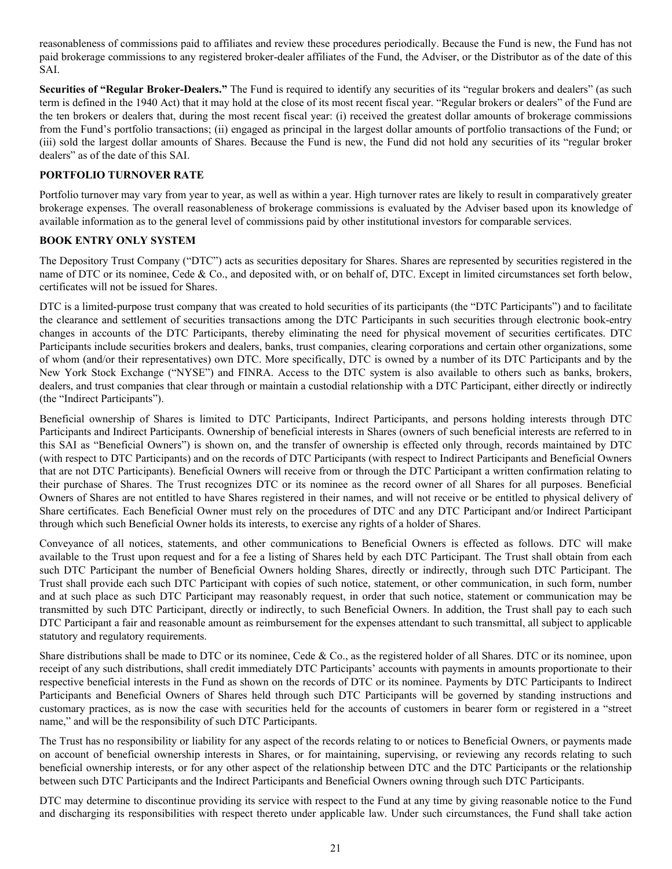<span id="page-21-0"></span>reasonableness of commissions paid to affiliates and review these procedures periodically. Because the Fund is new, the Fund has not paid brokerage commissions to any registered broker-dealer affiliates of the Fund, the Adviser, or the Distributor as of the date of this SAI.

**Securities of "Regular Broker-Dealers."** The Fund is required to identify any securities of its "regular brokers and dealers" (as such term is defined in the 1940 Act) that it may hold at the close of its most recent fiscal year. "Regular brokers or dealers" of the Fund are the ten brokers or dealers that, during the most recent fiscal year: (i) received the greatest dollar amounts of brokerage commissions from the Fund's portfolio transactions; (ii) engaged as principal in the largest dollar amounts of portfolio transactions of the Fund; or (iii) sold the largest dollar amounts of Shares. Because the Fund is new, the Fund did not hold any securities of its "regular broker dealers" as of the date of this SAI.

# **PORTFOLIO TURNOVER RATE**

Portfolio turnover may vary from year to year, as well as within a year. High turnover rates are likely to result in comparatively greater brokerage expenses. The overall reasonableness of brokerage commissions is evaluated by the Adviser based upon its knowledge of available information as to the general level of commissions paid by other institutional investors for comparable services.

## **BOOK ENTRY ONLY SYSTEM**

The Depository Trust Company ("DTC") acts as securities depositary for Shares. Shares are represented by securities registered in the name of DTC or its nominee, Cede & Co., and deposited with, or on behalf of, DTC. Except in limited circumstances set forth below, certificates will not be issued for Shares.

DTC is a limited-purpose trust company that was created to hold securities of its participants (the "DTC Participants") and to facilitate the clearance and settlement of securities transactions among the DTC Participants in such securities through electronic book-entry changes in accounts of the DTC Participants, thereby eliminating the need for physical movement of securities certificates. DTC Participants include securities brokers and dealers, banks, trust companies, clearing corporations and certain other organizations, some of whom (and/or their representatives) own DTC. More specifically, DTC is owned by a number of its DTC Participants and by the New York Stock Exchange ("NYSE") and FINRA. Access to the DTC system is also available to others such as banks, brokers, dealers, and trust companies that clear through or maintain a custodial relationship with a DTC Participant, either directly or indirectly (the "Indirect Participants").

Beneficial ownership of Shares is limited to DTC Participants, Indirect Participants, and persons holding interests through DTC Participants and Indirect Participants. Ownership of beneficial interests in Shares (owners of such beneficial interests are referred to in this SAI as "Beneficial Owners") is shown on, and the transfer of ownership is effected only through, records maintained by DTC (with respect to DTC Participants) and on the records of DTC Participants (with respect to Indirect Participants and Beneficial Owners that are not DTC Participants). Beneficial Owners will receive from or through the DTC Participant a written confirmation relating to their purchase of Shares. The Trust recognizes DTC or its nominee as the record owner of all Shares for all purposes. Beneficial Owners of Shares are not entitled to have Shares registered in their names, and will not receive or be entitled to physical delivery of Share certificates. Each Beneficial Owner must rely on the procedures of DTC and any DTC Participant and/or Indirect Participant through which such Beneficial Owner holds its interests, to exercise any rights of a holder of Shares.

Conveyance of all notices, statements, and other communications to Beneficial Owners is effected as follows. DTC will make available to the Trust upon request and for a fee a listing of Shares held by each DTC Participant. The Trust shall obtain from each such DTC Participant the number of Beneficial Owners holding Shares, directly or indirectly, through such DTC Participant. The Trust shall provide each such DTC Participant with copies of such notice, statement, or other communication, in such form, number and at such place as such DTC Participant may reasonably request, in order that such notice, statement or communication may be transmitted by such DTC Participant, directly or indirectly, to such Beneficial Owners. In addition, the Trust shall pay to each such DTC Participant a fair and reasonable amount as reimbursement for the expenses attendant to such transmittal, all subject to applicable statutory and regulatory requirements.

Share distributions shall be made to DTC or its nominee, Cede & Co., as the registered holder of all Shares. DTC or its nominee, upon receipt of any such distributions, shall credit immediately DTC Participants' accounts with payments in amounts proportionate to their respective beneficial interests in the Fund as shown on the records of DTC or its nominee. Payments by DTC Participants to Indirect Participants and Beneficial Owners of Shares held through such DTC Participants will be governed by standing instructions and customary practices, as is now the case with securities held for the accounts of customers in bearer form or registered in a "street name," and will be the responsibility of such DTC Participants.

The Trust has no responsibility or liability for any aspect of the records relating to or notices to Beneficial Owners, or payments made on account of beneficial ownership interests in Shares, or for maintaining, supervising, or reviewing any records relating to such beneficial ownership interests, or for any other aspect of the relationship between DTC and the DTC Participants or the relationship between such DTC Participants and the Indirect Participants and Beneficial Owners owning through such DTC Participants.

DTC may determine to discontinue providing its service with respect to the Fund at any time by giving reasonable notice to the Fund and discharging its responsibilities with respect thereto under applicable law. Under such circumstances, the Fund shall take action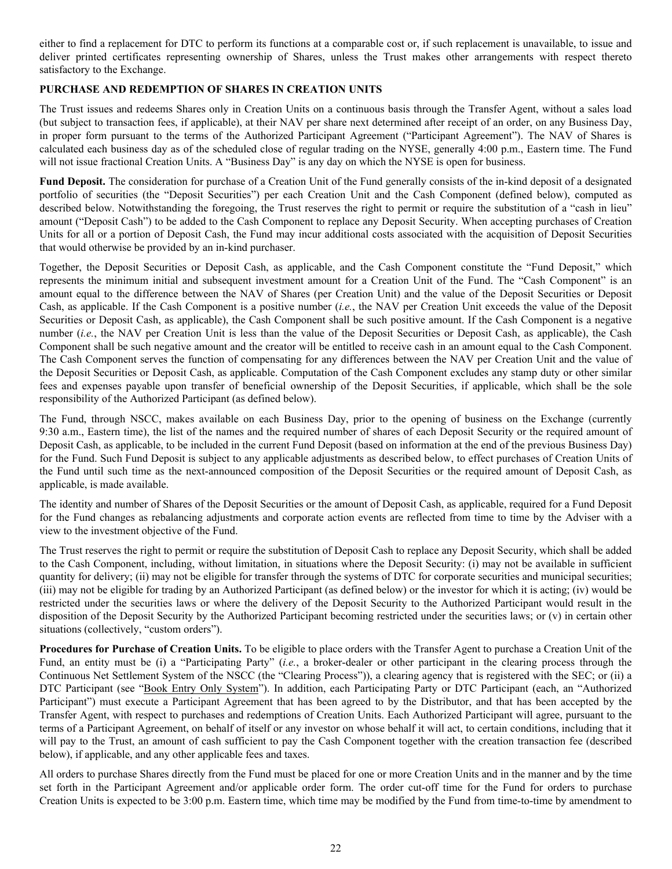<span id="page-22-0"></span>either to find a replacement for DTC to perform its functions at a comparable cost or, if such replacement is unavailable, to issue and deliver printed certificates representing ownership of Shares, unless the Trust makes other arrangements with respect thereto satisfactory to the Exchange.

# **PURCHASE AND REDEMPTION OF SHARES IN CREATION UNITS**

The Trust issues and redeems Shares only in Creation Units on a continuous basis through the Transfer Agent, without a sales load (but subject to transaction fees, if applicable), at their NAV per share next determined after receipt of an order, on any Business Day, in proper form pursuant to the terms of the Authorized Participant Agreement ("Participant Agreement"). The NAV of Shares is calculated each business day as of the scheduled close of regular trading on the NYSE, generally 4:00 p.m., Eastern time. The Fund will not issue fractional Creation Units. A "Business Day" is any day on which the NYSE is open for business.

**Fund Deposit.** The consideration for purchase of a Creation Unit of the Fund generally consists of the in-kind deposit of a designated portfolio of securities (the "Deposit Securities") per each Creation Unit and the Cash Component (defined below), computed as described below. Notwithstanding the foregoing, the Trust reserves the right to permit or require the substitution of a "cash in lieu" amount ("Deposit Cash") to be added to the Cash Component to replace any Deposit Security. When accepting purchases of Creation Units for all or a portion of Deposit Cash, the Fund may incur additional costs associated with the acquisition of Deposit Securities that would otherwise be provided by an in-kind purchaser.

Together, the Deposit Securities or Deposit Cash, as applicable, and the Cash Component constitute the "Fund Deposit," which represents the minimum initial and subsequent investment amount for a Creation Unit of the Fund. The "Cash Component" is an amount equal to the difference between the NAV of Shares (per Creation Unit) and the value of the Deposit Securities or Deposit Cash, as applicable. If the Cash Component is a positive number (*i.e.*, the NAV per Creation Unit exceeds the value of the Deposit Securities or Deposit Cash, as applicable), the Cash Component shall be such positive amount. If the Cash Component is a negative number (*i.e.*, the NAV per Creation Unit is less than the value of the Deposit Securities or Deposit Cash, as applicable), the Cash Component shall be such negative amount and the creator will be entitled to receive cash in an amount equal to the Cash Component. The Cash Component serves the function of compensating for any differences between the NAV per Creation Unit and the value of the Deposit Securities or Deposit Cash, as applicable. Computation of the Cash Component excludes any stamp duty or other similar fees and expenses payable upon transfer of beneficial ownership of the Deposit Securities, if applicable, which shall be the sole responsibility of the Authorized Participant (as defined below).

The Fund, through NSCC, makes available on each Business Day, prior to the opening of business on the Exchange (currently 9:30 a.m., Eastern time), the list of the names and the required number of shares of each Deposit Security or the required amount of Deposit Cash, as applicable, to be included in the current Fund Deposit (based on information at the end of the previous Business Day) for the Fund. Such Fund Deposit is subject to any applicable adjustments as described below, to effect purchases of Creation Units of the Fund until such time as the next-announced composition of the Deposit Securities or the required amount of Deposit Cash, as applicable, is made available.

The identity and number of Shares of the Deposit Securities or the amount of Deposit Cash, as applicable, required for a Fund Deposit for the Fund changes as rebalancing adjustments and corporate action events are reflected from time to time by the Adviser with a view to the investment objective of the Fund.

The Trust reserves the right to permit or require the substitution of Deposit Cash to replace any Deposit Security, which shall be added to the Cash Component, including, without limitation, in situations where the Deposit Security: (i) may not be available in sufficient quantity for delivery; (ii) may not be eligible for transfer through the systems of DTC for corporate securities and municipal securities; (iii) may not be eligible for trading by an Authorized Participant (as defined below) or the investor for which it is acting; (iv) would be restricted under the securities laws or where the delivery of the Deposit Security to the Authorized Participant would result in the disposition of the Deposit Security by the Authorized Participant becoming restricted under the securities laws; or (v) in certain other situations (collectively, "custom orders").

**Procedures for Purchase of Creation Units.** To be eligible to place orders with the Transfer Agent to purchase a Creation Unit of the Fund, an entity must be (i) a "Participating Party" (*i.e.*, a broker-dealer or other participant in the clearing process through the Continuous Net Settlement System of the NSCC (the "Clearing Process")), a clearing agency that is registered with the SEC; or (ii) a DTC Participant (see "Book Entry Only System"). In addition, each Participating Party or DTC Participant (each, an "Authorized Participant") must execute a Participant Agreement that has been agreed to by the Distributor, and that has been accepted by the Transfer Agent, with respect to purchases and redemptions of Creation Units. Each Authorized Participant will agree, pursuant to the terms of a Participant Agreement, on behalf of itself or any investor on whose behalf it will act, to certain conditions, including that it will pay to the Trust, an amount of cash sufficient to pay the Cash Component together with the creation transaction fee (described below), if applicable, and any other applicable fees and taxes.

All orders to purchase Shares directly from the Fund must be placed for one or more Creation Units and in the manner and by the time set forth in the Participant Agreement and/or applicable order form. The order cut-off time for the Fund for orders to purchase Creation Units is expected to be 3:00 p.m. Eastern time, which time may be modified by the Fund from time-to-time by amendment to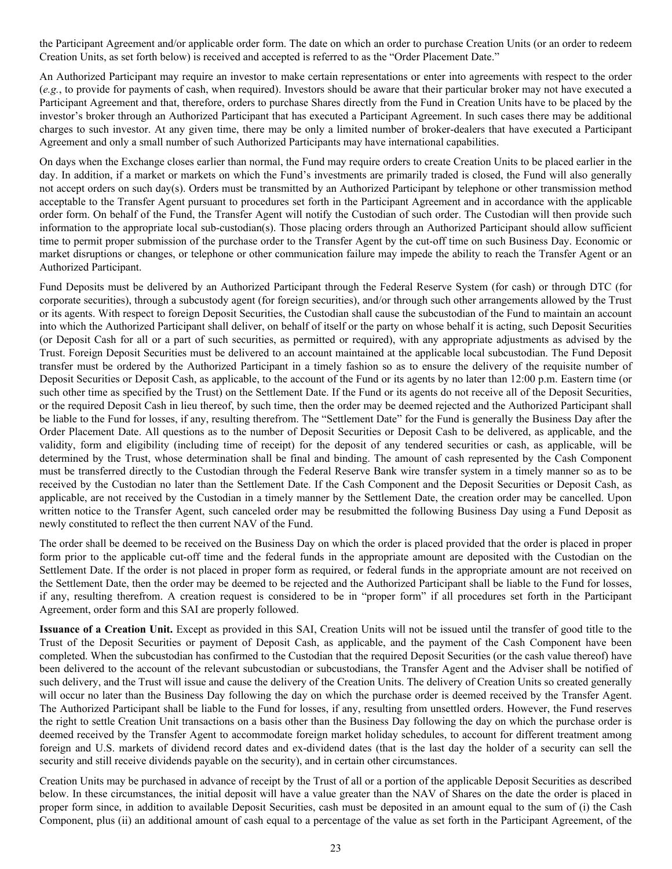the Participant Agreement and/or applicable order form. The date on which an order to purchase Creation Units (or an order to redeem Creation Units, as set forth below) is received and accepted is referred to as the "Order Placement Date."

An Authorized Participant may require an investor to make certain representations or enter into agreements with respect to the order (*e.g.*, to provide for payments of cash, when required). Investors should be aware that their particular broker may not have executed a Participant Agreement and that, therefore, orders to purchase Shares directly from the Fund in Creation Units have to be placed by the investor's broker through an Authorized Participant that has executed a Participant Agreement. In such cases there may be additional charges to such investor. At any given time, there may be only a limited number of broker-dealers that have executed a Participant Agreement and only a small number of such Authorized Participants may have international capabilities.

On days when the Exchange closes earlier than normal, the Fund may require orders to create Creation Units to be placed earlier in the day. In addition, if a market or markets on which the Fund's investments are primarily traded is closed, the Fund will also generally not accept orders on such day(s). Orders must be transmitted by an Authorized Participant by telephone or other transmission method acceptable to the Transfer Agent pursuant to procedures set forth in the Participant Agreement and in accordance with the applicable order form. On behalf of the Fund, the Transfer Agent will notify the Custodian of such order. The Custodian will then provide such information to the appropriate local sub-custodian(s). Those placing orders through an Authorized Participant should allow sufficient time to permit proper submission of the purchase order to the Transfer Agent by the cut-off time on such Business Day. Economic or market disruptions or changes, or telephone or other communication failure may impede the ability to reach the Transfer Agent or an Authorized Participant.

Fund Deposits must be delivered by an Authorized Participant through the Federal Reserve System (for cash) or through DTC (for corporate securities), through a subcustody agent (for foreign securities), and/or through such other arrangements allowed by the Trust or its agents. With respect to foreign Deposit Securities, the Custodian shall cause the subcustodian of the Fund to maintain an account into which the Authorized Participant shall deliver, on behalf of itself or the party on whose behalf it is acting, such Deposit Securities (or Deposit Cash for all or a part of such securities, as permitted or required), with any appropriate adjustments as advised by the Trust. Foreign Deposit Securities must be delivered to an account maintained at the applicable local subcustodian. The Fund Deposit transfer must be ordered by the Authorized Participant in a timely fashion so as to ensure the delivery of the requisite number of Deposit Securities or Deposit Cash, as applicable, to the account of the Fund or its agents by no later than 12:00 p.m. Eastern time (or such other time as specified by the Trust) on the Settlement Date. If the Fund or its agents do not receive all of the Deposit Securities, or the required Deposit Cash in lieu thereof, by such time, then the order may be deemed rejected and the Authorized Participant shall be liable to the Fund for losses, if any, resulting therefrom. The "Settlement Date" for the Fund is generally the Business Day after the Order Placement Date. All questions as to the number of Deposit Securities or Deposit Cash to be delivered, as applicable, and the validity, form and eligibility (including time of receipt) for the deposit of any tendered securities or cash, as applicable, will be determined by the Trust, whose determination shall be final and binding. The amount of cash represented by the Cash Component must be transferred directly to the Custodian through the Federal Reserve Bank wire transfer system in a timely manner so as to be received by the Custodian no later than the Settlement Date. If the Cash Component and the Deposit Securities or Deposit Cash, as applicable, are not received by the Custodian in a timely manner by the Settlement Date, the creation order may be cancelled. Upon written notice to the Transfer Agent, such canceled order may be resubmitted the following Business Day using a Fund Deposit as newly constituted to reflect the then current NAV of the Fund.

The order shall be deemed to be received on the Business Day on which the order is placed provided that the order is placed in proper form prior to the applicable cut-off time and the federal funds in the appropriate amount are deposited with the Custodian on the Settlement Date. If the order is not placed in proper form as required, or federal funds in the appropriate amount are not received on the Settlement Date, then the order may be deemed to be rejected and the Authorized Participant shall be liable to the Fund for losses, if any, resulting therefrom. A creation request is considered to be in "proper form" if all procedures set forth in the Participant Agreement, order form and this SAI are properly followed.

**Issuance of a Creation Unit.** Except as provided in this SAI, Creation Units will not be issued until the transfer of good title to the Trust of the Deposit Securities or payment of Deposit Cash, as applicable, and the payment of the Cash Component have been completed. When the subcustodian has confirmed to the Custodian that the required Deposit Securities (or the cash value thereof) have been delivered to the account of the relevant subcustodian or subcustodians, the Transfer Agent and the Adviser shall be notified of such delivery, and the Trust will issue and cause the delivery of the Creation Units. The delivery of Creation Units so created generally will occur no later than the Business Day following the day on which the purchase order is deemed received by the Transfer Agent. The Authorized Participant shall be liable to the Fund for losses, if any, resulting from unsettled orders. However, the Fund reserves the right to settle Creation Unit transactions on a basis other than the Business Day following the day on which the purchase order is deemed received by the Transfer Agent to accommodate foreign market holiday schedules, to account for different treatment among foreign and U.S. markets of dividend record dates and ex-dividend dates (that is the last day the holder of a security can sell the security and still receive dividends payable on the security), and in certain other circumstances.

Creation Units may be purchased in advance of receipt by the Trust of all or a portion of the applicable Deposit Securities as described below. In these circumstances, the initial deposit will have a value greater than the NAV of Shares on the date the order is placed in proper form since, in addition to available Deposit Securities, cash must be deposited in an amount equal to the sum of (i) the Cash Component, plus (ii) an additional amount of cash equal to a percentage of the value as set forth in the Participant Agreement, of the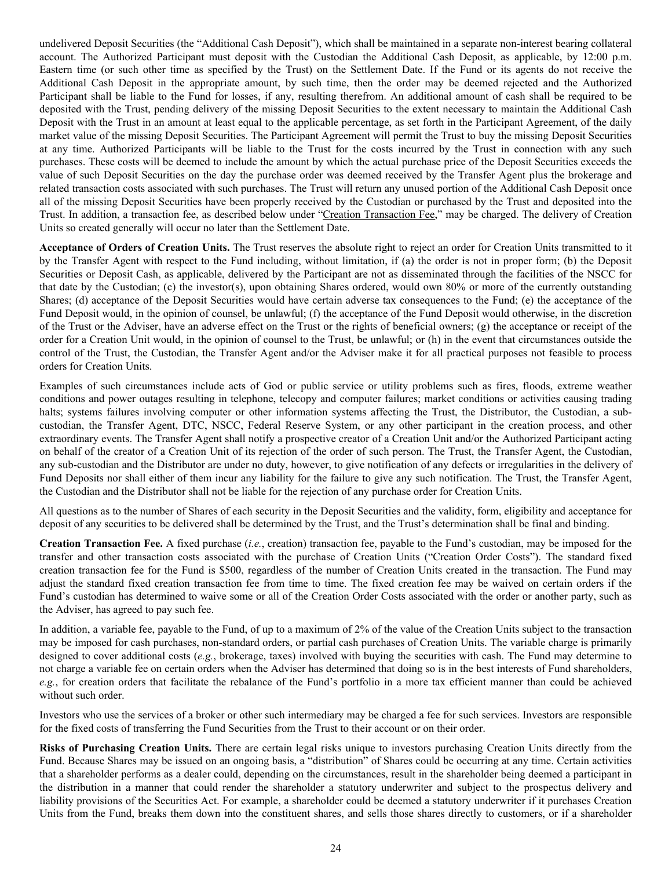undelivered Deposit Securities (the "Additional Cash Deposit"), which shall be maintained in a separate non-interest bearing collateral account. The Authorized Participant must deposit with the Custodian the Additional Cash Deposit, as applicable, by 12:00 p.m. Eastern time (or such other time as specified by the Trust) on the Settlement Date. If the Fund or its agents do not receive the Additional Cash Deposit in the appropriate amount, by such time, then the order may be deemed rejected and the Authorized Participant shall be liable to the Fund for losses, if any, resulting therefrom. An additional amount of cash shall be required to be deposited with the Trust, pending delivery of the missing Deposit Securities to the extent necessary to maintain the Additional Cash Deposit with the Trust in an amount at least equal to the applicable percentage, as set forth in the Participant Agreement, of the daily market value of the missing Deposit Securities. The Participant Agreement will permit the Trust to buy the missing Deposit Securities at any time. Authorized Participants will be liable to the Trust for the costs incurred by the Trust in connection with any such purchases. These costs will be deemed to include the amount by which the actual purchase price of the Deposit Securities exceeds the value of such Deposit Securities on the day the purchase order was deemed received by the Transfer Agent plus the brokerage and related transaction costs associated with such purchases. The Trust will return any unused portion of the Additional Cash Deposit once all of the missing Deposit Securities have been properly received by the Custodian or purchased by the Trust and deposited into the Trust. In addition, a transaction fee, as described below under "Creation Transaction Fee," may be charged. The delivery of Creation Units so created generally will occur no later than the Settlement Date.

**Acceptance of Orders of Creation Units.** The Trust reserves the absolute right to reject an order for Creation Units transmitted to it by the Transfer Agent with respect to the Fund including, without limitation, if (a) the order is not in proper form; (b) the Deposit Securities or Deposit Cash, as applicable, delivered by the Participant are not as disseminated through the facilities of the NSCC for that date by the Custodian; (c) the investor(s), upon obtaining Shares ordered, would own 80% or more of the currently outstanding Shares; (d) acceptance of the Deposit Securities would have certain adverse tax consequences to the Fund; (e) the acceptance of the Fund Deposit would, in the opinion of counsel, be unlawful; (f) the acceptance of the Fund Deposit would otherwise, in the discretion of the Trust or the Adviser, have an adverse effect on the Trust or the rights of beneficial owners; (g) the acceptance or receipt of the order for a Creation Unit would, in the opinion of counsel to the Trust, be unlawful; or (h) in the event that circumstances outside the control of the Trust, the Custodian, the Transfer Agent and/or the Adviser make it for all practical purposes not feasible to process orders for Creation Units.

Examples of such circumstances include acts of God or public service or utility problems such as fires, floods, extreme weather conditions and power outages resulting in telephone, telecopy and computer failures; market conditions or activities causing trading halts; systems failures involving computer or other information systems affecting the Trust, the Distributor, the Custodian, a subcustodian, the Transfer Agent, DTC, NSCC, Federal Reserve System, or any other participant in the creation process, and other extraordinary events. The Transfer Agent shall notify a prospective creator of a Creation Unit and/or the Authorized Participant acting on behalf of the creator of a Creation Unit of its rejection of the order of such person. The Trust, the Transfer Agent, the Custodian, any sub-custodian and the Distributor are under no duty, however, to give notification of any defects or irregularities in the delivery of Fund Deposits nor shall either of them incur any liability for the failure to give any such notification. The Trust, the Transfer Agent, the Custodian and the Distributor shall not be liable for the rejection of any purchase order for Creation Units.

All questions as to the number of Shares of each security in the Deposit Securities and the validity, form, eligibility and acceptance for deposit of any securities to be delivered shall be determined by the Trust, and the Trust's determination shall be final and binding.

**Creation Transaction Fee.** A fixed purchase (*i.e.*, creation) transaction fee, payable to the Fund's custodian, may be imposed for the transfer and other transaction costs associated with the purchase of Creation Units ("Creation Order Costs"). The standard fixed creation transaction fee for the Fund is \$500, regardless of the number of Creation Units created in the transaction. The Fund may adjust the standard fixed creation transaction fee from time to time. The fixed creation fee may be waived on certain orders if the Fund's custodian has determined to waive some or all of the Creation Order Costs associated with the order or another party, such as the Adviser, has agreed to pay such fee.

In addition, a variable fee, payable to the Fund, of up to a maximum of 2% of the value of the Creation Units subject to the transaction may be imposed for cash purchases, non-standard orders, or partial cash purchases of Creation Units. The variable charge is primarily designed to cover additional costs (*e.g.*, brokerage, taxes) involved with buying the securities with cash. The Fund may determine to not charge a variable fee on certain orders when the Adviser has determined that doing so is in the best interests of Fund shareholders, *e.g.*, for creation orders that facilitate the rebalance of the Fund's portfolio in a more tax efficient manner than could be achieved without such order.

Investors who use the services of a broker or other such intermediary may be charged a fee for such services. Investors are responsible for the fixed costs of transferring the Fund Securities from the Trust to their account or on their order.

**Risks of Purchasing Creation Units.** There are certain legal risks unique to investors purchasing Creation Units directly from the Fund. Because Shares may be issued on an ongoing basis, a "distribution" of Shares could be occurring at any time. Certain activities that a shareholder performs as a dealer could, depending on the circumstances, result in the shareholder being deemed a participant in the distribution in a manner that could render the shareholder a statutory underwriter and subject to the prospectus delivery and liability provisions of the Securities Act. For example, a shareholder could be deemed a statutory underwriter if it purchases Creation Units from the Fund, breaks them down into the constituent shares, and sells those shares directly to customers, or if a shareholder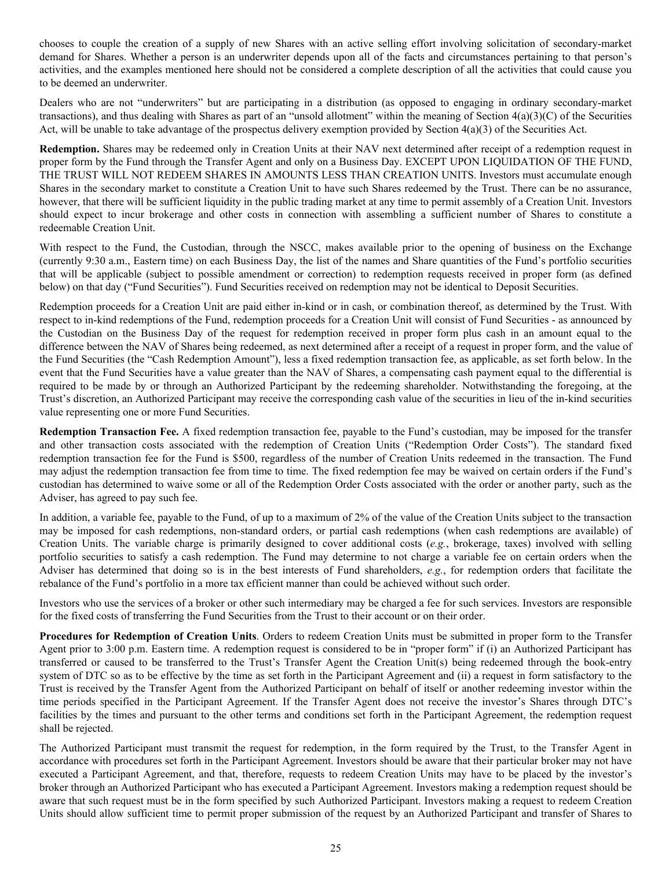chooses to couple the creation of a supply of new Shares with an active selling effort involving solicitation of secondary-market demand for Shares. Whether a person is an underwriter depends upon all of the facts and circumstances pertaining to that person's activities, and the examples mentioned here should not be considered a complete description of all the activities that could cause you to be deemed an underwriter.

Dealers who are not "underwriters" but are participating in a distribution (as opposed to engaging in ordinary secondary-market transactions), and thus dealing with Shares as part of an "unsold allotment" within the meaning of Section  $4(a)(3)(C)$  of the Securities Act, will be unable to take advantage of the prospectus delivery exemption provided by Section  $4(a)(3)$  of the Securities Act.

**Redemption.** Shares may be redeemed only in Creation Units at their NAV next determined after receipt of a redemption request in proper form by the Fund through the Transfer Agent and only on a Business Day. EXCEPT UPON LIQUIDATION OF THE FUND, THE TRUST WILL NOT REDEEM SHARES IN AMOUNTS LESS THAN CREATION UNITS. Investors must accumulate enough Shares in the secondary market to constitute a Creation Unit to have such Shares redeemed by the Trust. There can be no assurance, however, that there will be sufficient liquidity in the public trading market at any time to permit assembly of a Creation Unit. Investors should expect to incur brokerage and other costs in connection with assembling a sufficient number of Shares to constitute a redeemable Creation Unit.

With respect to the Fund, the Custodian, through the NSCC, makes available prior to the opening of business on the Exchange (currently 9:30 a.m., Eastern time) on each Business Day, the list of the names and Share quantities of the Fund's portfolio securities that will be applicable (subject to possible amendment or correction) to redemption requests received in proper form (as defined below) on that day ("Fund Securities"). Fund Securities received on redemption may not be identical to Deposit Securities.

Redemption proceeds for a Creation Unit are paid either in-kind or in cash, or combination thereof, as determined by the Trust. With respect to in-kind redemptions of the Fund, redemption proceeds for a Creation Unit will consist of Fund Securities - as announced by the Custodian on the Business Day of the request for redemption received in proper form plus cash in an amount equal to the difference between the NAV of Shares being redeemed, as next determined after a receipt of a request in proper form, and the value of the Fund Securities (the "Cash Redemption Amount"), less a fixed redemption transaction fee, as applicable, as set forth below. In the event that the Fund Securities have a value greater than the NAV of Shares, a compensating cash payment equal to the differential is required to be made by or through an Authorized Participant by the redeeming shareholder. Notwithstanding the foregoing, at the Trust's discretion, an Authorized Participant may receive the corresponding cash value of the securities in lieu of the in-kind securities value representing one or more Fund Securities.

**Redemption Transaction Fee.** A fixed redemption transaction fee, payable to the Fund's custodian, may be imposed for the transfer and other transaction costs associated with the redemption of Creation Units ("Redemption Order Costs"). The standard fixed redemption transaction fee for the Fund is \$500, regardless of the number of Creation Units redeemed in the transaction. The Fund may adjust the redemption transaction fee from time to time. The fixed redemption fee may be waived on certain orders if the Fund's custodian has determined to waive some or all of the Redemption Order Costs associated with the order or another party, such as the Adviser, has agreed to pay such fee.

In addition, a variable fee, payable to the Fund, of up to a maximum of 2% of the value of the Creation Units subject to the transaction may be imposed for cash redemptions, non-standard orders, or partial cash redemptions (when cash redemptions are available) of Creation Units. The variable charge is primarily designed to cover additional costs (*e.g.*, brokerage, taxes) involved with selling portfolio securities to satisfy a cash redemption. The Fund may determine to not charge a variable fee on certain orders when the Adviser has determined that doing so is in the best interests of Fund shareholders, *e.g.*, for redemption orders that facilitate the rebalance of the Fund's portfolio in a more tax efficient manner than could be achieved without such order.

Investors who use the services of a broker or other such intermediary may be charged a fee for such services. Investors are responsible for the fixed costs of transferring the Fund Securities from the Trust to their account or on their order.

**Procedures for Redemption of Creation Units**. Orders to redeem Creation Units must be submitted in proper form to the Transfer Agent prior to 3:00 p.m. Eastern time. A redemption request is considered to be in "proper form" if (i) an Authorized Participant has transferred or caused to be transferred to the Trust's Transfer Agent the Creation Unit(s) being redeemed through the book-entry system of DTC so as to be effective by the time as set forth in the Participant Agreement and (ii) a request in form satisfactory to the Trust is received by the Transfer Agent from the Authorized Participant on behalf of itself or another redeeming investor within the time periods specified in the Participant Agreement. If the Transfer Agent does not receive the investor's Shares through DTC's facilities by the times and pursuant to the other terms and conditions set forth in the Participant Agreement, the redemption request shall be rejected.

The Authorized Participant must transmit the request for redemption, in the form required by the Trust, to the Transfer Agent in accordance with procedures set forth in the Participant Agreement. Investors should be aware that their particular broker may not have executed a Participant Agreement, and that, therefore, requests to redeem Creation Units may have to be placed by the investor's broker through an Authorized Participant who has executed a Participant Agreement. Investors making a redemption request should be aware that such request must be in the form specified by such Authorized Participant. Investors making a request to redeem Creation Units should allow sufficient time to permit proper submission of the request by an Authorized Participant and transfer of Shares to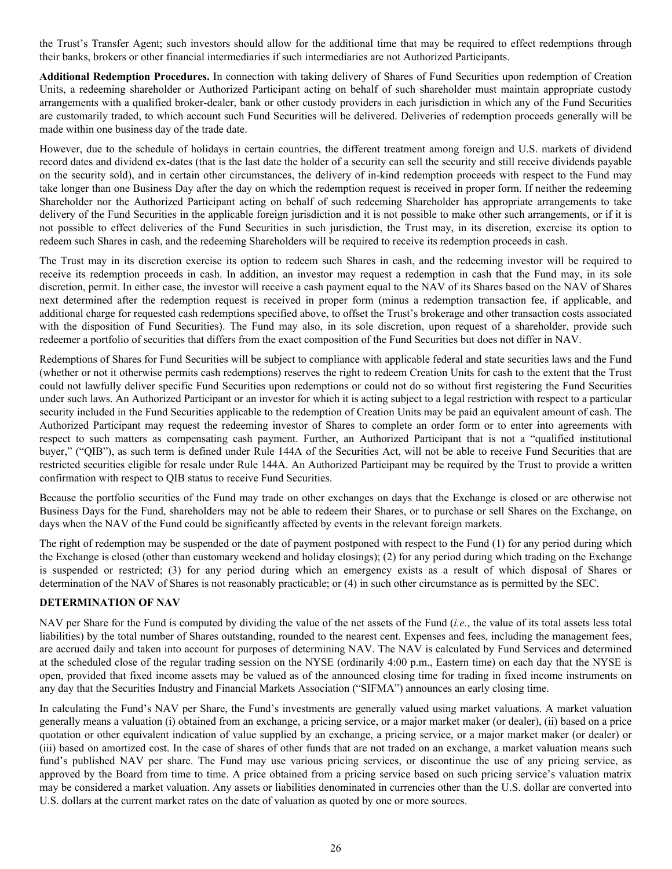<span id="page-26-0"></span>the Trust's Transfer Agent; such investors should allow for the additional time that may be required to effect redemptions through their banks, brokers or other financial intermediaries if such intermediaries are not Authorized Participants.

**Additional Redemption Procedures.** In connection with taking delivery of Shares of Fund Securities upon redemption of Creation Units, a redeeming shareholder or Authorized Participant acting on behalf of such shareholder must maintain appropriate custody arrangements with a qualified broker-dealer, bank or other custody providers in each jurisdiction in which any of the Fund Securities are customarily traded, to which account such Fund Securities will be delivered. Deliveries of redemption proceeds generally will be made within one business day of the trade date.

However, due to the schedule of holidays in certain countries, the different treatment among foreign and U.S. markets of dividend record dates and dividend ex-dates (that is the last date the holder of a security can sell the security and still receive dividends payable on the security sold), and in certain other circumstances, the delivery of in-kind redemption proceeds with respect to the Fund may take longer than one Business Day after the day on which the redemption request is received in proper form. If neither the redeeming Shareholder nor the Authorized Participant acting on behalf of such redeeming Shareholder has appropriate arrangements to take delivery of the Fund Securities in the applicable foreign jurisdiction and it is not possible to make other such arrangements, or if it is not possible to effect deliveries of the Fund Securities in such jurisdiction, the Trust may, in its discretion, exercise its option to redeem such Shares in cash, and the redeeming Shareholders will be required to receive its redemption proceeds in cash.

The Trust may in its discretion exercise its option to redeem such Shares in cash, and the redeeming investor will be required to receive its redemption proceeds in cash. In addition, an investor may request a redemption in cash that the Fund may, in its sole discretion, permit. In either case, the investor will receive a cash payment equal to the NAV of its Shares based on the NAV of Shares next determined after the redemption request is received in proper form (minus a redemption transaction fee, if applicable, and additional charge for requested cash redemptions specified above, to offset the Trust's brokerage and other transaction costs associated with the disposition of Fund Securities). The Fund may also, in its sole discretion, upon request of a shareholder, provide such redeemer a portfolio of securities that differs from the exact composition of the Fund Securities but does not differ in NAV.

Redemptions of Shares for Fund Securities will be subject to compliance with applicable federal and state securities laws and the Fund (whether or not it otherwise permits cash redemptions) reserves the right to redeem Creation Units for cash to the extent that the Trust could not lawfully deliver specific Fund Securities upon redemptions or could not do so without first registering the Fund Securities under such laws. An Authorized Participant or an investor for which it is acting subject to a legal restriction with respect to a particular security included in the Fund Securities applicable to the redemption of Creation Units may be paid an equivalent amount of cash. The Authorized Participant may request the redeeming investor of Shares to complete an order form or to enter into agreements with respect to such matters as compensating cash payment. Further, an Authorized Participant that is not a "qualified institutional buyer," ("QIB"), as such term is defined under Rule 144A of the Securities Act, will not be able to receive Fund Securities that are restricted securities eligible for resale under Rule 144A. An Authorized Participant may be required by the Trust to provide a written confirmation with respect to QIB status to receive Fund Securities.

Because the portfolio securities of the Fund may trade on other exchanges on days that the Exchange is closed or are otherwise not Business Days for the Fund, shareholders may not be able to redeem their Shares, or to purchase or sell Shares on the Exchange, on days when the NAV of the Fund could be significantly affected by events in the relevant foreign markets.

The right of redemption may be suspended or the date of payment postponed with respect to the Fund (1) for any period during which the Exchange is closed (other than customary weekend and holiday closings); (2) for any period during which trading on the Exchange is suspended or restricted; (3) for any period during which an emergency exists as a result of which disposal of Shares or determination of the NAV of Shares is not reasonably practicable; or (4) in such other circumstance as is permitted by the SEC.

## **DETERMINATION OF NAV**

NAV per Share for the Fund is computed by dividing the value of the net assets of the Fund (*i.e.*, the value of its total assets less total liabilities) by the total number of Shares outstanding, rounded to the nearest cent. Expenses and fees, including the management fees, are accrued daily and taken into account for purposes of determining NAV. The NAV is calculated by Fund Services and determined at the scheduled close of the regular trading session on the NYSE (ordinarily 4:00 p.m., Eastern time) on each day that the NYSE is open, provided that fixed income assets may be valued as of the announced closing time for trading in fixed income instruments on any day that the Securities Industry and Financial Markets Association ("SIFMA") announces an early closing time.

In calculating the Fund's NAV per Share, the Fund's investments are generally valued using market valuations. A market valuation generally means a valuation (i) obtained from an exchange, a pricing service, or a major market maker (or dealer), (ii) based on a price quotation or other equivalent indication of value supplied by an exchange, a pricing service, or a major market maker (or dealer) or (iii) based on amortized cost. In the case of shares of other funds that are not traded on an exchange, a market valuation means such fund's published NAV per share. The Fund may use various pricing services, or discontinue the use of any pricing service, as approved by the Board from time to time. A price obtained from a pricing service based on such pricing service's valuation matrix may be considered a market valuation. Any assets or liabilities denominated in currencies other than the U.S. dollar are converted into U.S. dollars at the current market rates on the date of valuation as quoted by one or more sources.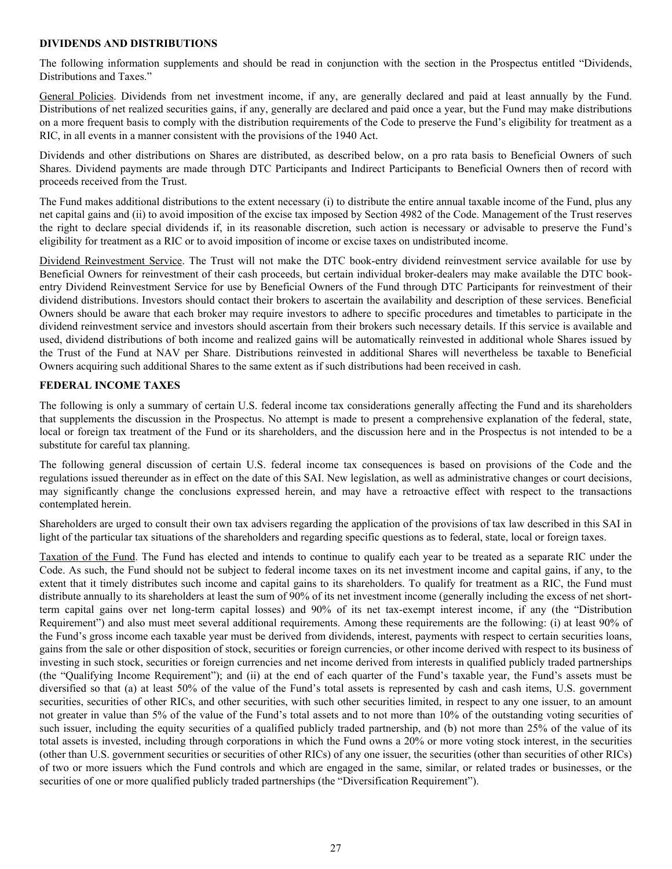#### <span id="page-27-0"></span>**DIVIDENDS AND DISTRIBUTIONS**

The following information supplements and should be read in conjunction with the section in the Prospectus entitled "Dividends, Distributions and Taxes."

General Policies. Dividends from net investment income, if any, are generally declared and paid at least annually by the Fund. Distributions of net realized securities gains, if any, generally are declared and paid once a year, but the Fund may make distributions on a more frequent basis to comply with the distribution requirements of the Code to preserve the Fund's eligibility for treatment as a RIC, in all events in a manner consistent with the provisions of the 1940 Act.

Dividends and other distributions on Shares are distributed, as described below, on a pro rata basis to Beneficial Owners of such Shares. Dividend payments are made through DTC Participants and Indirect Participants to Beneficial Owners then of record with proceeds received from the Trust.

The Fund makes additional distributions to the extent necessary (i) to distribute the entire annual taxable income of the Fund, plus any net capital gains and (ii) to avoid imposition of the excise tax imposed by Section 4982 of the Code. Management of the Trust reserves the right to declare special dividends if, in its reasonable discretion, such action is necessary or advisable to preserve the Fund's eligibility for treatment as a RIC or to avoid imposition of income or excise taxes on undistributed income.

Dividend Reinvestment Service. The Trust will not make the DTC book-entry dividend reinvestment service available for use by Beneficial Owners for reinvestment of their cash proceeds, but certain individual broker-dealers may make available the DTC bookentry Dividend Reinvestment Service for use by Beneficial Owners of the Fund through DTC Participants for reinvestment of their dividend distributions. Investors should contact their brokers to ascertain the availability and description of these services. Beneficial Owners should be aware that each broker may require investors to adhere to specific procedures and timetables to participate in the dividend reinvestment service and investors should ascertain from their brokers such necessary details. If this service is available and used, dividend distributions of both income and realized gains will be automatically reinvested in additional whole Shares issued by the Trust of the Fund at NAV per Share. Distributions reinvested in additional Shares will nevertheless be taxable to Beneficial Owners acquiring such additional Shares to the same extent as if such distributions had been received in cash.

## **FEDERAL INCOME TAXES**

The following is only a summary of certain U.S. federal income tax considerations generally affecting the Fund and its shareholders that supplements the discussion in the Prospectus. No attempt is made to present a comprehensive explanation of the federal, state, local or foreign tax treatment of the Fund or its shareholders, and the discussion here and in the Prospectus is not intended to be a substitute for careful tax planning.

The following general discussion of certain U.S. federal income tax consequences is based on provisions of the Code and the regulations issued thereunder as in effect on the date of this SAI. New legislation, as well as administrative changes or court decisions, may significantly change the conclusions expressed herein, and may have a retroactive effect with respect to the transactions contemplated herein.

Shareholders are urged to consult their own tax advisers regarding the application of the provisions of tax law described in this SAI in light of the particular tax situations of the shareholders and regarding specific questions as to federal, state, local or foreign taxes.

Taxation of the Fund. The Fund has elected and intends to continue to qualify each year to be treated as a separate RIC under the Code. As such, the Fund should not be subject to federal income taxes on its net investment income and capital gains, if any, to the extent that it timely distributes such income and capital gains to its shareholders. To qualify for treatment as a RIC, the Fund must distribute annually to its shareholders at least the sum of 90% of its net investment income (generally including the excess of net shortterm capital gains over net long-term capital losses) and 90% of its net tax-exempt interest income, if any (the "Distribution Requirement") and also must meet several additional requirements. Among these requirements are the following: (i) at least 90% of the Fund's gross income each taxable year must be derived from dividends, interest, payments with respect to certain securities loans, gains from the sale or other disposition of stock, securities or foreign currencies, or other income derived with respect to its business of investing in such stock, securities or foreign currencies and net income derived from interests in qualified publicly traded partnerships (the "Qualifying Income Requirement"); and (ii) at the end of each quarter of the Fund's taxable year, the Fund's assets must be diversified so that (a) at least 50% of the value of the Fund's total assets is represented by cash and cash items, U.S. government securities, securities of other RICs, and other securities, with such other securities limited, in respect to any one issuer, to an amount not greater in value than 5% of the value of the Fund's total assets and to not more than 10% of the outstanding voting securities of such issuer, including the equity securities of a qualified publicly traded partnership, and (b) not more than 25% of the value of its total assets is invested, including through corporations in which the Fund owns a 20% or more voting stock interest, in the securities (other than U.S. government securities or securities of other RICs) of any one issuer, the securities (other than securities of other RICs) of two or more issuers which the Fund controls and which are engaged in the same, similar, or related trades or businesses, or the securities of one or more qualified publicly traded partnerships (the "Diversification Requirement").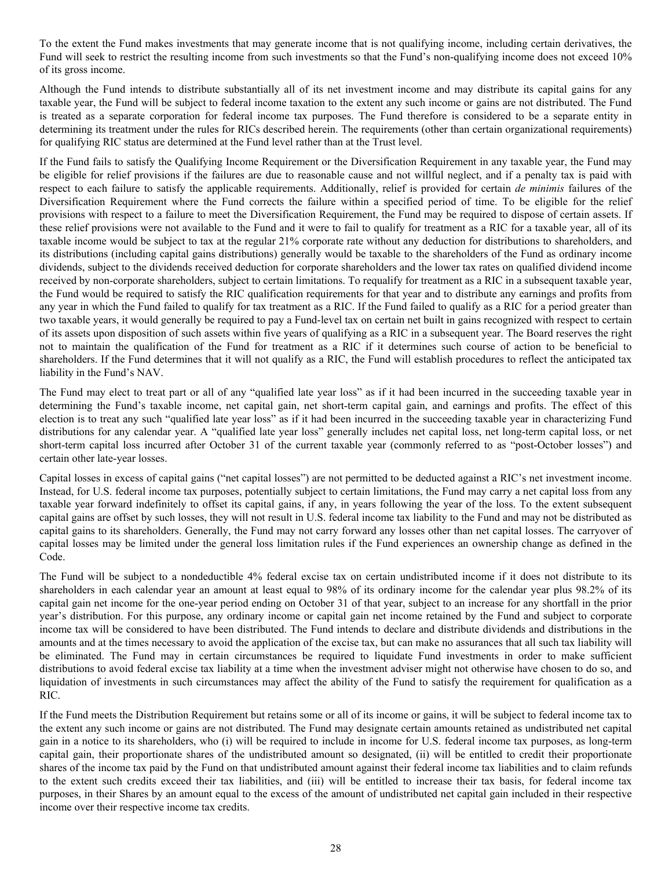To the extent the Fund makes investments that may generate income that is not qualifying income, including certain derivatives, the Fund will seek to restrict the resulting income from such investments so that the Fund's non-qualifying income does not exceed 10% of its gross income.

Although the Fund intends to distribute substantially all of its net investment income and may distribute its capital gains for any taxable year, the Fund will be subject to federal income taxation to the extent any such income or gains are not distributed. The Fund is treated as a separate corporation for federal income tax purposes. The Fund therefore is considered to be a separate entity in determining its treatment under the rules for RICs described herein. The requirements (other than certain organizational requirements) for qualifying RIC status are determined at the Fund level rather than at the Trust level.

If the Fund fails to satisfy the Qualifying Income Requirement or the Diversification Requirement in any taxable year, the Fund may be eligible for relief provisions if the failures are due to reasonable cause and not willful neglect, and if a penalty tax is paid with respect to each failure to satisfy the applicable requirements. Additionally, relief is provided for certain *de minimis* failures of the Diversification Requirement where the Fund corrects the failure within a specified period of time. To be eligible for the relief provisions with respect to a failure to meet the Diversification Requirement, the Fund may be required to dispose of certain assets. If these relief provisions were not available to the Fund and it were to fail to qualify for treatment as a RIC for a taxable year, all of its taxable income would be subject to tax at the regular 21% corporate rate without any deduction for distributions to shareholders, and its distributions (including capital gains distributions) generally would be taxable to the shareholders of the Fund as ordinary income dividends, subject to the dividends received deduction for corporate shareholders and the lower tax rates on qualified dividend income received by non-corporate shareholders, subject to certain limitations. To requalify for treatment as a RIC in a subsequent taxable year, the Fund would be required to satisfy the RIC qualification requirements for that year and to distribute any earnings and profits from any year in which the Fund failed to qualify for tax treatment as a RIC. If the Fund failed to qualify as a RIC for a period greater than two taxable years, it would generally be required to pay a Fund-level tax on certain net built in gains recognized with respect to certain of its assets upon disposition of such assets within five years of qualifying as a RIC in a subsequent year. The Board reserves the right not to maintain the qualification of the Fund for treatment as a RIC if it determines such course of action to be beneficial to shareholders. If the Fund determines that it will not qualify as a RIC, the Fund will establish procedures to reflect the anticipated tax liability in the Fund's NAV.

The Fund may elect to treat part or all of any "qualified late year loss" as if it had been incurred in the succeeding taxable year in determining the Fund's taxable income, net capital gain, net short-term capital gain, and earnings and profits. The effect of this election is to treat any such "qualified late year loss" as if it had been incurred in the succeeding taxable year in characterizing Fund distributions for any calendar year. A "qualified late year loss" generally includes net capital loss, net long-term capital loss, or net short-term capital loss incurred after October 31 of the current taxable year (commonly referred to as "post-October losses") and certain other late-year losses.

Capital losses in excess of capital gains ("net capital losses") are not permitted to be deducted against a RIC's net investment income. Instead, for U.S. federal income tax purposes, potentially subject to certain limitations, the Fund may carry a net capital loss from any taxable year forward indefinitely to offset its capital gains, if any, in years following the year of the loss. To the extent subsequent capital gains are offset by such losses, they will not result in U.S. federal income tax liability to the Fund and may not be distributed as capital gains to its shareholders. Generally, the Fund may not carry forward any losses other than net capital losses. The carryover of capital losses may be limited under the general loss limitation rules if the Fund experiences an ownership change as defined in the Code.

The Fund will be subject to a nondeductible 4% federal excise tax on certain undistributed income if it does not distribute to its shareholders in each calendar year an amount at least equal to 98% of its ordinary income for the calendar year plus 98.2% of its capital gain net income for the one-year period ending on October 31 of that year, subject to an increase for any shortfall in the prior year's distribution. For this purpose, any ordinary income or capital gain net income retained by the Fund and subject to corporate income tax will be considered to have been distributed. The Fund intends to declare and distribute dividends and distributions in the amounts and at the times necessary to avoid the application of the excise tax, but can make no assurances that all such tax liability will be eliminated. The Fund may in certain circumstances be required to liquidate Fund investments in order to make sufficient distributions to avoid federal excise tax liability at a time when the investment adviser might not otherwise have chosen to do so, and liquidation of investments in such circumstances may affect the ability of the Fund to satisfy the requirement for qualification as a RIC.

If the Fund meets the Distribution Requirement but retains some or all of its income or gains, it will be subject to federal income tax to the extent any such income or gains are not distributed. The Fund may designate certain amounts retained as undistributed net capital gain in a notice to its shareholders, who (i) will be required to include in income for U.S. federal income tax purposes, as long-term capital gain, their proportionate shares of the undistributed amount so designated, (ii) will be entitled to credit their proportionate shares of the income tax paid by the Fund on that undistributed amount against their federal income tax liabilities and to claim refunds to the extent such credits exceed their tax liabilities, and (iii) will be entitled to increase their tax basis, for federal income tax purposes, in their Shares by an amount equal to the excess of the amount of undistributed net capital gain included in their respective income over their respective income tax credits.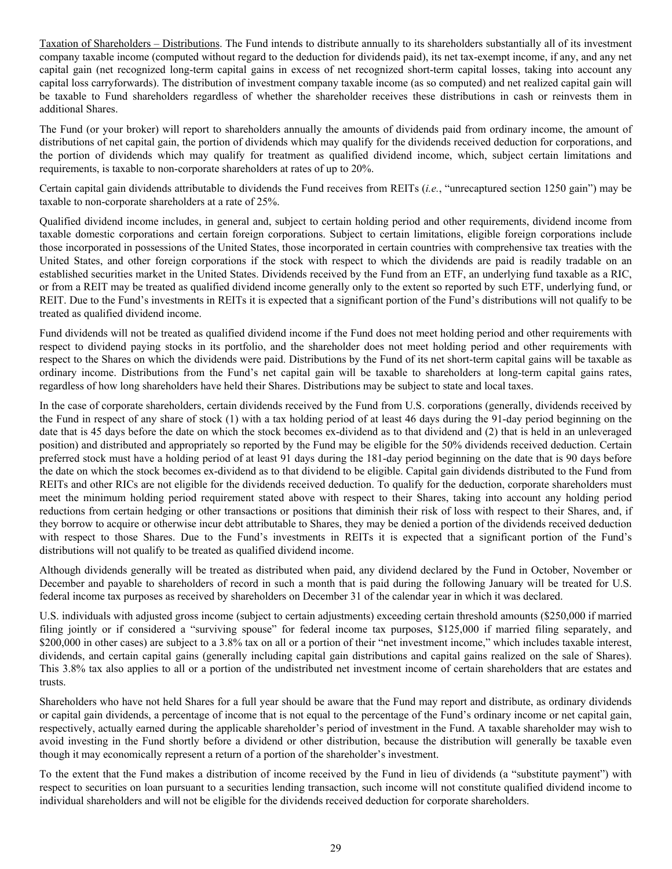Taxation of Shareholders – Distributions. The Fund intends to distribute annually to its shareholders substantially all of its investment company taxable income (computed without regard to the deduction for dividends paid), its net tax-exempt income, if any, and any net capital gain (net recognized long-term capital gains in excess of net recognized short-term capital losses, taking into account any capital loss carryforwards). The distribution of investment company taxable income (as so computed) and net realized capital gain will be taxable to Fund shareholders regardless of whether the shareholder receives these distributions in cash or reinvests them in additional Shares.

The Fund (or your broker) will report to shareholders annually the amounts of dividends paid from ordinary income, the amount of distributions of net capital gain, the portion of dividends which may qualify for the dividends received deduction for corporations, and the portion of dividends which may qualify for treatment as qualified dividend income, which, subject certain limitations and requirements, is taxable to non-corporate shareholders at rates of up to 20%.

Certain capital gain dividends attributable to dividends the Fund receives from REITs (*i.e.*, "unrecaptured section 1250 gain") may be taxable to non-corporate shareholders at a rate of 25%.

Qualified dividend income includes, in general and, subject to certain holding period and other requirements, dividend income from taxable domestic corporations and certain foreign corporations. Subject to certain limitations, eligible foreign corporations include those incorporated in possessions of the United States, those incorporated in certain countries with comprehensive tax treaties with the United States, and other foreign corporations if the stock with respect to which the dividends are paid is readily tradable on an established securities market in the United States. Dividends received by the Fund from an ETF, an underlying fund taxable as a RIC, or from a REIT may be treated as qualified dividend income generally only to the extent so reported by such ETF, underlying fund, or REIT. Due to the Fund's investments in REITs it is expected that a significant portion of the Fund's distributions will not qualify to be treated as qualified dividend income.

Fund dividends will not be treated as qualified dividend income if the Fund does not meet holding period and other requirements with respect to dividend paying stocks in its portfolio, and the shareholder does not meet holding period and other requirements with respect to the Shares on which the dividends were paid. Distributions by the Fund of its net short-term capital gains will be taxable as ordinary income. Distributions from the Fund's net capital gain will be taxable to shareholders at long-term capital gains rates, regardless of how long shareholders have held their Shares. Distributions may be subject to state and local taxes.

In the case of corporate shareholders, certain dividends received by the Fund from U.S. corporations (generally, dividends received by the Fund in respect of any share of stock (1) with a tax holding period of at least 46 days during the 91-day period beginning on the date that is 45 days before the date on which the stock becomes ex-dividend as to that dividend and (2) that is held in an unleveraged position) and distributed and appropriately so reported by the Fund may be eligible for the 50% dividends received deduction. Certain preferred stock must have a holding period of at least 91 days during the 181-day period beginning on the date that is 90 days before the date on which the stock becomes ex-dividend as to that dividend to be eligible. Capital gain dividends distributed to the Fund from REITs and other RICs are not eligible for the dividends received deduction. To qualify for the deduction, corporate shareholders must meet the minimum holding period requirement stated above with respect to their Shares, taking into account any holding period reductions from certain hedging or other transactions or positions that diminish their risk of loss with respect to their Shares, and, if they borrow to acquire or otherwise incur debt attributable to Shares, they may be denied a portion of the dividends received deduction with respect to those Shares. Due to the Fund's investments in REITs it is expected that a significant portion of the Fund's distributions will not qualify to be treated as qualified dividend income.

Although dividends generally will be treated as distributed when paid, any dividend declared by the Fund in October, November or December and payable to shareholders of record in such a month that is paid during the following January will be treated for U.S. federal income tax purposes as received by shareholders on December 31 of the calendar year in which it was declared.

U.S. individuals with adjusted gross income (subject to certain adjustments) exceeding certain threshold amounts (\$250,000 if married filing jointly or if considered a "surviving spouse" for federal income tax purposes, \$125,000 if married filing separately, and \$200,000 in other cases) are subject to a 3.8% tax on all or a portion of their "net investment income," which includes taxable interest, dividends, and certain capital gains (generally including capital gain distributions and capital gains realized on the sale of Shares). This 3.8% tax also applies to all or a portion of the undistributed net investment income of certain shareholders that are estates and trusts.

Shareholders who have not held Shares for a full year should be aware that the Fund may report and distribute, as ordinary dividends or capital gain dividends, a percentage of income that is not equal to the percentage of the Fund's ordinary income or net capital gain, respectively, actually earned during the applicable shareholder's period of investment in the Fund. A taxable shareholder may wish to avoid investing in the Fund shortly before a dividend or other distribution, because the distribution will generally be taxable even though it may economically represent a return of a portion of the shareholder's investment.

To the extent that the Fund makes a distribution of income received by the Fund in lieu of dividends (a "substitute payment") with respect to securities on loan pursuant to a securities lending transaction, such income will not constitute qualified dividend income to individual shareholders and will not be eligible for the dividends received deduction for corporate shareholders.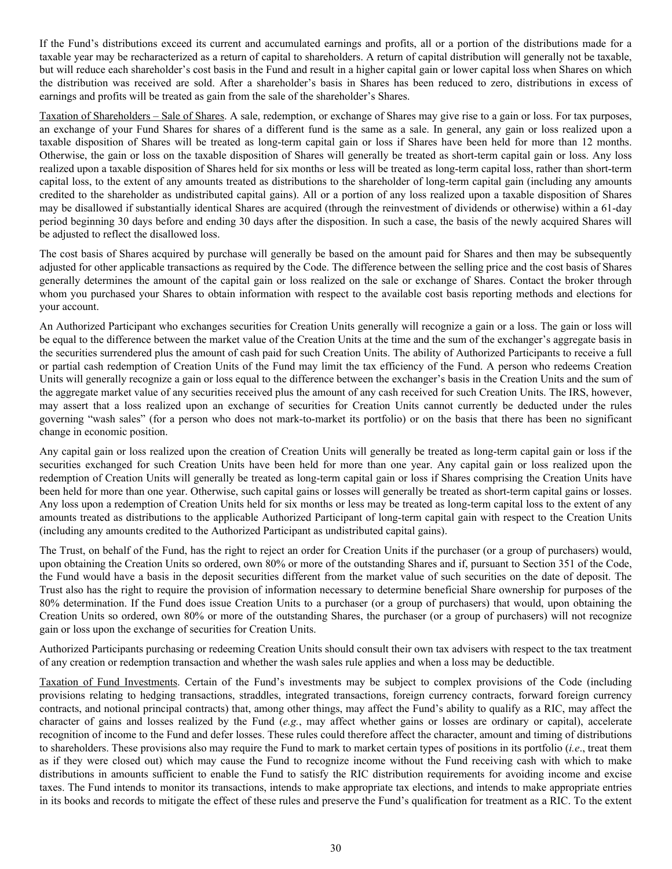If the Fund's distributions exceed its current and accumulated earnings and profits, all or a portion of the distributions made for a taxable year may be recharacterized as a return of capital to shareholders. A return of capital distribution will generally not be taxable, but will reduce each shareholder's cost basis in the Fund and result in a higher capital gain or lower capital loss when Shares on which the distribution was received are sold. After a shareholder's basis in Shares has been reduced to zero, distributions in excess of earnings and profits will be treated as gain from the sale of the shareholder's Shares.

Taxation of Shareholders – Sale of Shares. A sale, redemption, or exchange of Shares may give rise to a gain or loss. For tax purposes, an exchange of your Fund Shares for shares of a different fund is the same as a sale. In general, any gain or loss realized upon a taxable disposition of Shares will be treated as long-term capital gain or loss if Shares have been held for more than 12 months. Otherwise, the gain or loss on the taxable disposition of Shares will generally be treated as short-term capital gain or loss. Any loss realized upon a taxable disposition of Shares held for six months or less will be treated as long-term capital loss, rather than short-term capital loss, to the extent of any amounts treated as distributions to the shareholder of long-term capital gain (including any amounts credited to the shareholder as undistributed capital gains). All or a portion of any loss realized upon a taxable disposition of Shares may be disallowed if substantially identical Shares are acquired (through the reinvestment of dividends or otherwise) within a 61-day period beginning 30 days before and ending 30 days after the disposition. In such a case, the basis of the newly acquired Shares will be adjusted to reflect the disallowed loss.

The cost basis of Shares acquired by purchase will generally be based on the amount paid for Shares and then may be subsequently adjusted for other applicable transactions as required by the Code. The difference between the selling price and the cost basis of Shares generally determines the amount of the capital gain or loss realized on the sale or exchange of Shares. Contact the broker through whom you purchased your Shares to obtain information with respect to the available cost basis reporting methods and elections for your account.

An Authorized Participant who exchanges securities for Creation Units generally will recognize a gain or a loss. The gain or loss will be equal to the difference between the market value of the Creation Units at the time and the sum of the exchanger's aggregate basis in the securities surrendered plus the amount of cash paid for such Creation Units. The ability of Authorized Participants to receive a full or partial cash redemption of Creation Units of the Fund may limit the tax efficiency of the Fund. A person who redeems Creation Units will generally recognize a gain or loss equal to the difference between the exchanger's basis in the Creation Units and the sum of the aggregate market value of any securities received plus the amount of any cash received for such Creation Units. The IRS, however, may assert that a loss realized upon an exchange of securities for Creation Units cannot currently be deducted under the rules governing "wash sales" (for a person who does not mark-to-market its portfolio) or on the basis that there has been no significant change in economic position.

Any capital gain or loss realized upon the creation of Creation Units will generally be treated as long-term capital gain or loss if the securities exchanged for such Creation Units have been held for more than one year. Any capital gain or loss realized upon the redemption of Creation Units will generally be treated as long-term capital gain or loss if Shares comprising the Creation Units have been held for more than one year. Otherwise, such capital gains or losses will generally be treated as short-term capital gains or losses. Any loss upon a redemption of Creation Units held for six months or less may be treated as long-term capital loss to the extent of any amounts treated as distributions to the applicable Authorized Participant of long-term capital gain with respect to the Creation Units (including any amounts credited to the Authorized Participant as undistributed capital gains).

The Trust, on behalf of the Fund, has the right to reject an order for Creation Units if the purchaser (or a group of purchasers) would, upon obtaining the Creation Units so ordered, own 80% or more of the outstanding Shares and if, pursuant to Section 351 of the Code, the Fund would have a basis in the deposit securities different from the market value of such securities on the date of deposit. The Trust also has the right to require the provision of information necessary to determine beneficial Share ownership for purposes of the 80% determination. If the Fund does issue Creation Units to a purchaser (or a group of purchasers) that would, upon obtaining the Creation Units so ordered, own 80% or more of the outstanding Shares, the purchaser (or a group of purchasers) will not recognize gain or loss upon the exchange of securities for Creation Units.

Authorized Participants purchasing or redeeming Creation Units should consult their own tax advisers with respect to the tax treatment of any creation or redemption transaction and whether the wash sales rule applies and when a loss may be deductible.

Taxation of Fund Investments. Certain of the Fund's investments may be subject to complex provisions of the Code (including provisions relating to hedging transactions, straddles, integrated transactions, foreign currency contracts, forward foreign currency contracts, and notional principal contracts) that, among other things, may affect the Fund's ability to qualify as a RIC, may affect the character of gains and losses realized by the Fund (*e.g.*, may affect whether gains or losses are ordinary or capital), accelerate recognition of income to the Fund and defer losses. These rules could therefore affect the character, amount and timing of distributions to shareholders. These provisions also may require the Fund to mark to market certain types of positions in its portfolio (*i.e*., treat them as if they were closed out) which may cause the Fund to recognize income without the Fund receiving cash with which to make distributions in amounts sufficient to enable the Fund to satisfy the RIC distribution requirements for avoiding income and excise taxes. The Fund intends to monitor its transactions, intends to make appropriate tax elections, and intends to make appropriate entries in its books and records to mitigate the effect of these rules and preserve the Fund's qualification for treatment as a RIC. To the extent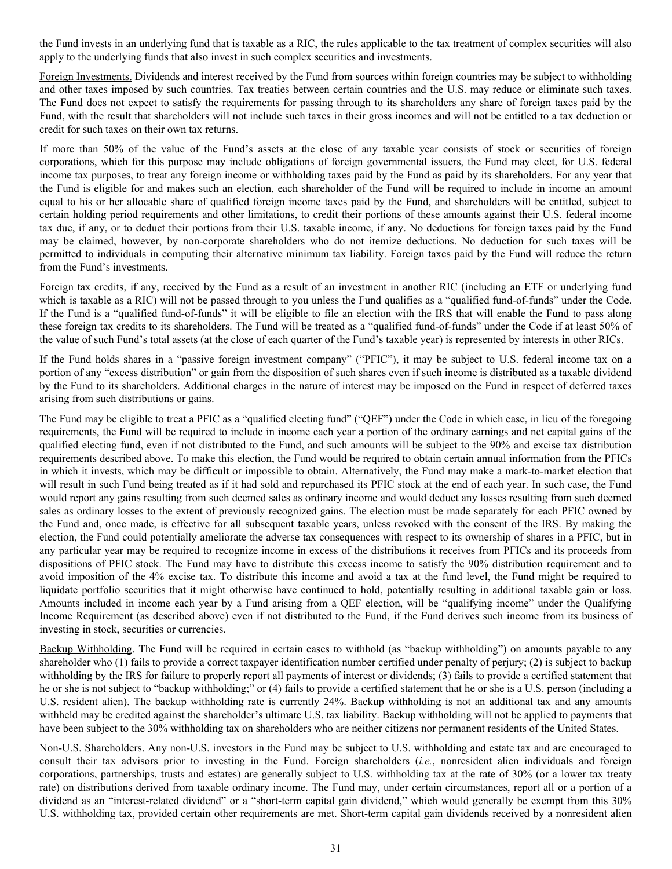the Fund invests in an underlying fund that is taxable as a RIC, the rules applicable to the tax treatment of complex securities will also apply to the underlying funds that also invest in such complex securities and investments.

Foreign Investments. Dividends and interest received by the Fund from sources within foreign countries may be subject to withholding and other taxes imposed by such countries. Tax treaties between certain countries and the U.S. may reduce or eliminate such taxes. The Fund does not expect to satisfy the requirements for passing through to its shareholders any share of foreign taxes paid by the Fund, with the result that shareholders will not include such taxes in their gross incomes and will not be entitled to a tax deduction or credit for such taxes on their own tax returns.

If more than 50% of the value of the Fund's assets at the close of any taxable year consists of stock or securities of foreign corporations, which for this purpose may include obligations of foreign governmental issuers, the Fund may elect, for U.S. federal income tax purposes, to treat any foreign income or withholding taxes paid by the Fund as paid by its shareholders. For any year that the Fund is eligible for and makes such an election, each shareholder of the Fund will be required to include in income an amount equal to his or her allocable share of qualified foreign income taxes paid by the Fund, and shareholders will be entitled, subject to certain holding period requirements and other limitations, to credit their portions of these amounts against their U.S. federal income tax due, if any, or to deduct their portions from their U.S. taxable income, if any. No deductions for foreign taxes paid by the Fund may be claimed, however, by non-corporate shareholders who do not itemize deductions. No deduction for such taxes will be permitted to individuals in computing their alternative minimum tax liability. Foreign taxes paid by the Fund will reduce the return from the Fund's investments.

Foreign tax credits, if any, received by the Fund as a result of an investment in another RIC (including an ETF or underlying fund which is taxable as a RIC) will not be passed through to you unless the Fund qualifies as a "qualified fund-of-funds" under the Code. If the Fund is a "qualified fund-of-funds" it will be eligible to file an election with the IRS that will enable the Fund to pass along these foreign tax credits to its shareholders. The Fund will be treated as a "qualified fund-of-funds" under the Code if at least 50% of the value of such Fund's total assets (at the close of each quarter of the Fund's taxable year) is represented by interests in other RICs.

If the Fund holds shares in a "passive foreign investment company" ("PFIC"), it may be subject to U.S. federal income tax on a portion of any "excess distribution" or gain from the disposition of such shares even if such income is distributed as a taxable dividend by the Fund to its shareholders. Additional charges in the nature of interest may be imposed on the Fund in respect of deferred taxes arising from such distributions or gains.

The Fund may be eligible to treat a PFIC as a "qualified electing fund" ("QEF") under the Code in which case, in lieu of the foregoing requirements, the Fund will be required to include in income each year a portion of the ordinary earnings and net capital gains of the qualified electing fund, even if not distributed to the Fund, and such amounts will be subject to the 90% and excise tax distribution requirements described above. To make this election, the Fund would be required to obtain certain annual information from the PFICs in which it invests, which may be difficult or impossible to obtain. Alternatively, the Fund may make a mark-to-market election that will result in such Fund being treated as if it had sold and repurchased its PFIC stock at the end of each year. In such case, the Fund would report any gains resulting from such deemed sales as ordinary income and would deduct any losses resulting from such deemed sales as ordinary losses to the extent of previously recognized gains. The election must be made separately for each PFIC owned by the Fund and, once made, is effective for all subsequent taxable years, unless revoked with the consent of the IRS. By making the election, the Fund could potentially ameliorate the adverse tax consequences with respect to its ownership of shares in a PFIC, but in any particular year may be required to recognize income in excess of the distributions it receives from PFICs and its proceeds from dispositions of PFIC stock. The Fund may have to distribute this excess income to satisfy the 90% distribution requirement and to avoid imposition of the 4% excise tax. To distribute this income and avoid a tax at the fund level, the Fund might be required to liquidate portfolio securities that it might otherwise have continued to hold, potentially resulting in additional taxable gain or loss. Amounts included in income each year by a Fund arising from a QEF election, will be "qualifying income" under the Qualifying Income Requirement (as described above) even if not distributed to the Fund, if the Fund derives such income from its business of investing in stock, securities or currencies.

Backup Withholding. The Fund will be required in certain cases to withhold (as "backup withholding") on amounts payable to any shareholder who (1) fails to provide a correct taxpayer identification number certified under penalty of perjury; (2) is subject to backup withholding by the IRS for failure to properly report all payments of interest or dividends; (3) fails to provide a certified statement that he or she is not subject to "backup withholding;" or (4) fails to provide a certified statement that he or she is a U.S. person (including a U.S. resident alien). The backup withholding rate is currently 24%. Backup withholding is not an additional tax and any amounts withheld may be credited against the shareholder's ultimate U.S. tax liability. Backup withholding will not be applied to payments that have been subject to the 30% withholding tax on shareholders who are neither citizens nor permanent residents of the United States.

Non-U.S. Shareholders. Any non-U.S. investors in the Fund may be subject to U.S. withholding and estate tax and are encouraged to consult their tax advisors prior to investing in the Fund. Foreign shareholders (*i.e.*, nonresident alien individuals and foreign corporations, partnerships, trusts and estates) are generally subject to U.S. withholding tax at the rate of 30% (or a lower tax treaty rate) on distributions derived from taxable ordinary income. The Fund may, under certain circumstances, report all or a portion of a dividend as an "interest-related dividend" or a "short-term capital gain dividend," which would generally be exempt from this 30% U.S. withholding tax, provided certain other requirements are met. Short-term capital gain dividends received by a nonresident alien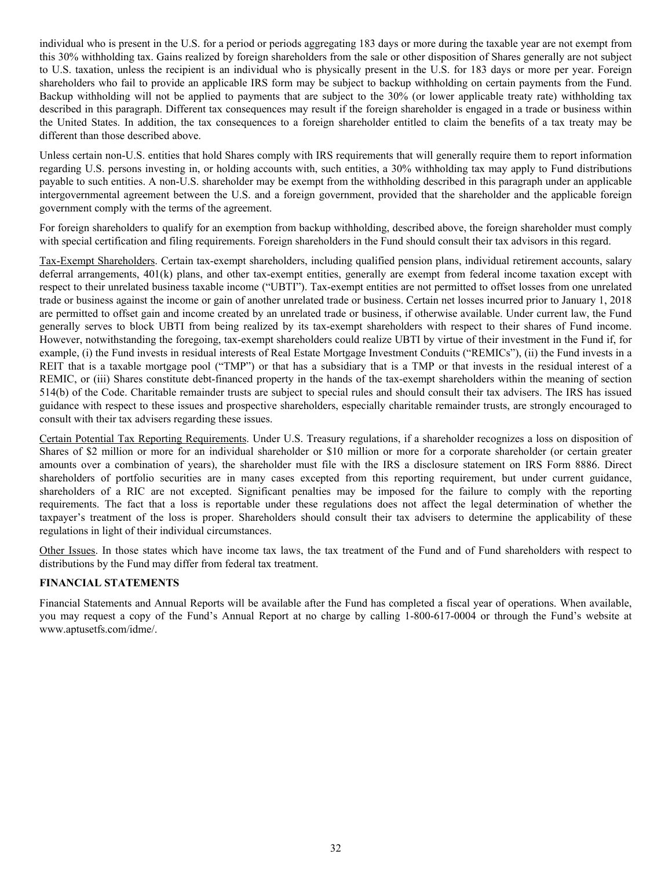<span id="page-32-0"></span>individual who is present in the U.S. for a period or periods aggregating 183 days or more during the taxable year are not exempt from this 30% withholding tax. Gains realized by foreign shareholders from the sale or other disposition of Shares generally are not subject to U.S. taxation, unless the recipient is an individual who is physically present in the U.S. for 183 days or more per year. Foreign shareholders who fail to provide an applicable IRS form may be subject to backup withholding on certain payments from the Fund. Backup withholding will not be applied to payments that are subject to the 30% (or lower applicable treaty rate) withholding tax described in this paragraph. Different tax consequences may result if the foreign shareholder is engaged in a trade or business within the United States. In addition, the tax consequences to a foreign shareholder entitled to claim the benefits of a tax treaty may be different than those described above.

Unless certain non-U.S. entities that hold Shares comply with IRS requirements that will generally require them to report information regarding U.S. persons investing in, or holding accounts with, such entities, a 30% withholding tax may apply to Fund distributions payable to such entities. A non-U.S. shareholder may be exempt from the withholding described in this paragraph under an applicable intergovernmental agreement between the U.S. and a foreign government, provided that the shareholder and the applicable foreign government comply with the terms of the agreement.

For foreign shareholders to qualify for an exemption from backup withholding, described above, the foreign shareholder must comply with special certification and filing requirements. Foreign shareholders in the Fund should consult their tax advisors in this regard.

Tax-Exempt Shareholders. Certain tax-exempt shareholders, including qualified pension plans, individual retirement accounts, salary deferral arrangements, 401(k) plans, and other tax-exempt entities, generally are exempt from federal income taxation except with respect to their unrelated business taxable income ("UBTI"). Tax-exempt entities are not permitted to offset losses from one unrelated trade or business against the income or gain of another unrelated trade or business. Certain net losses incurred prior to January 1, 2018 are permitted to offset gain and income created by an unrelated trade or business, if otherwise available. Under current law, the Fund generally serves to block UBTI from being realized by its tax-exempt shareholders with respect to their shares of Fund income. However, notwithstanding the foregoing, tax-exempt shareholders could realize UBTI by virtue of their investment in the Fund if, for example, (i) the Fund invests in residual interests of Real Estate Mortgage Investment Conduits ("REMICs"), (ii) the Fund invests in a REIT that is a taxable mortgage pool ("TMP") or that has a subsidiary that is a TMP or that invests in the residual interest of a REMIC, or (iii) Shares constitute debt-financed property in the hands of the tax-exempt shareholders within the meaning of section 514(b) of the Code. Charitable remainder trusts are subject to special rules and should consult their tax advisers. The IRS has issued guidance with respect to these issues and prospective shareholders, especially charitable remainder trusts, are strongly encouraged to consult with their tax advisers regarding these issues.

Certain Potential Tax Reporting Requirements. Under U.S. Treasury regulations, if a shareholder recognizes a loss on disposition of Shares of \$2 million or more for an individual shareholder or \$10 million or more for a corporate shareholder (or certain greater amounts over a combination of years), the shareholder must file with the IRS a disclosure statement on IRS Form 8886. Direct shareholders of portfolio securities are in many cases excepted from this reporting requirement, but under current guidance, shareholders of a RIC are not excepted. Significant penalties may be imposed for the failure to comply with the reporting requirements. The fact that a loss is reportable under these regulations does not affect the legal determination of whether the taxpayer's treatment of the loss is proper. Shareholders should consult their tax advisers to determine the applicability of these regulations in light of their individual circumstances.

Other Issues. In those states which have income tax laws, the tax treatment of the Fund and of Fund shareholders with respect to distributions by the Fund may differ from federal tax treatment.

## **FINANCIAL STATEMENTS**

Financial Statements and Annual Reports will be available after the Fund has completed a fiscal year of operations. When available, you may request a copy of the Fund's Annual Report at no charge by calling 1-800-617-0004 or through the Fund's website at www.aptusetfs.com/idme/.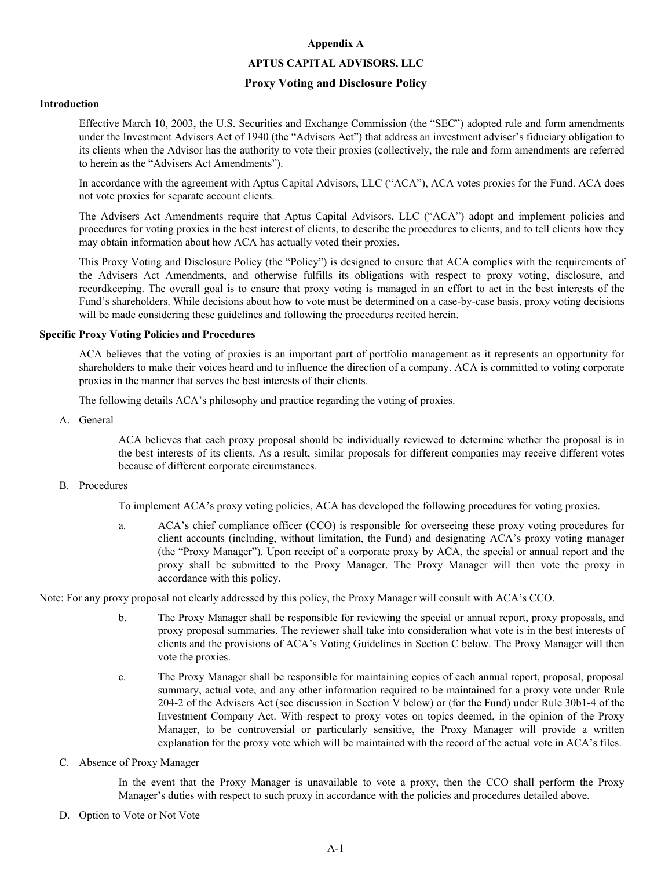#### **Appendix A**

#### **APTUS CAPITAL ADVISORS, LLC**

#### **Proxy Voting and Disclosure Policy**

#### <span id="page-33-0"></span>**Introduction**

Effective March 10, 2003, the U.S. Securities and Exchange Commission (the "SEC") adopted rule and form amendments under the Investment Advisers Act of 1940 (the "Advisers Act") that address an investment adviser's fiduciary obligation to its clients when the Advisor has the authority to vote their proxies (collectively, the rule and form amendments are referred to herein as the "Advisers Act Amendments").

In accordance with the agreement with Aptus Capital Advisors, LLC ("ACA"), ACA votes proxies for the Fund. ACA does not vote proxies for separate account clients.

The Advisers Act Amendments require that Aptus Capital Advisors, LLC ("ACA") adopt and implement policies and procedures for voting proxies in the best interest of clients, to describe the procedures to clients, and to tell clients how they may obtain information about how ACA has actually voted their proxies.

This Proxy Voting and Disclosure Policy (the "Policy") is designed to ensure that ACA complies with the requirements of the Advisers Act Amendments, and otherwise fulfills its obligations with respect to proxy voting, disclosure, and recordkeeping. The overall goal is to ensure that proxy voting is managed in an effort to act in the best interests of the Fund's shareholders. While decisions about how to vote must be determined on a case-by-case basis, proxy voting decisions will be made considering these guidelines and following the procedures recited herein.

#### **Specific Proxy Voting Policies and Procedures**

ACA believes that the voting of proxies is an important part of portfolio management as it represents an opportunity for shareholders to make their voices heard and to influence the direction of a company. ACA is committed to voting corporate proxies in the manner that serves the best interests of their clients.

The following details ACA's philosophy and practice regarding the voting of proxies.

A. General

ACA believes that each proxy proposal should be individually reviewed to determine whether the proposal is in the best interests of its clients. As a result, similar proposals for different companies may receive different votes because of different corporate circumstances.

B. Procedures

To implement ACA's proxy voting policies, ACA has developed the following procedures for voting proxies.

a. ACA's chief compliance officer (CCO) is responsible for overseeing these proxy voting procedures for client accounts (including, without limitation, the Fund) and designating ACA's proxy voting manager (the "Proxy Manager"). Upon receipt of a corporate proxy by ACA, the special or annual report and the proxy shall be submitted to the Proxy Manager. The Proxy Manager will then vote the proxy in accordance with this policy.

Note: For any proxy proposal not clearly addressed by this policy, the Proxy Manager will consult with ACA's CCO.

- b. The Proxy Manager shall be responsible for reviewing the special or annual report, proxy proposals, and proxy proposal summaries. The reviewer shall take into consideration what vote is in the best interests of clients and the provisions of ACA's Voting Guidelines in Section C below. The Proxy Manager will then vote the proxies.
- c. The Proxy Manager shall be responsible for maintaining copies of each annual report, proposal, proposal summary, actual vote, and any other information required to be maintained for a proxy vote under Rule 204-2 of the Advisers Act (see discussion in Section V below) or (for the Fund) under Rule 30b1-4 of the Investment Company Act. With respect to proxy votes on topics deemed, in the opinion of the Proxy Manager, to be controversial or particularly sensitive, the Proxy Manager will provide a written explanation for the proxy vote which will be maintained with the record of the actual vote in ACA's files.
- C. Absence of Proxy Manager

In the event that the Proxy Manager is unavailable to vote a proxy, then the CCO shall perform the Proxy Manager's duties with respect to such proxy in accordance with the policies and procedures detailed above.

D. Option to Vote or Not Vote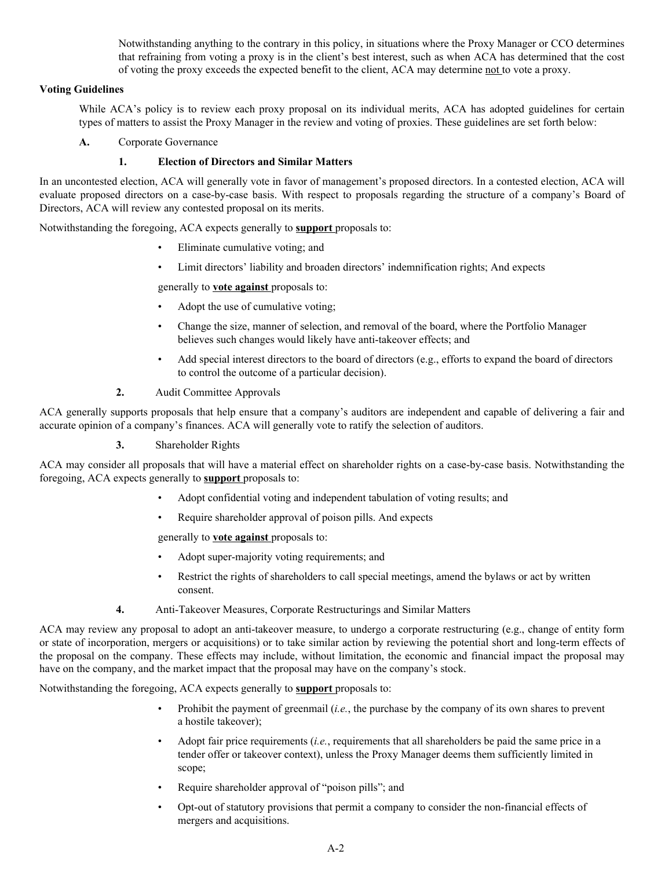Notwithstanding anything to the contrary in this policy, in situations where the Proxy Manager or CCO determines that refraining from voting a proxy is in the client's best interest, such as when ACA has determined that the cost of voting the proxy exceeds the expected benefit to the client, ACA may determine not to vote a proxy.

# **Voting Guidelines**

While ACA's policy is to review each proxy proposal on its individual merits, ACA has adopted guidelines for certain types of matters to assist the Proxy Manager in the review and voting of proxies. These guidelines are set forth below:

**A.** Corporate Governance

# **1. Election of Directors and Similar Matters**

In an uncontested election, ACA will generally vote in favor of management's proposed directors. In a contested election, ACA will evaluate proposed directors on a case-by-case basis. With respect to proposals regarding the structure of a company's Board of Directors, ACA will review any contested proposal on its merits.

Notwithstanding the foregoing, ACA expects generally to **support** proposals to:

- Eliminate cumulative voting; and
- Limit directors' liability and broaden directors' indemnification rights; And expects

generally to **vote against** proposals to:

- Adopt the use of cumulative voting;
- Change the size, manner of selection, and removal of the board, where the Portfolio Manager believes such changes would likely have anti-takeover effects; and
- Add special interest directors to the board of directors (e.g., efforts to expand the board of directors to control the outcome of a particular decision).
- **2.** Audit Committee Approvals

ACA generally supports proposals that help ensure that a company's auditors are independent and capable of delivering a fair and accurate opinion of a company's finances. ACA will generally vote to ratify the selection of auditors.

**3.** Shareholder Rights

ACA may consider all proposals that will have a material effect on shareholder rights on a case-by-case basis. Notwithstanding the foregoing, ACA expects generally to **support** proposals to:

- Adopt confidential voting and independent tabulation of voting results; and
- Require shareholder approval of poison pills. And expects

generally to **vote against** proposals to:

- Adopt super-majority voting requirements; and
- Restrict the rights of shareholders to call special meetings, amend the bylaws or act by written consent.
- **4.** Anti-Takeover Measures, Corporate Restructurings and Similar Matters

ACA may review any proposal to adopt an anti-takeover measure, to undergo a corporate restructuring (e.g., change of entity form or state of incorporation, mergers or acquisitions) or to take similar action by reviewing the potential short and long-term effects of the proposal on the company. These effects may include, without limitation, the economic and financial impact the proposal may have on the company, and the market impact that the proposal may have on the company's stock.

Notwithstanding the foregoing, ACA expects generally to **support** proposals to:

- Prohibit the payment of greenmail (*i.e.*, the purchase by the company of its own shares to prevent a hostile takeover);
- Adopt fair price requirements (*i.e.*, requirements that all shareholders be paid the same price in a tender offer or takeover context), unless the Proxy Manager deems them sufficiently limited in scope;
- Require shareholder approval of "poison pills"; and
- Opt-out of statutory provisions that permit a company to consider the non-financial effects of mergers and acquisitions.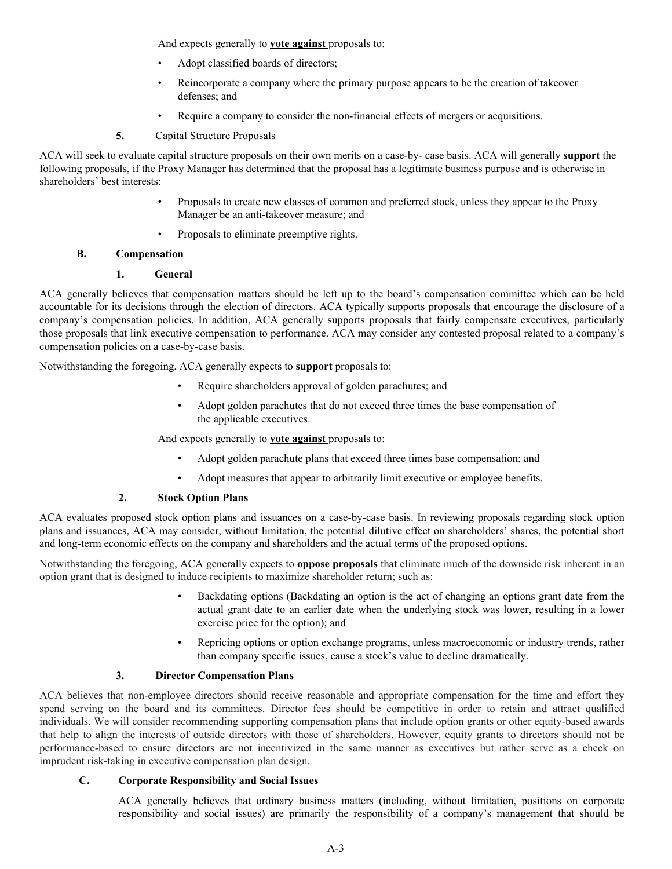And expects generally to **vote against** proposals to:

- Adopt classified boards of directors;
- Reincorporate a company where the primary purpose appears to be the creation of takeover defenses; and
- Require a company to consider the non-financial effects of mergers or acquisitions.
- **5.** Capital Structure Proposals

ACA will seek to evaluate capital structure proposals on their own merits on a case-by- case basis. ACA will generally **support** the following proposals, if the Proxy Manager has determined that the proposal has a legitimate business purpose and is otherwise in shareholders' best interests:

- Proposals to create new classes of common and preferred stock, unless they appear to the Proxy Manager be an anti-takeover measure; and
- Proposals to eliminate preemptive rights.

# **B. Compensation**

# **1. General**

ACA generally believes that compensation matters should be left up to the board's compensation committee which can be held accountable for its decisions through the election of directors. ACA typically supports proposals that encourage the disclosure of a company's compensation policies. In addition, ACA generally supports proposals that fairly compensate executives, particularly those proposals that link executive compensation to performance. ACA may consider any contested proposal related to a company's compensation policies on a case-by-case basis.

Notwithstanding the foregoing, ACA generally expects to **support** proposals to:

- Require shareholders approval of golden parachutes; and
- Adopt golden parachutes that do not exceed three times the base compensation of the applicable executives.

And expects generally to **vote against** proposals to:

- Adopt golden parachute plans that exceed three times base compensation; and
- Adopt measures that appear to arbitrarily limit executive or employee benefits.

# **2. Stock Option Plans**

ACA evaluates proposed stock option plans and issuances on a case-by-case basis. In reviewing proposals regarding stock option plans and issuances, ACA may consider, without limitation, the potential dilutive effect on shareholders' shares, the potential short and long-term economic effects on the company and shareholders and the actual terms of the proposed options.

Notwithstanding the foregoing, ACA generally expects to **oppose proposals** that eliminate much of the downside risk inherent in an option grant that is designed to induce recipients to maximize shareholder return; such as:

- Backdating options (Backdating an option is the act of changing an options grant date from the actual grant date to an earlier date when the underlying stock was lower, resulting in a lower exercise price for the option); and
- Repricing options or option exchange programs, unless macroeconomic or industry trends, rather than company specific issues, cause a stock's value to decline dramatically.

# **3. Director Compensation Plans**

ACA believes that non-employee directors should receive reasonable and appropriate compensation for the time and effort they spend serving on the board and its committees. Director fees should be competitive in order to retain and attract qualified individuals. We will consider recommending supporting compensation plans that include option grants or other equity-based awards that help to align the interests of outside directors with those of shareholders. However, equity grants to directors should not be performance-based to ensure directors are not incentivized in the same manner as executives but rather serve as a check on imprudent risk-taking in executive compensation plan design.

# **C. Corporate Responsibility and Social Issues**

ACA generally believes that ordinary business matters (including, without limitation, positions on corporate responsibility and social issues) are primarily the responsibility of a company's management that should be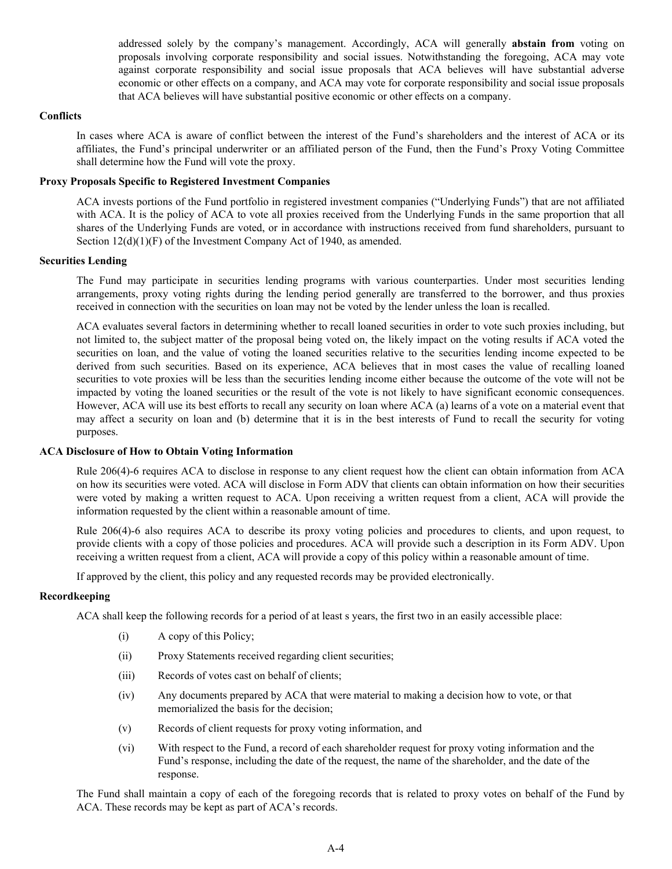addressed solely by the company's management. Accordingly, ACA will generally **abstain from** voting on proposals involving corporate responsibility and social issues. Notwithstanding the foregoing, ACA may vote against corporate responsibility and social issue proposals that ACA believes will have substantial adverse economic or other effects on a company, and ACA may vote for corporate responsibility and social issue proposals that ACA believes will have substantial positive economic or other effects on a company.

## **Conflicts**

In cases where ACA is aware of conflict between the interest of the Fund's shareholders and the interest of ACA or its affiliates, the Fund's principal underwriter or an affiliated person of the Fund, then the Fund's Proxy Voting Committee shall determine how the Fund will vote the proxy.

## **Proxy Proposals Specific to Registered Investment Companies**

ACA invests portions of the Fund portfolio in registered investment companies ("Underlying Funds") that are not affiliated with ACA. It is the policy of ACA to vote all proxies received from the Underlying Funds in the same proportion that all shares of the Underlying Funds are voted, or in accordance with instructions received from fund shareholders, pursuant to Section  $12(d)(1)(F)$  of the Investment Company Act of 1940, as amended.

#### **Securities Lending**

The Fund may participate in securities lending programs with various counterparties. Under most securities lending arrangements, proxy voting rights during the lending period generally are transferred to the borrower, and thus proxies received in connection with the securities on loan may not be voted by the lender unless the loan is recalled.

ACA evaluates several factors in determining whether to recall loaned securities in order to vote such proxies including, but not limited to, the subject matter of the proposal being voted on, the likely impact on the voting results if ACA voted the securities on loan, and the value of voting the loaned securities relative to the securities lending income expected to be derived from such securities. Based on its experience, ACA believes that in most cases the value of recalling loaned securities to vote proxies will be less than the securities lending income either because the outcome of the vote will not be impacted by voting the loaned securities or the result of the vote is not likely to have significant economic consequences. However, ACA will use its best efforts to recall any security on loan where ACA (a) learns of a vote on a material event that may affect a security on loan and (b) determine that it is in the best interests of Fund to recall the security for voting purposes.

#### **ACA Disclosure of How to Obtain Voting Information**

Rule 206(4)-6 requires ACA to disclose in response to any client request how the client can obtain information from ACA on how its securities were voted. ACA will disclose in Form ADV that clients can obtain information on how their securities were voted by making a written request to ACA. Upon receiving a written request from a client, ACA will provide the information requested by the client within a reasonable amount of time.

Rule 206(4)-6 also requires ACA to describe its proxy voting policies and procedures to clients, and upon request, to provide clients with a copy of those policies and procedures. ACA will provide such a description in its Form ADV. Upon receiving a written request from a client, ACA will provide a copy of this policy within a reasonable amount of time.

If approved by the client, this policy and any requested records may be provided electronically.

#### **Recordkeeping**

ACA shall keep the following records for a period of at least s years, the first two in an easily accessible place:

- (i) A copy of this Policy;
- (ii) Proxy Statements received regarding client securities;
- (iii) Records of votes cast on behalf of clients;
- (iv) Any documents prepared by ACA that were material to making a decision how to vote, or that memorialized the basis for the decision;
- (v) Records of client requests for proxy voting information, and
- (vi) With respect to the Fund, a record of each shareholder request for proxy voting information and the Fund's response, including the date of the request, the name of the shareholder, and the date of the response.

The Fund shall maintain a copy of each of the foregoing records that is related to proxy votes on behalf of the Fund by ACA. These records may be kept as part of ACA's records.